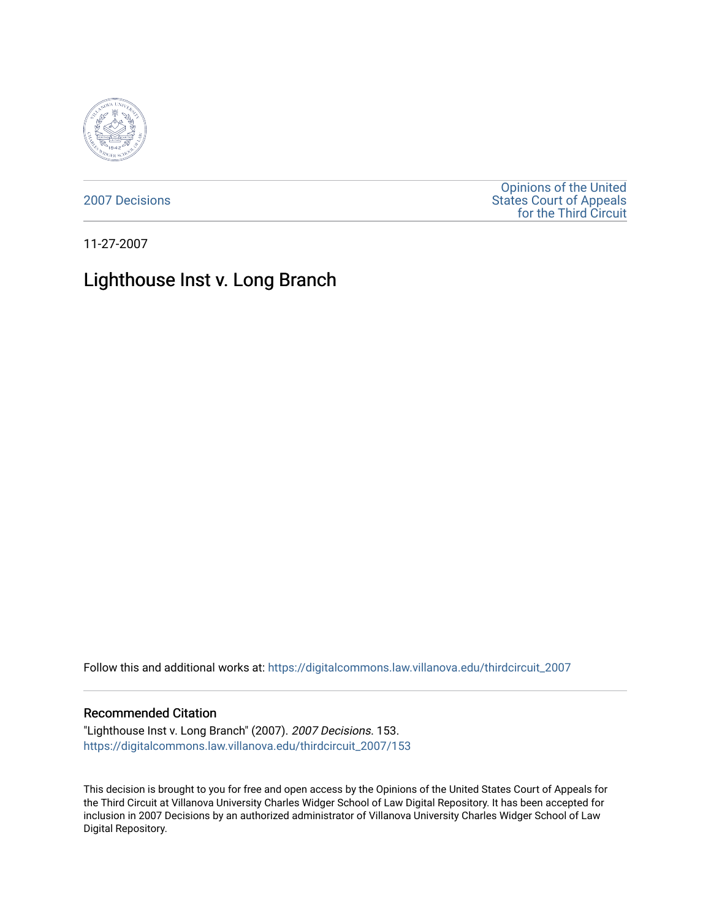

[2007 Decisions](https://digitalcommons.law.villanova.edu/thirdcircuit_2007)

[Opinions of the United](https://digitalcommons.law.villanova.edu/thirdcircuit)  [States Court of Appeals](https://digitalcommons.law.villanova.edu/thirdcircuit)  [for the Third Circuit](https://digitalcommons.law.villanova.edu/thirdcircuit) 

11-27-2007

# Lighthouse Inst v. Long Branch

Follow this and additional works at: [https://digitalcommons.law.villanova.edu/thirdcircuit\\_2007](https://digitalcommons.law.villanova.edu/thirdcircuit_2007?utm_source=digitalcommons.law.villanova.edu%2Fthirdcircuit_2007%2F153&utm_medium=PDF&utm_campaign=PDFCoverPages) 

#### Recommended Citation

"Lighthouse Inst v. Long Branch" (2007). 2007 Decisions. 153. [https://digitalcommons.law.villanova.edu/thirdcircuit\\_2007/153](https://digitalcommons.law.villanova.edu/thirdcircuit_2007/153?utm_source=digitalcommons.law.villanova.edu%2Fthirdcircuit_2007%2F153&utm_medium=PDF&utm_campaign=PDFCoverPages)

This decision is brought to you for free and open access by the Opinions of the United States Court of Appeals for the Third Circuit at Villanova University Charles Widger School of Law Digital Repository. It has been accepted for inclusion in 2007 Decisions by an authorized administrator of Villanova University Charles Widger School of Law Digital Repository.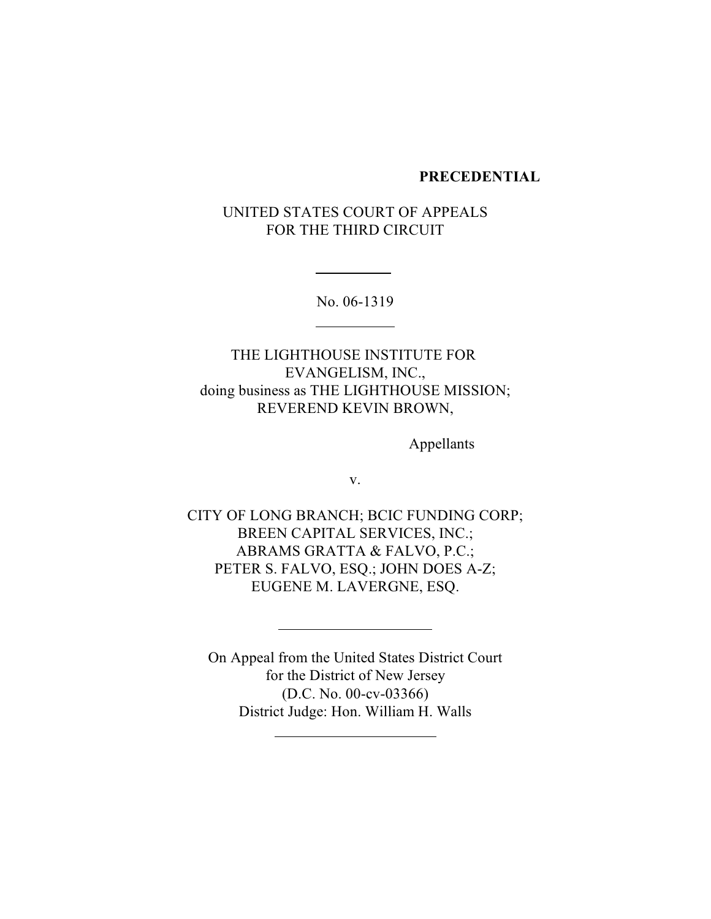#### **PRECEDENTIAL**

UNITED STATES COURT OF APPEALS FOR THE THIRD CIRCUIT

No. 06-1319

 $\overline{a}$ 

 $\overline{a}$ 

THE LIGHTHOUSE INSTITUTE FOR EVANGELISM, INC., doing business as THE LIGHTHOUSE MISSION; REVEREND KEVIN BROWN,

Appellants

v.

CITY OF LONG BRANCH; BCIC FUNDING CORP; BREEN CAPITAL SERVICES, INC.; ABRAMS GRATTA & FALVO, P.C.; PETER S. FALVO, ESQ.; JOHN DOES A-Z; EUGENE M. LAVERGNE, ESQ.

On Appeal from the United States District Court for the District of New Jersey (D.C. No. 00-cv-03366) District Judge: Hon. William H. Walls

l

 $\overline{a}$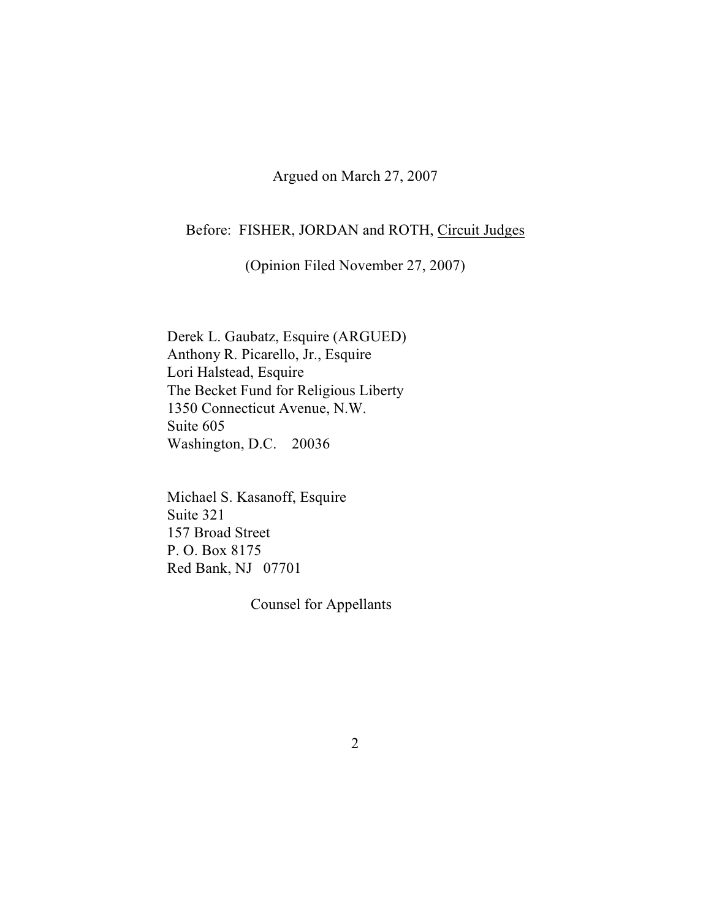Argued on March 27, 2007

# Before: FISHER, JORDAN and ROTH, Circuit Judges

(Opinion Filed November 27, 2007)

Derek L. Gaubatz, Esquire (ARGUED) Anthony R. Picarello, Jr., Esquire Lori Halstead, Esquire The Becket Fund for Religious Liberty 1350 Connecticut Avenue, N.W. Suite 605 Washington, D.C. 20036

Michael S. Kasanoff, Esquire Suite 321 157 Broad Street P. O. Box 8175 Red Bank, NJ 07701

Counsel for Appellants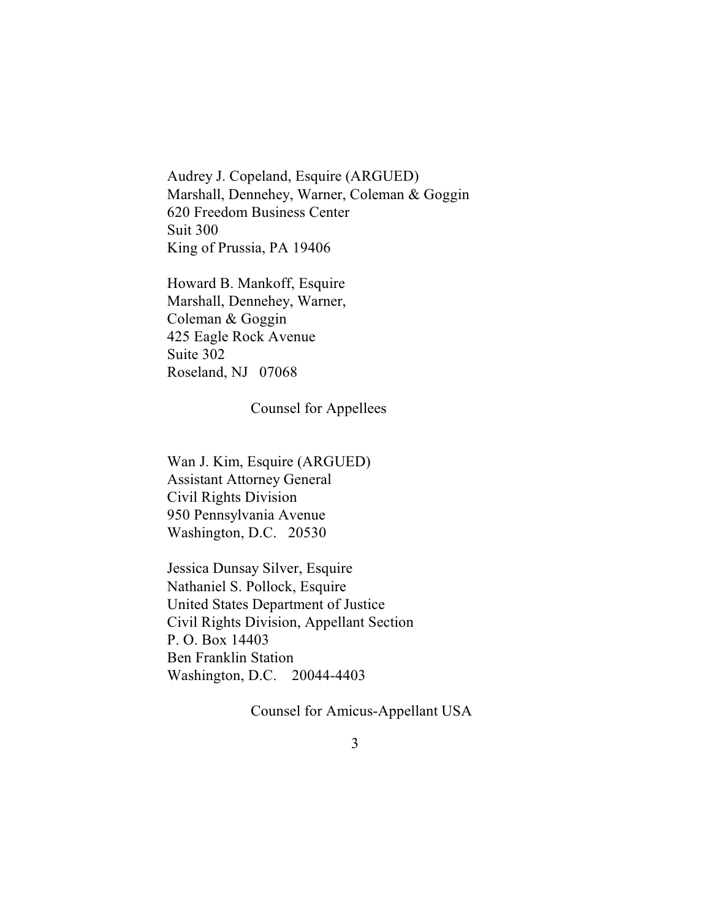Audrey J. Copeland, Esquire (ARGUED) Marshall, Dennehey, Warner, Coleman & Goggin 620 Freedom Business Center Suit 300 King of Prussia, PA 19406

Howard B. Mankoff, Esquire Marshall, Dennehey, Warner, Coleman & Goggin 425 Eagle Rock Avenue Suite 302 Roseland, NJ 07068

Counsel for Appellees

Wan J. Kim, Esquire (ARGUED) Assistant Attorney General Civil Rights Division 950 Pennsylvania Avenue Washington, D.C. 20530

Jessica Dunsay Silver, Esquire Nathaniel S. Pollock, Esquire United States Department of Justice Civil Rights Division, Appellant Section P. O. Box 14403 Ben Franklin Station Washington, D.C. 20044-4403

Counsel for Amicus-Appellant USA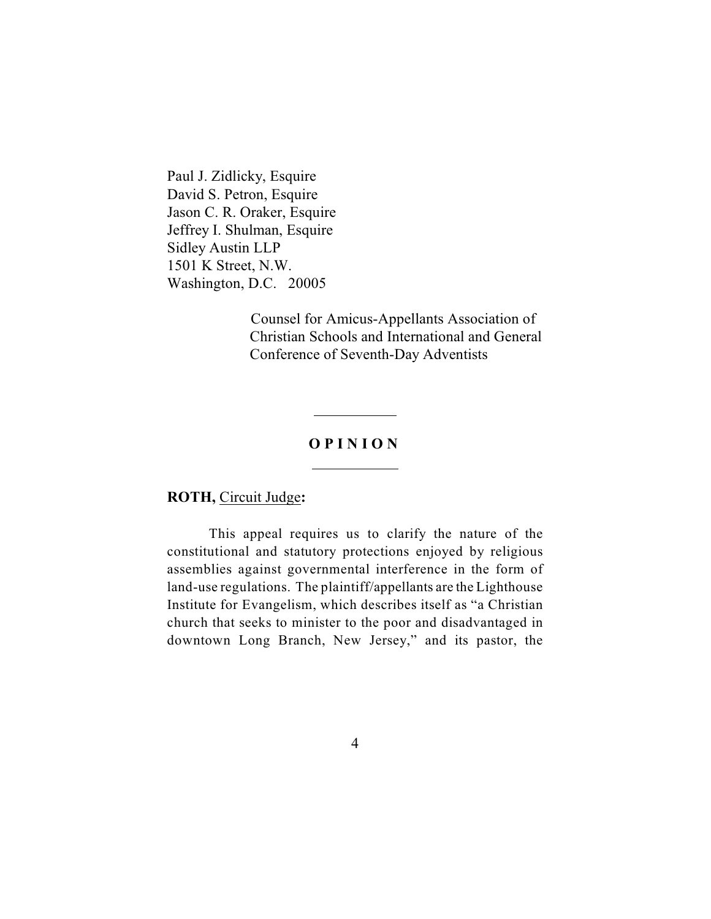Paul J. Zidlicky, Esquire David S. Petron, Esquire Jason C. R. Oraker, Esquire Jeffrey I. Shulman, Esquire Sidley Austin LLP 1501 K Street, N.W. Washington, D.C. 20005

> Counsel for Amicus-Appellants Association of Christian Schools and International and General Conference of Seventh-Day Adventists

# **O P I N I O N**

 $\overline{a}$ 

 $\overline{a}$ 

## **ROTH,** Circuit Judge**:**

This appeal requires us to clarify the nature of the constitutional and statutory protections enjoyed by religious assemblies against governmental interference in the form of land-use regulations. The plaintiff/appellants are the Lighthouse Institute for Evangelism, which describes itself as "a Christian church that seeks to minister to the poor and disadvantaged in downtown Long Branch, New Jersey," and its pastor, the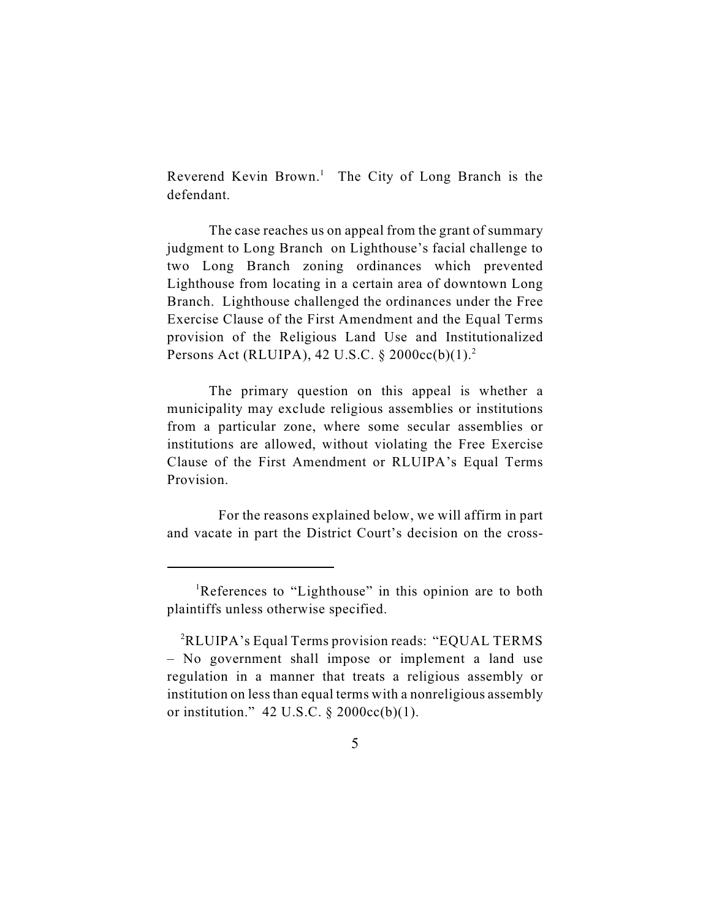Reverend Kevin Brown.<sup>1</sup> The City of Long Branch is the defendant.

The case reaches us on appeal from the grant of summary judgment to Long Branch on Lighthouse's facial challenge to two Long Branch zoning ordinances which prevented Lighthouse from locating in a certain area of downtown Long Branch. Lighthouse challenged the ordinances under the Free Exercise Clause of the First Amendment and the Equal Terms provision of the Religious Land Use and Institutionalized Persons Act (RLUIPA), 42 U.S.C.  $\S$  2000cc(b)(1).<sup>2</sup>

The primary question on this appeal is whether a municipality may exclude religious assemblies or institutions from a particular zone, where some secular assemblies or institutions are allowed, without violating the Free Exercise Clause of the First Amendment or RLUIPA's Equal Terms Provision.

 For the reasons explained below, we will affirm in part and vacate in part the District Court's decision on the cross-

<sup>&</sup>lt;sup>1</sup>References to "Lighthouse" in this opinion are to both plaintiffs unless otherwise specified.

 ${}^{2}$ RLUIPA's Equal Terms provision reads: "EQUAL TERMS – No government shall impose or implement a land use regulation in a manner that treats a religious assembly or institution on less than equal terms with a nonreligious assembly or institution."  $42 \text{ U.S.C. }$ §  $2000 \text{cc(b)}(1)$ .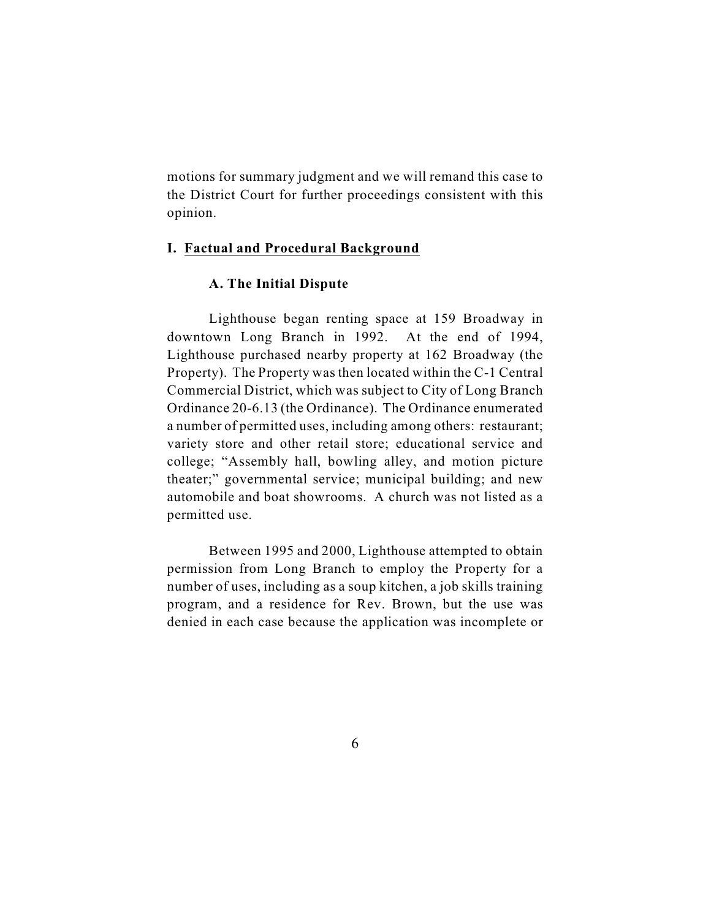motions for summary judgment and we will remand this case to the District Court for further proceedings consistent with this opinion.

#### **I. Factual and Procedural Background**

#### **A. The Initial Dispute**

Lighthouse began renting space at 159 Broadway in downtown Long Branch in 1992. At the end of 1994, Lighthouse purchased nearby property at 162 Broadway (the Property). The Property was then located within the C-1 Central Commercial District, which was subject to City of Long Branch Ordinance 20-6.13 (the Ordinance). The Ordinance enumerated a number of permitted uses, including among others: restaurant; variety store and other retail store; educational service and college; "Assembly hall, bowling alley, and motion picture theater;" governmental service; municipal building; and new automobile and boat showrooms. A church was not listed as a permitted use.

Between 1995 and 2000, Lighthouse attempted to obtain permission from Long Branch to employ the Property for a number of uses, including as a soup kitchen, a job skills training program, and a residence for Rev. Brown, but the use was denied in each case because the application was incomplete or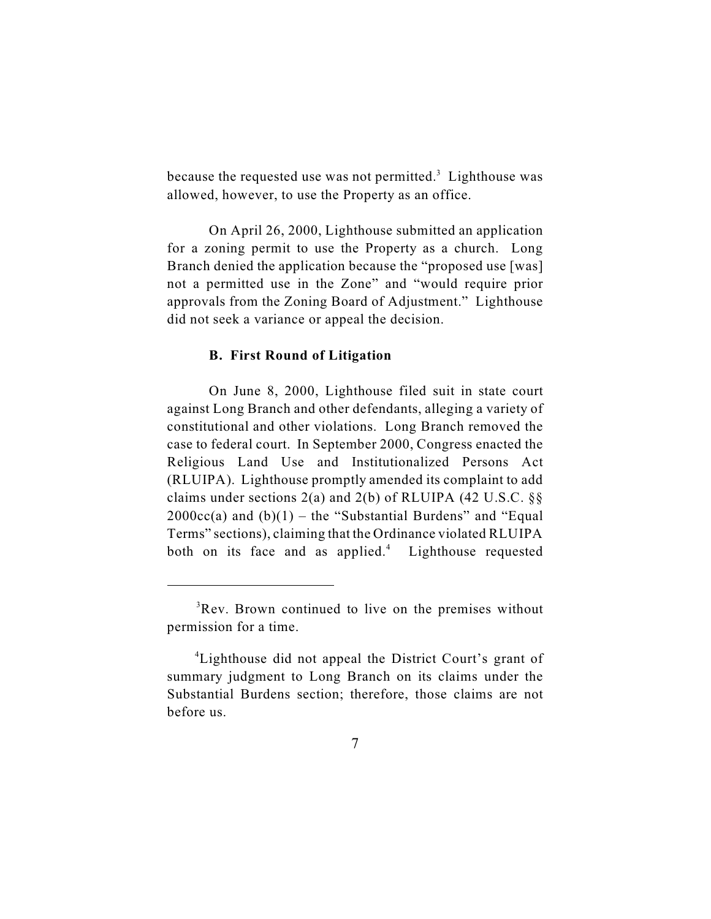because the requested use was not permitted.<sup>3</sup> Lighthouse was allowed, however, to use the Property as an office.

On April 26, 2000, Lighthouse submitted an application for a zoning permit to use the Property as a church. Long Branch denied the application because the "proposed use [was] not a permitted use in the Zone" and "would require prior approvals from the Zoning Board of Adjustment." Lighthouse did not seek a variance or appeal the decision.

#### **B. First Round of Litigation**

On June 8, 2000, Lighthouse filed suit in state court against Long Branch and other defendants, alleging a variety of constitutional and other violations. Long Branch removed the case to federal court. In September 2000, Congress enacted the Religious Land Use and Institutionalized Persons Act (RLUIPA). Lighthouse promptly amended its complaint to add claims under sections  $2(a)$  and  $2(b)$  of RLUIPA (42 U.S.C. §§  $2000cc(a)$  and  $(b)(1)$  – the "Substantial Burdens" and "Equal Terms" sections), claiming that the Ordinance violated RLUIPA both on its face and as applied. $4$  Lighthouse requested

 ${}^{3}$ Rev. Brown continued to live on the premises without permission for a time.

<sup>&</sup>lt;sup>4</sup> Lighthouse did not appeal the District Court's grant of summary judgment to Long Branch on its claims under the Substantial Burdens section; therefore, those claims are not before us.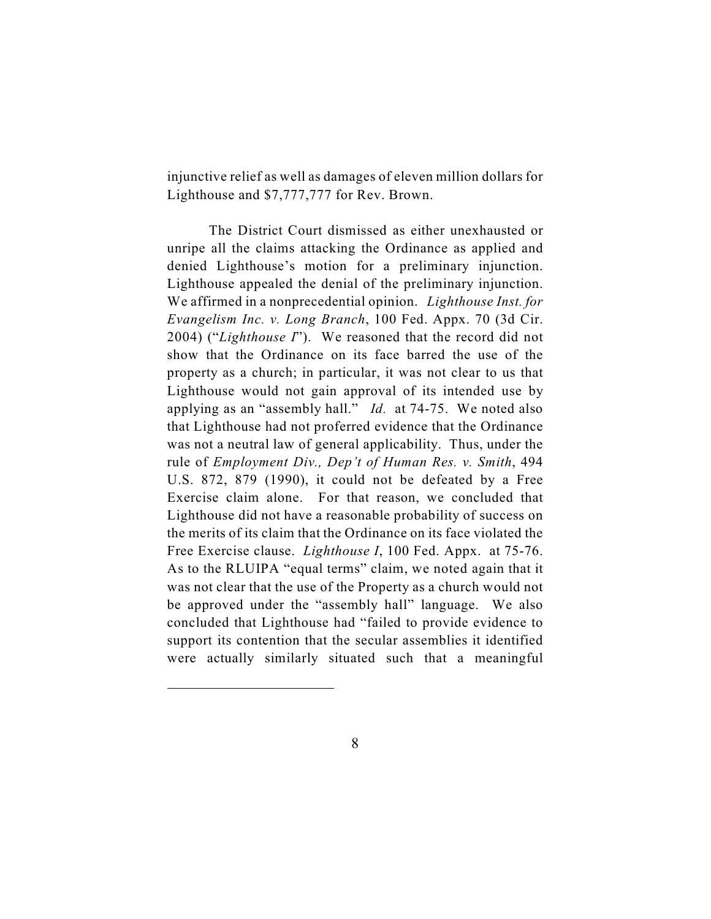injunctive relief as well as damages of eleven million dollars for Lighthouse and \$7,777,777 for Rev. Brown.

The District Court dismissed as either unexhausted or unripe all the claims attacking the Ordinance as applied and denied Lighthouse's motion for a preliminary injunction. Lighthouse appealed the denial of the preliminary injunction. We affirmed in a nonprecedential opinion. *Lighthouse Inst. for Evangelism Inc. v. Long Branch*, 100 Fed. Appx. 70 (3d Cir. 2004) ("*Lighthouse I*"). We reasoned that the record did not show that the Ordinance on its face barred the use of the property as a church; in particular, it was not clear to us that Lighthouse would not gain approval of its intended use by applying as an "assembly hall." *Id.* at 74-75.We noted also that Lighthouse had not proferred evidence that the Ordinance was not a neutral law of general applicability. Thus, under the rule of *Employment Div., Dep't of Human Res. v. Smith*, 494 U.S. 872, 879 (1990), it could not be defeated by a Free Exercise claim alone. For that reason, we concluded that Lighthouse did not have a reasonable probability of success on the merits of its claim that the Ordinance on its face violated the Free Exercise clause. *Lighthouse I*, 100 Fed. Appx. at 75-76. As to the RLUIPA "equal terms" claim, we noted again that it was not clear that the use of the Property as a church would not be approved under the "assembly hall" language. We also concluded that Lighthouse had "failed to provide evidence to support its contention that the secular assemblies it identified were actually similarly situated such that a meaningful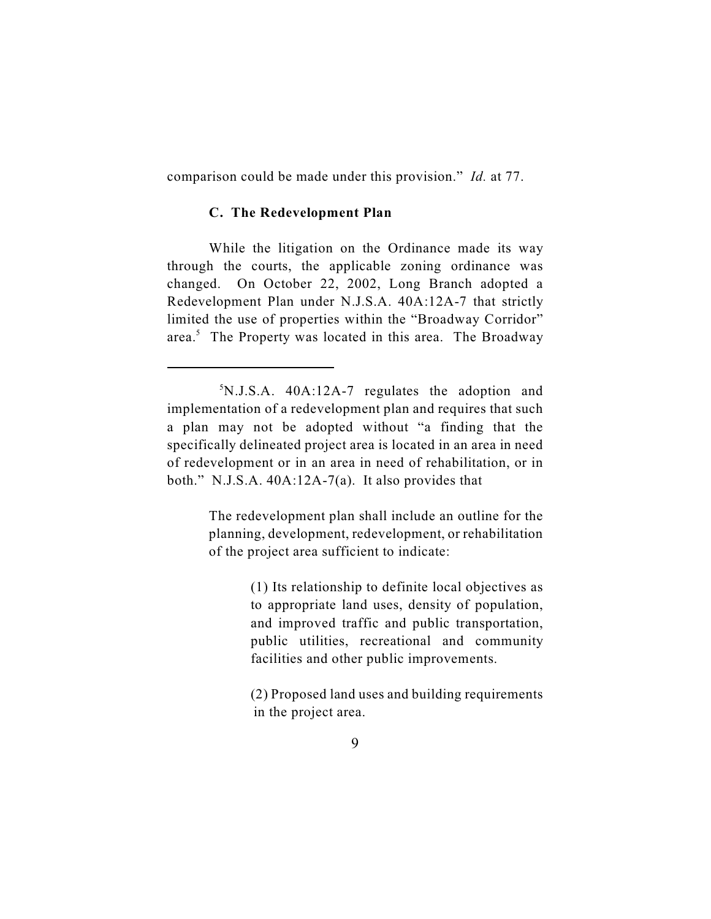comparison could be made under this provision." *Id.* at 77.

#### **C. The Redevelopment Plan**

While the litigation on the Ordinance made its way through the courts, the applicable zoning ordinance was changed. On October 22, 2002, Long Branch adopted a Redevelopment Plan under N.J.S.A. 40A:12A-7 that strictly limited the use of properties within the "Broadway Corridor" area.<sup>5</sup> The Property was located in this area. The Broadway

The redevelopment plan shall include an outline for the planning, development, redevelopment, or rehabilitation of the project area sufficient to indicate:

> (1) Its relationship to definite local objectives as to appropriate land uses, density of population, and improved traffic and public transportation, public utilities, recreational and community facilities and other public improvements.

> (2) Proposed land uses and building requirements in the project area.

 $5N.J.S.A.$  40A:12A-7 regulates the adoption and implementation of a redevelopment plan and requires that such a plan may not be adopted without "a finding that the specifically delineated project area is located in an area in need of redevelopment or in an area in need of rehabilitation, or in both." N.J.S.A. 40A:12A-7(a). It also provides that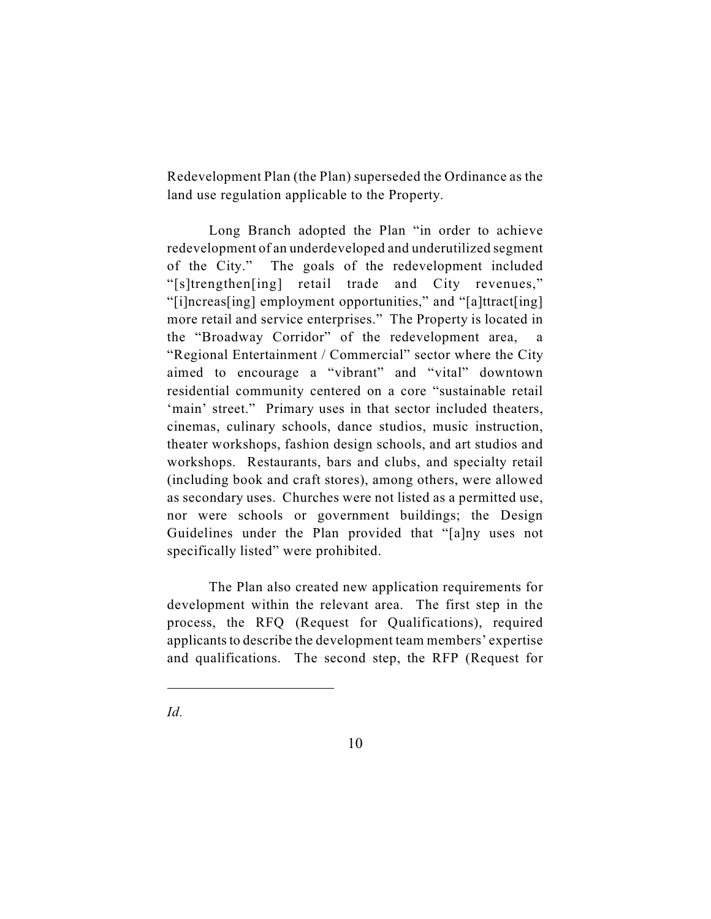Redevelopment Plan (the Plan) superseded the Ordinance as the land use regulation applicable to the Property.

Long Branch adopted the Plan "in order to achieve redevelopment of an underdeveloped and underutilized segment of the City." The goals of the redevelopment included "[s]trengthen[ing] retail trade and City revenues," "[i]ncreas[ing] employment opportunities," and "[a]ttract[ing] more retail and service enterprises." The Property is located in the "Broadway Corridor" of the redevelopment area, a "Regional Entertainment / Commercial" sector where the City aimed to encourage a "vibrant" and "vital" downtown residential community centered on a core "sustainable retail 'main' street." Primary uses in that sector included theaters, cinemas, culinary schools, dance studios, music instruction, theater workshops, fashion design schools, and art studios and workshops. Restaurants, bars and clubs, and specialty retail (including book and craft stores), among others, were allowed as secondary uses. Churches were not listed as a permitted use, nor were schools or government buildings; the Design Guidelines under the Plan provided that "[a]ny uses not specifically listed" were prohibited.

The Plan also created new application requirements for development within the relevant area. The first step in the process, the RFQ (Request for Qualifications), required applicants to describe the development team members' expertise and qualifications. The second step, the RFP (Request for

*Id.*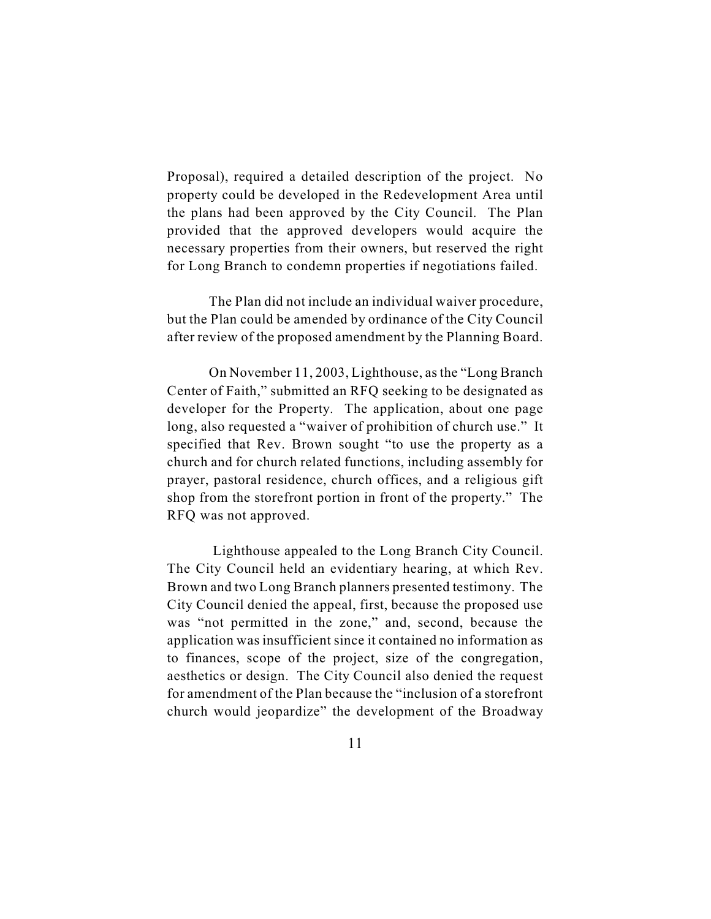Proposal), required a detailed description of the project. No property could be developed in the Redevelopment Area until the plans had been approved by the City Council. The Plan provided that the approved developers would acquire the necessary properties from their owners, but reserved the right for Long Branch to condemn properties if negotiations failed.

The Plan did not include an individual waiver procedure, but the Plan could be amended by ordinance of the City Council after review of the proposed amendment by the Planning Board.

On November 11, 2003, Lighthouse, as the "Long Branch Center of Faith," submitted an RFQ seeking to be designated as developer for the Property. The application, about one page long, also requested a "waiver of prohibition of church use." It specified that Rev. Brown sought "to use the property as a church and for church related functions, including assembly for prayer, pastoral residence, church offices, and a religious gift shop from the storefront portion in front of the property." The RFQ was not approved.

 Lighthouse appealed to the Long Branch City Council. The City Council held an evidentiary hearing, at which Rev. Brown and two Long Branch planners presented testimony. The City Council denied the appeal, first, because the proposed use was "not permitted in the zone," and, second, because the application was insufficient since it contained no information as to finances, scope of the project, size of the congregation, aesthetics or design. The City Council also denied the request for amendment of the Plan because the "inclusion of a storefront church would jeopardize" the development of the Broadway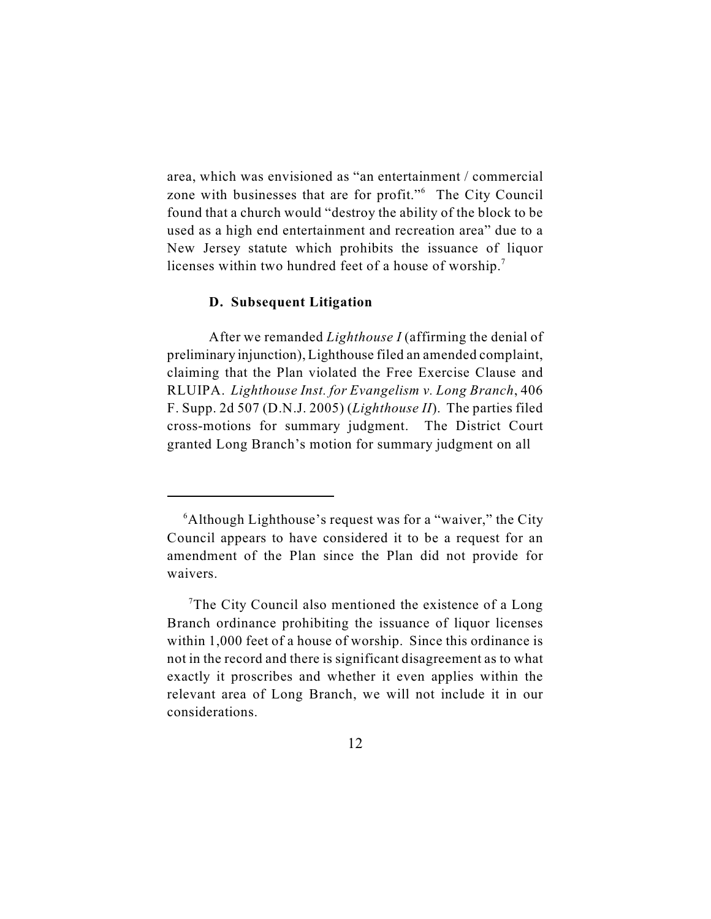area, which was envisioned as "an entertainment / commercial zone with businesses that are for profit."<sup>6</sup> The City Council found that a church would "destroy the ability of the block to be used as a high end entertainment and recreation area" due to a New Jersey statute which prohibits the issuance of liquor licenses within two hundred feet of a house of worship.<sup>7</sup>

#### **D. Subsequent Litigation**

After we remanded *Lighthouse I* (affirming the denial of preliminary injunction), Lighthouse filed an amended complaint, claiming that the Plan violated the Free Exercise Clause and RLUIPA. *Lighthouse Inst. for Evangelism v. Long Branch*, 406 F. Supp. 2d 507 (D.N.J. 2005) (*Lighthouse II*). The parties filed cross-motions for summary judgment. The District Court granted Long Branch's motion for summary judgment on all

 $<sup>6</sup>$ Although Lighthouse's request was for a "waiver," the City</sup> Council appears to have considered it to be a request for an amendment of the Plan since the Plan did not provide for waivers.

<sup>&</sup>lt;sup>7</sup>The City Council also mentioned the existence of a Long Branch ordinance prohibiting the issuance of liquor licenses within 1,000 feet of a house of worship. Since this ordinance is not in the record and there is significant disagreement as to what exactly it proscribes and whether it even applies within the relevant area of Long Branch, we will not include it in our considerations.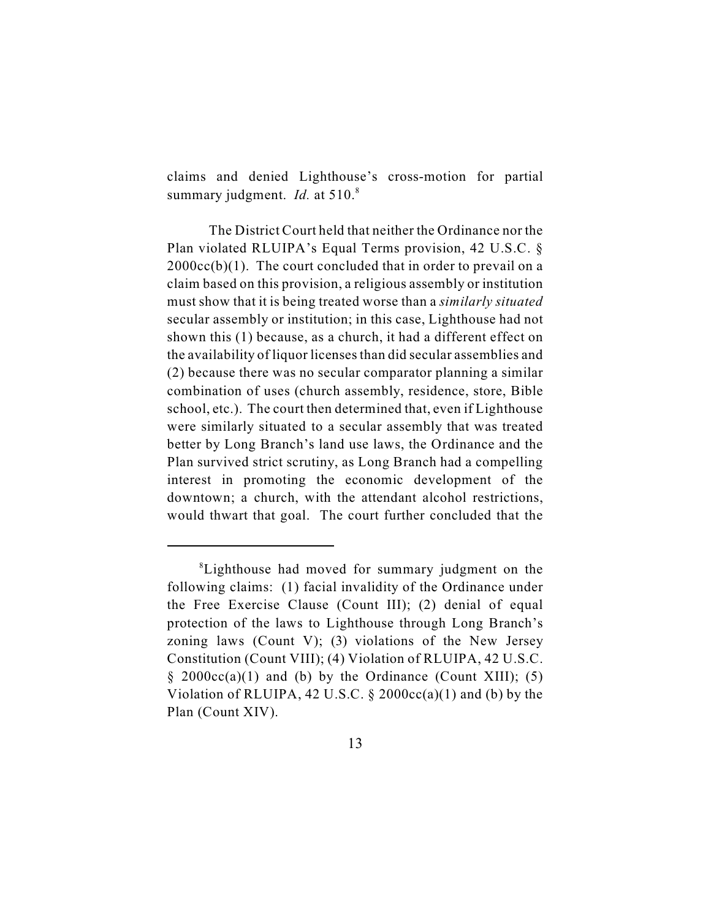claims and denied Lighthouse's cross-motion for partial summary judgment. *Id.* at 510.<sup>8</sup>

The District Court held that neither the Ordinance nor the Plan violated RLUIPA's Equal Terms provision, 42 U.S.C. §  $2000cc(b)(1)$ . The court concluded that in order to prevail on a claim based on this provision, a religious assembly or institution must show that it is being treated worse than a *similarly situated* secular assembly or institution; in this case, Lighthouse had not shown this (1) because, as a church, it had a different effect on the availability of liquor licenses than did secular assemblies and (2) because there was no secular comparator planning a similar combination of uses (church assembly, residence, store, Bible school, etc.). The court then determined that, even if Lighthouse were similarly situated to a secular assembly that was treated better by Long Branch's land use laws, the Ordinance and the Plan survived strict scrutiny, as Long Branch had a compelling interest in promoting the economic development of the downtown; a church, with the attendant alcohol restrictions, would thwart that goal. The court further concluded that the

<sup>&</sup>lt;sup>8</sup>Lighthouse had moved for summary judgment on the following claims: (1) facial invalidity of the Ordinance under the Free Exercise Clause (Count III); (2) denial of equal protection of the laws to Lighthouse through Long Branch's zoning laws (Count V); (3) violations of the New Jersey Constitution (Count VIII); (4) Violation of RLUIPA, 42 U.S.C.  $\S$  2000cc(a)(1) and (b) by the Ordinance (Count XIII); (5) Violation of RLUIPA, 42 U.S.C.  $\S$  2000cc(a)(1) and (b) by the Plan (Count XIV).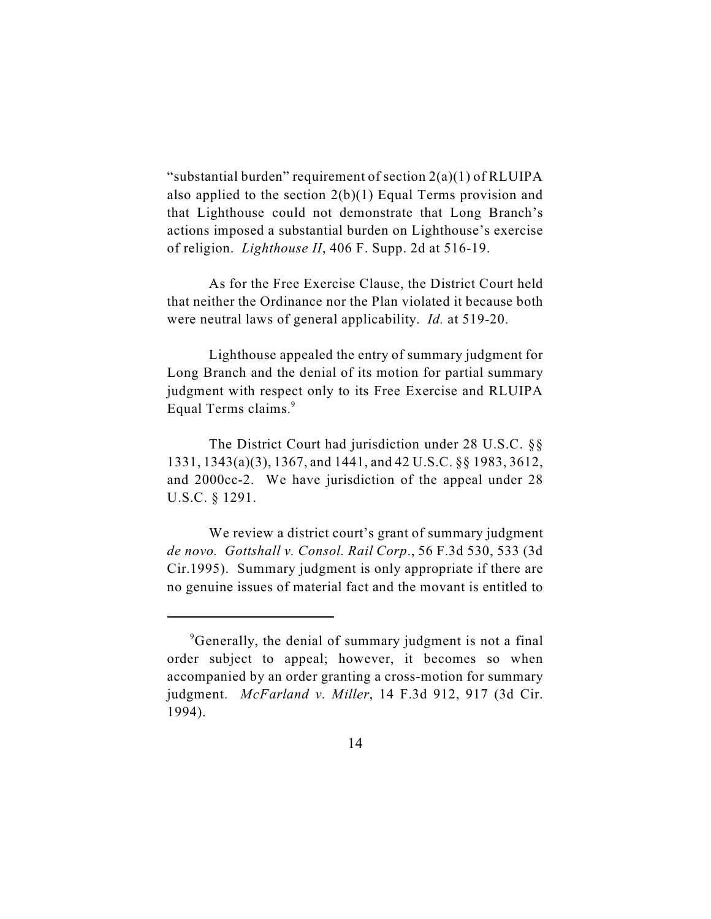"substantial burden" requirement of section  $2(a)(1)$  of RLUIPA also applied to the section 2(b)(1) Equal Terms provision and that Lighthouse could not demonstrate that Long Branch's actions imposed a substantial burden on Lighthouse's exercise of religion. *Lighthouse II*, 406 F. Supp. 2d at 516-19.

As for the Free Exercise Clause, the District Court held that neither the Ordinance nor the Plan violated it because both were neutral laws of general applicability. *Id.* at 519-20.

Lighthouse appealed the entry of summary judgment for Long Branch and the denial of its motion for partial summary judgment with respect only to its Free Exercise and RLUIPA Equal Terms claims.<sup>9</sup>

The District Court had jurisdiction under 28 U.S.C. §§ 1331, 1343(a)(3), 1367, and 1441, and 42 U.S.C. §§ 1983, 3612, and 2000cc-2. We have jurisdiction of the appeal under 28 U.S.C. § 1291.

We review a district court's grant of summary judgment *de novo. Gottshall v. Consol. Rail Corp*., 56 F.3d 530, 533 (3d Cir.1995). Summary judgment is only appropriate if there are no genuine issues of material fact and the movant is entitled to

<sup>&</sup>lt;sup>9</sup>Generally, the denial of summary judgment is not a final order subject to appeal; however, it becomes so when accompanied by an order granting a cross-motion for summary judgment. *McFarland v. Miller*, 14 F.3d 912, 917 (3d Cir. 1994).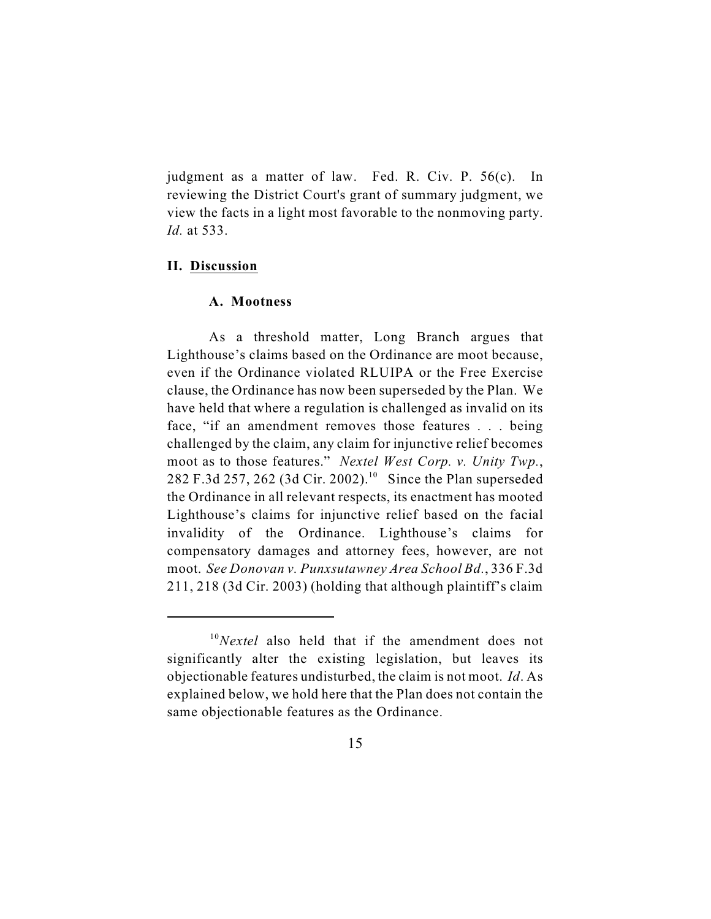judgment as a matter of law. Fed. R. Civ. P. 56(c). In reviewing the District Court's grant of summary judgment, we view the facts in a light most favorable to the nonmoving party. *Id.* at 533.

#### **II. Discussion**

# **A. Mootness**

As a threshold matter, Long Branch argues that Lighthouse's claims based on the Ordinance are moot because, even if the Ordinance violated RLUIPA or the Free Exercise clause, the Ordinance has now been superseded by the Plan. We have held that where a regulation is challenged as invalid on its face, "if an amendment removes those features . . . being challenged by the claim, any claim for injunctive relief becomes moot as to those features." *Nextel West Corp. v. Unity Twp.*, 282 F.3d 257, 262 (3d Cir. 2002).<sup>10</sup> Since the Plan superseded the Ordinance in all relevant respects, its enactment has mooted Lighthouse's claims for injunctive relief based on the facial invalidity of the Ordinance. Lighthouse's claims for compensatory damages and attorney fees, however, are not moot. *See Donovan v. Punxsutawney Area School Bd.*, 336 F.3d 211, 218 (3d Cir. 2003) (holding that although plaintiff's claim

 $^{10}$ *Nextel* also held that if the amendment does not significantly alter the existing legislation, but leaves its objectionable features undisturbed, the claim is not moot. *Id*. As explained below, we hold here that the Plan does not contain the same objectionable features as the Ordinance.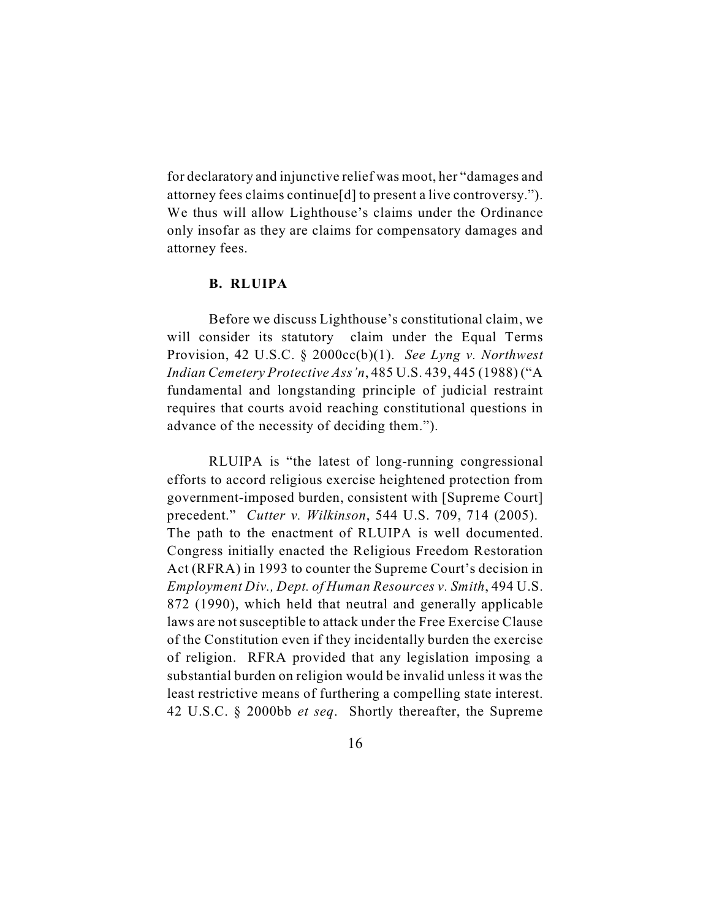for declaratory and injunctive relief was moot, her "damages and attorney fees claims continue[d] to present a live controversy."). We thus will allow Lighthouse's claims under the Ordinance only insofar as they are claims for compensatory damages and attorney fees.

#### **B. RLUIPA**

Before we discuss Lighthouse's constitutional claim, we will consider its statutory claim under the Equal Terms Provision, 42 U.S.C. § 2000cc(b)(1). *See Lyng v. Northwest Indian Cemetery Protective Ass'n*, 485 U.S. 439, 445 (1988) ("A fundamental and longstanding principle of judicial restraint requires that courts avoid reaching constitutional questions in advance of the necessity of deciding them.").

RLUIPA is "the latest of long-running congressional efforts to accord religious exercise heightened protection from government-imposed burden, consistent with [Supreme Court] precedent." *Cutter v. Wilkinson*, 544 U.S. 709, 714 (2005). The path to the enactment of RLUIPA is well documented. Congress initially enacted the Religious Freedom Restoration Act (RFRA) in 1993 to counter the Supreme Court's decision in *Employment Div., Dept. of Human Resources v. Smith*, 494 U.S. 872 (1990), which held that neutral and generally applicable laws are not susceptible to attack under the Free Exercise Clause of the Constitution even if they incidentally burden the exercise of religion. RFRA provided that any legislation imposing a substantial burden on religion would be invalid unless it was the least restrictive means of furthering a compelling state interest. 42 U.S.C. § 2000bb *et seq*. Shortly thereafter, the Supreme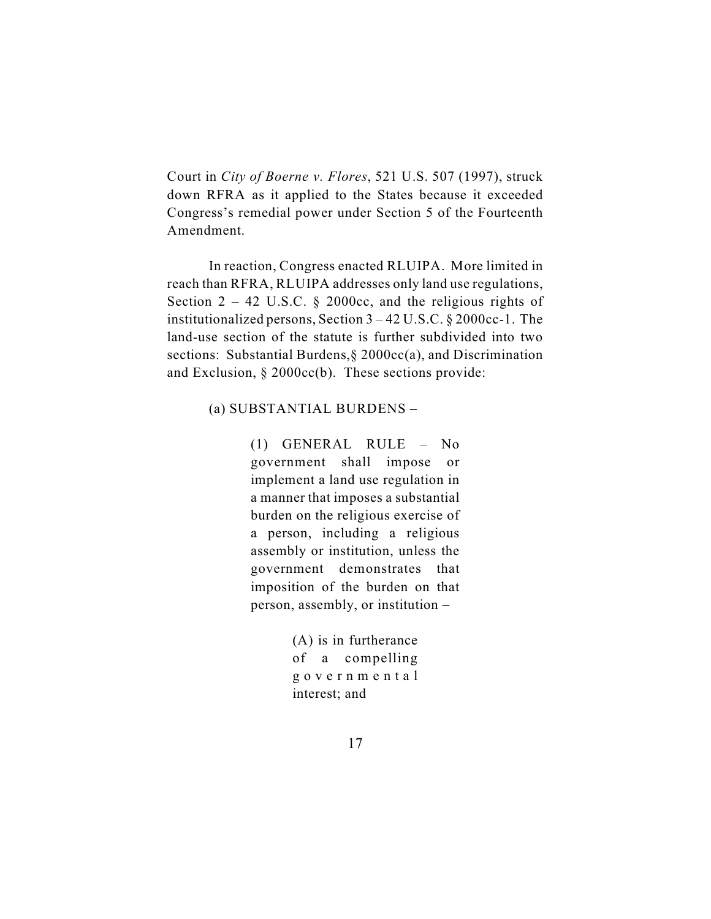Court in *City of Boerne v. Flores*, 521 U.S. 507 (1997), struck down RFRA as it applied to the States because it exceeded Congress's remedial power under Section 5 of the Fourteenth Amendment.

In reaction, Congress enacted RLUIPA. More limited in reach than RFRA, RLUIPA addresses only land use regulations, Section  $2 - 42$  U.S.C. § 2000cc, and the religious rights of institutionalized persons, Section 3 – 42 U.S.C. § 2000cc-1. The land-use section of the statute is further subdivided into two sections: Substantial Burdens, § 2000cc(a), and Discrimination and Exclusion, § 2000cc(b). These sections provide:

#### (a) SUBSTANTIAL BURDENS –

(1) GENERAL RULE – No government shall impose or implement a land use regulation in a manner that imposes a substantial burden on the religious exercise of a person, including a religious assembly or institution, unless the government demonstrates that imposition of the burden on that person, assembly, or institution –

> (A) is in furtherance of a compelling g o ver n m ent a l interest; and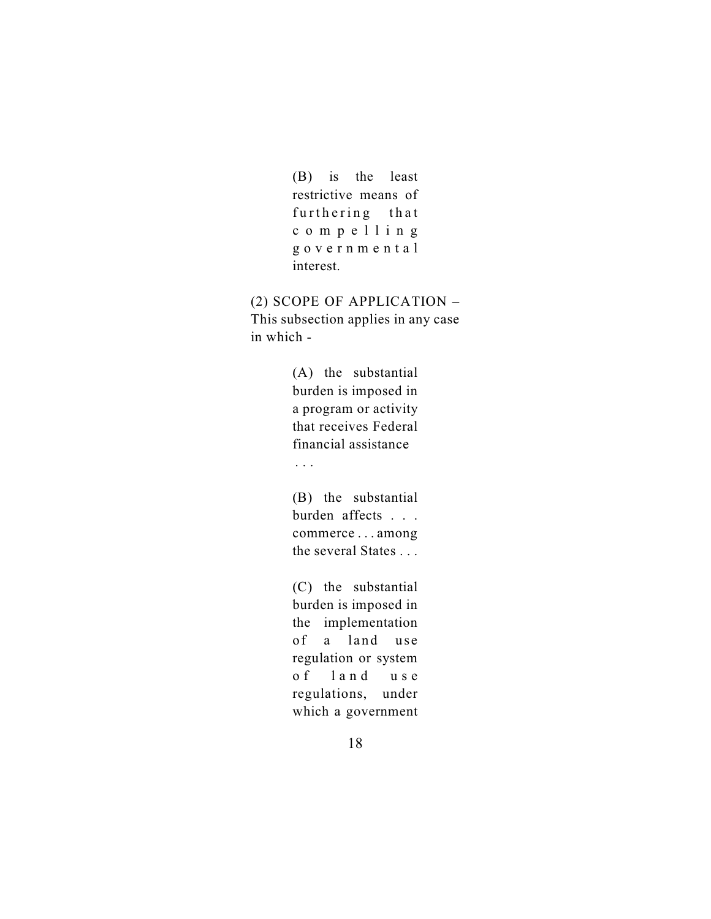(B) is the least restrictive means of furthering that compel l i n g g o ver n m ent a l interest.

(2) SCOPE OF APPLICATION – This subsection applies in any case in which -

> (A) the substantial burden is imposed in a program or activity that receives Federal financial assistance

. . .

(B) the substantial burden affects . . . commerce . . . among the several States . . .

(C) the substantial burden is imposed in the implementation of a land use regulation or system o f land u s e regulations, under which a government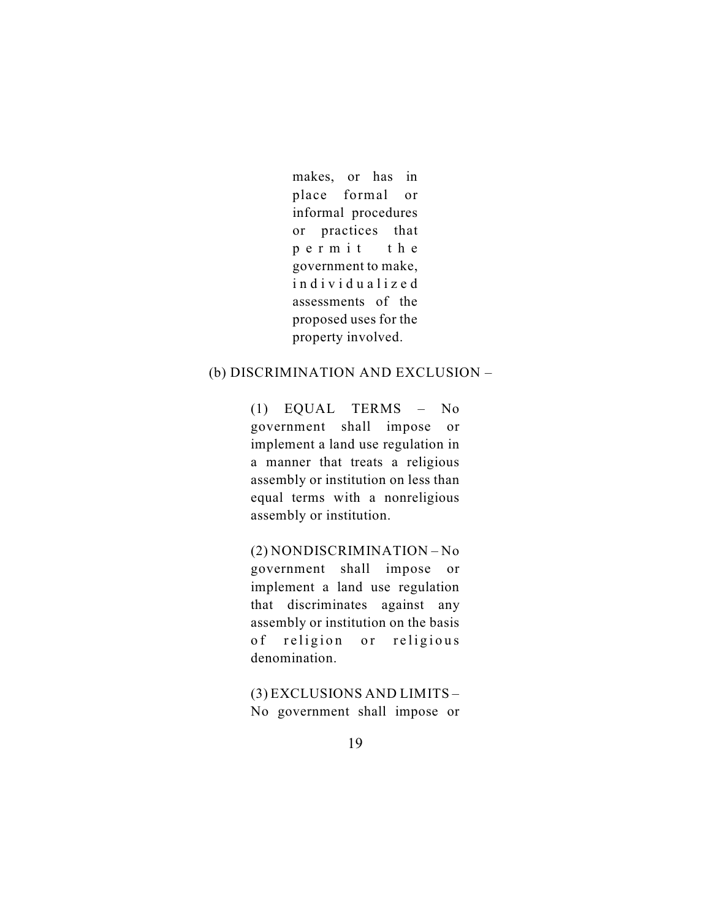makes, or has in place formal or informal procedures or practices that per m i t the government to make, individualized assessments of the proposed uses for the property involved.

# (b) DISCRIMINATION AND EXCLUSION –

(1) EQUAL TERMS – No government shall impose or implement a land use regulation in a manner that treats a religious assembly or institution on less than equal terms with a nonreligious assembly or institution.

(2) NONDISCRIMINATION – No government shall impose or implement a land use regulation that discriminates against any assembly or institution on the basis of religion or religious denomination.

(3) EXCLUSIONS AND LIMITS – No government shall impose or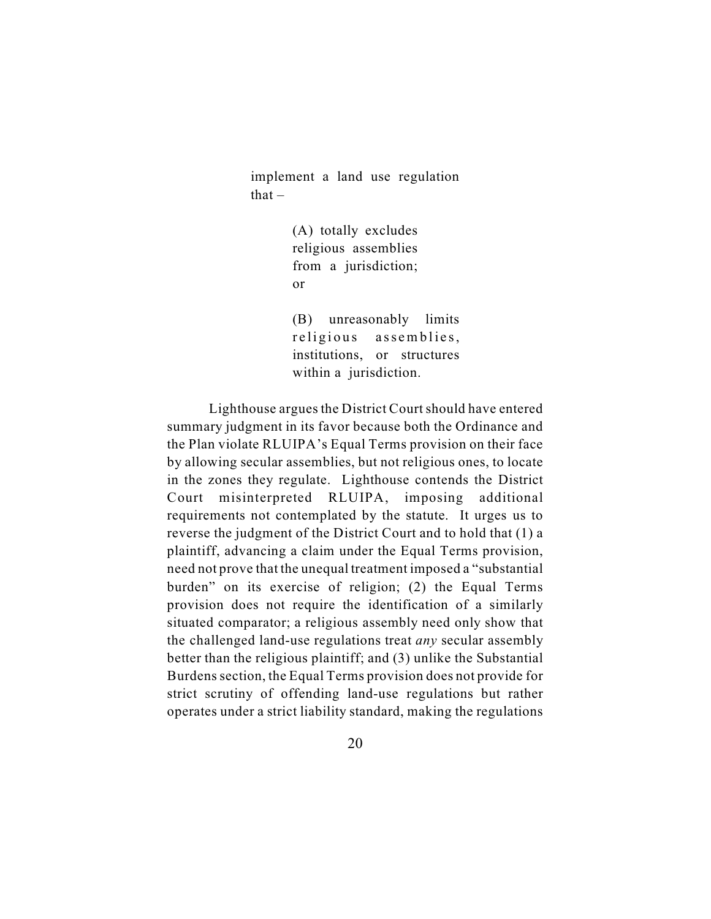implement a land use regulation  $that -$ 

> (A) totally excludes religious assemblies from a jurisdiction; or

(B) unreasonably limits religious assemblies, institutions, or structures within a jurisdiction.

Lighthouse argues the District Court should have entered summary judgment in its favor because both the Ordinance and the Plan violate RLUIPA's Equal Terms provision on their face by allowing secular assemblies, but not religious ones, to locate in the zones they regulate. Lighthouse contends the District Court misinterpreted RLUIPA, imposing additional requirements not contemplated by the statute. It urges us to reverse the judgment of the District Court and to hold that (1) a plaintiff, advancing a claim under the Equal Terms provision, need not prove that the unequal treatment imposed a "substantial burden" on its exercise of religion; (2) the Equal Terms provision does not require the identification of a similarly situated comparator; a religious assembly need only show that the challenged land-use regulations treat *any* secular assembly better than the religious plaintiff; and (3) unlike the Substantial Burdens section, the Equal Terms provision does not provide for strict scrutiny of offending land-use regulations but rather operates under a strict liability standard, making the regulations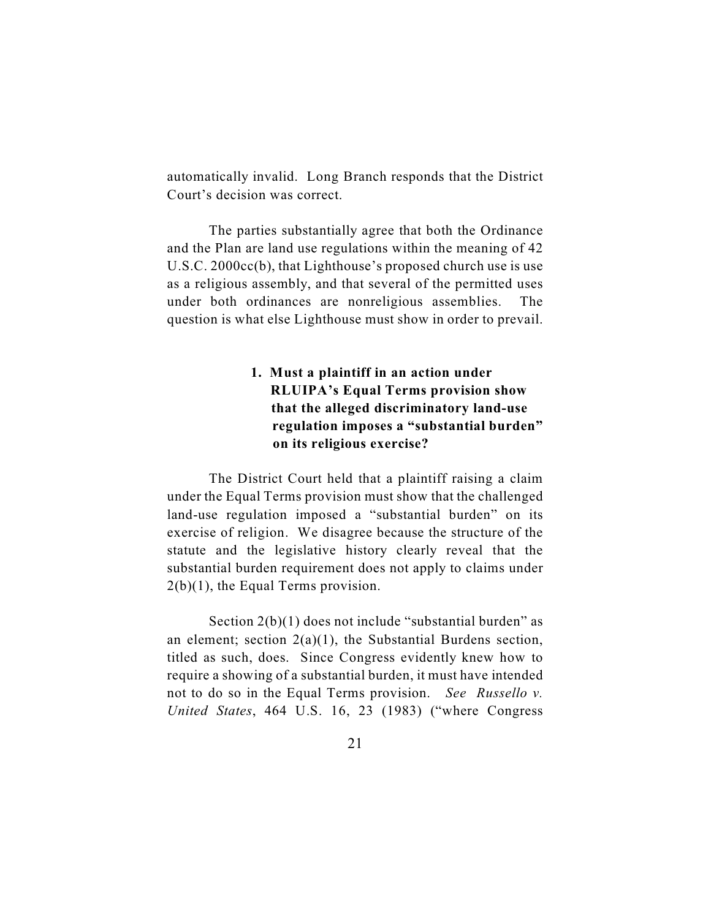automatically invalid. Long Branch responds that the District Court's decision was correct.

The parties substantially agree that both the Ordinance and the Plan are land use regulations within the meaning of 42 U.S.C. 2000cc(b), that Lighthouse's proposed church use is use as a religious assembly, and that several of the permitted uses under both ordinances are nonreligious assemblies. The question is what else Lighthouse must show in order to prevail.

# **1. Must a plaintiff in an action under RLUIPA's Equal Terms provision show that the alleged discriminatory land-use regulation imposes a "substantial burden" on its religious exercise?**

The District Court held that a plaintiff raising a claim under the Equal Terms provision must show that the challenged land-use regulation imposed a "substantial burden" on its exercise of religion. We disagree because the structure of the statute and the legislative history clearly reveal that the substantial burden requirement does not apply to claims under 2(b)(1), the Equal Terms provision.

Section 2(b)(1) does not include "substantial burden" as an element; section 2(a)(1), the Substantial Burdens section, titled as such, does. Since Congress evidently knew how to require a showing of a substantial burden, it must have intended not to do so in the Equal Terms provision. *See Russello v. United States*, 464 U.S. 16, 23 (1983) ("where Congress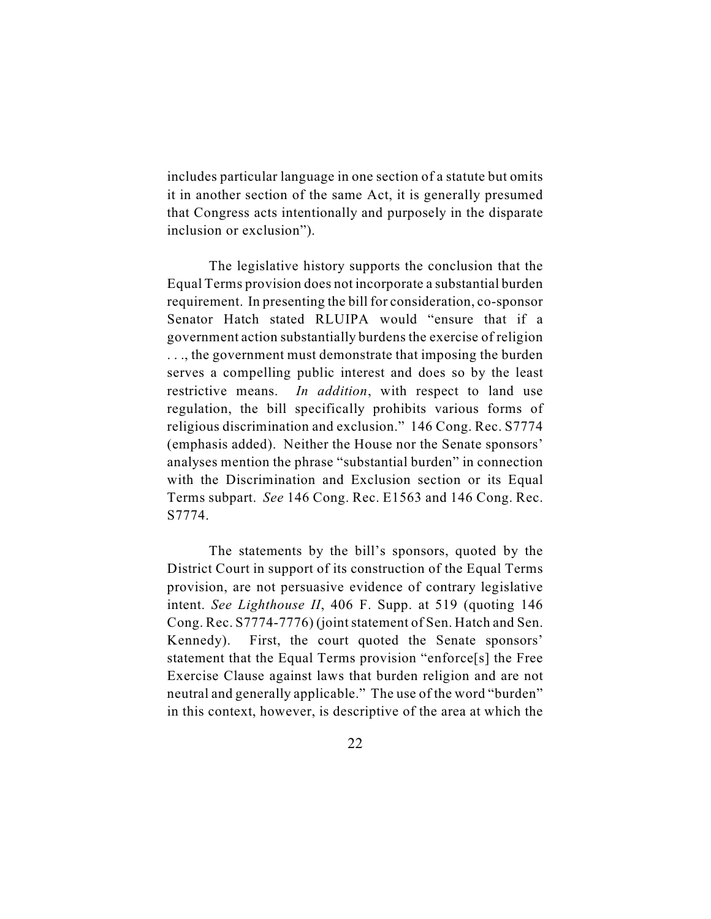includes particular language in one section of a statute but omits it in another section of the same Act, it is generally presumed that Congress acts intentionally and purposely in the disparate inclusion or exclusion").

The legislative history supports the conclusion that the Equal Terms provision does not incorporate a substantial burden requirement. In presenting the bill for consideration, co-sponsor Senator Hatch stated RLUIPA would "ensure that if a government action substantially burdens the exercise of religion . . ., the government must demonstrate that imposing the burden serves a compelling public interest and does so by the least restrictive means. *In addition*, with respect to land use regulation, the bill specifically prohibits various forms of religious discrimination and exclusion." 146 Cong. Rec. S7774 (emphasis added). Neither the House nor the Senate sponsors' analyses mention the phrase "substantial burden" in connection with the Discrimination and Exclusion section or its Equal Terms subpart. *See* 146 Cong. Rec. E1563 and 146 Cong. Rec. S7774.

The statements by the bill's sponsors, quoted by the District Court in support of its construction of the Equal Terms provision, are not persuasive evidence of contrary legislative intent. *See Lighthouse II*, 406 F. Supp. at 519 (quoting 146 Cong. Rec. S7774-7776) (joint statement of Sen. Hatch and Sen. Kennedy). First, the court quoted the Senate sponsors' statement that the Equal Terms provision "enforce[s] the Free Exercise Clause against laws that burden religion and are not neutral and generally applicable." The use of the word "burden" in this context, however, is descriptive of the area at which the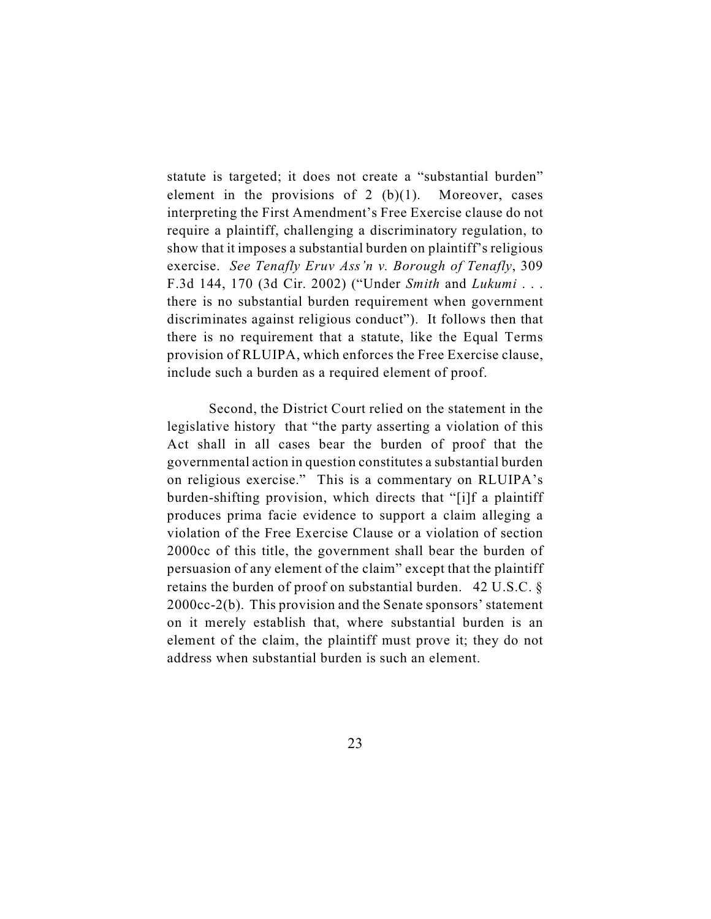statute is targeted; it does not create a "substantial burden" element in the provisions of  $2 \, (b)(1)$ . Moreover, cases interpreting the First Amendment's Free Exercise clause do not require a plaintiff, challenging a discriminatory regulation, to show that it imposes a substantial burden on plaintiff's religious exercise. *See Tenafly Eruv Ass'n v. Borough of Tenafly*, 309 F.3d 144, 170 (3d Cir. 2002) ("Under *Smith* and *Lukumi* . . . there is no substantial burden requirement when government discriminates against religious conduct"). It follows then that there is no requirement that a statute, like the Equal Terms provision of RLUIPA, which enforces the Free Exercise clause, include such a burden as a required element of proof.

Second, the District Court relied on the statement in the legislative history that "the party asserting a violation of this Act shall in all cases bear the burden of proof that the governmental action in question constitutes a substantial burden on religious exercise." This is a commentary on RLUIPA's burden-shifting provision, which directs that "[i]f a plaintiff produces prima facie evidence to support a claim alleging a violation of the Free Exercise Clause or a violation of section 2000cc of this title, the government shall bear the burden of persuasion of any element of the claim" except that the plaintiff retains the burden of proof on substantial burden. 42 U.S.C. § 2000cc-2(b). This provision and the Senate sponsors' statement on it merely establish that, where substantial burden is an element of the claim, the plaintiff must prove it; they do not address when substantial burden is such an element.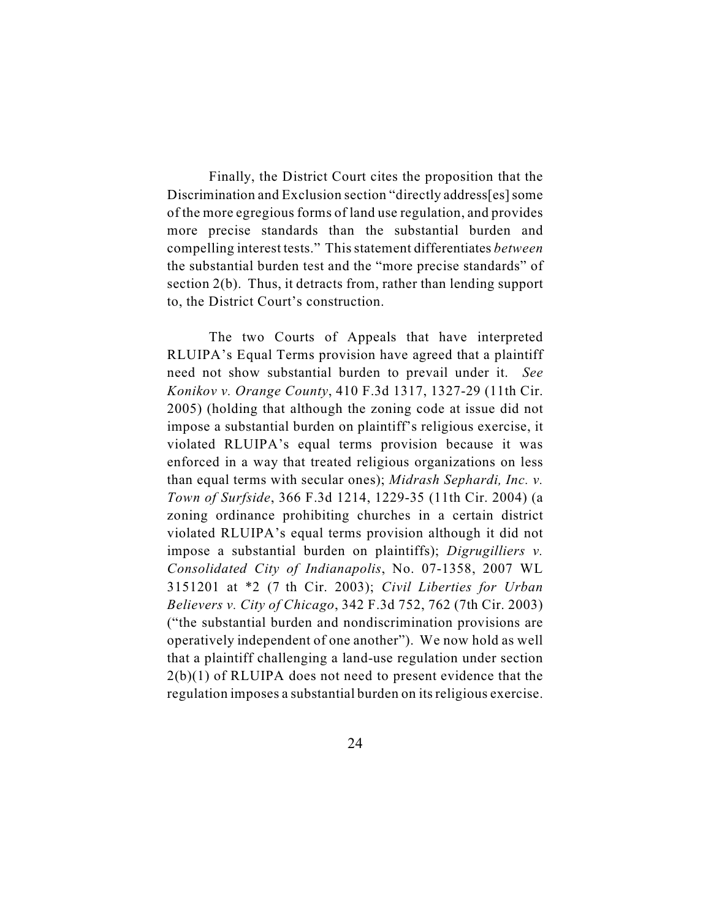Finally, the District Court cites the proposition that the Discrimination and Exclusion section "directly address[es] some of the more egregious forms of land use regulation, and provides more precise standards than the substantial burden and compelling interest tests." This statement differentiates *between* the substantial burden test and the "more precise standards" of section 2(b). Thus, it detracts from, rather than lending support to, the District Court's construction.

The two Courts of Appeals that have interpreted RLUIPA's Equal Terms provision have agreed that a plaintiff need not show substantial burden to prevail under it. *See Konikov v. Orange County*, 410 F.3d 1317, 1327-29 (11th Cir. 2005) (holding that although the zoning code at issue did not impose a substantial burden on plaintiff's religious exercise, it violated RLUIPA's equal terms provision because it was enforced in a way that treated religious organizations on less than equal terms with secular ones); *Midrash Sephardi, Inc. v. Town of Surfside*, 366 F.3d 1214, 1229-35 (11th Cir. 2004) (a zoning ordinance prohibiting churches in a certain district violated RLUIPA's equal terms provision although it did not impose a substantial burden on plaintiffs); *Digrugilliers v. Consolidated City of Indianapolis*, No. 07-1358, 2007 WL 3151201 at \*2 (7 th Cir. 2003); *Civil Liberties for Urban Believers v. City of Chicago*, 342 F.3d 752, 762 (7th Cir. 2003) ("the substantial burden and nondiscrimination provisions are operatively independent of one another"). We now hold as well that a plaintiff challenging a land-use regulation under section  $2(b)(1)$  of RLUIPA does not need to present evidence that the regulation imposes a substantial burden on its religious exercise.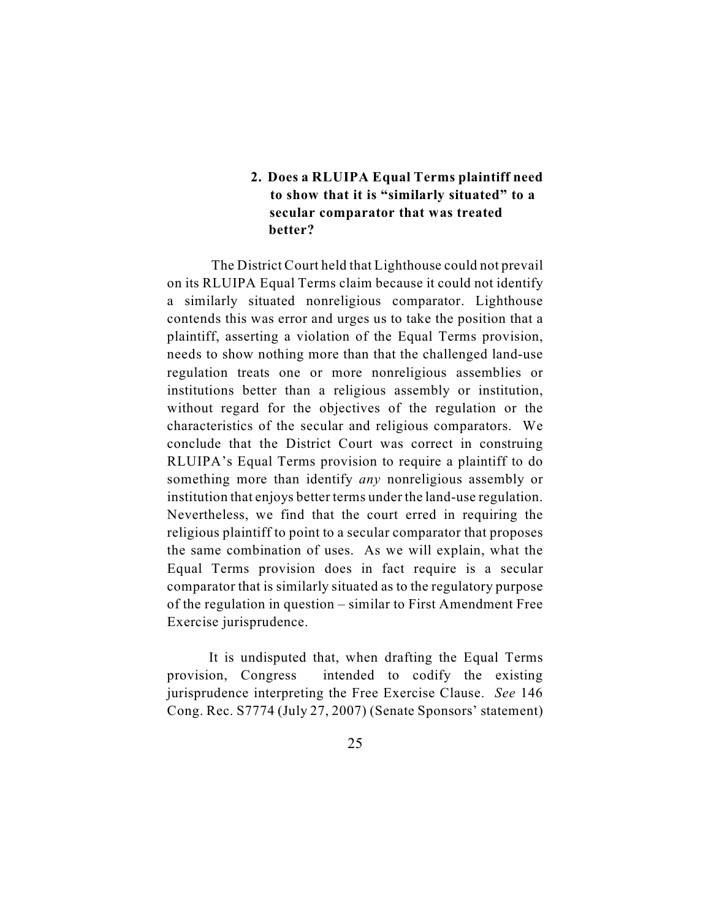# **2. Does a RLUIPA Equal Terms plaintiff need to show that it is "similarly situated" to a secular comparator that was treated better?**

The District Court held that Lighthouse could not prevail on its RLUIPA Equal Terms claim because it could not identify a similarly situated nonreligious comparator. Lighthouse contends this was error and urges us to take the position that a plaintiff, asserting a violation of the Equal Terms provision, needs to show nothing more than that the challenged land-use regulation treats one or more nonreligious assemblies or institutions better than a religious assembly or institution, without regard for the objectives of the regulation or the characteristics of the secular and religious comparators. We conclude that the District Court was correct in construing RLUIPA's Equal Terms provision to require a plaintiff to do something more than identify *any* nonreligious assembly or institution that enjoys better terms under the land-use regulation. Nevertheless, we find that the court erred in requiring the religious plaintiff to point to a secular comparator that proposes the same combination of uses. As we will explain, what the Equal Terms provision does in fact require is a secular comparator that is similarly situated as to the regulatory purpose of the regulation in question – similar to First Amendment Free Exercise jurisprudence.

It is undisputed that, when drafting the Equal Terms provision, Congress intended to codify the existing jurisprudence interpreting the Free Exercise Clause. *See* 146 Cong. Rec. S7774 (July 27, 2007) (Senate Sponsors' statement)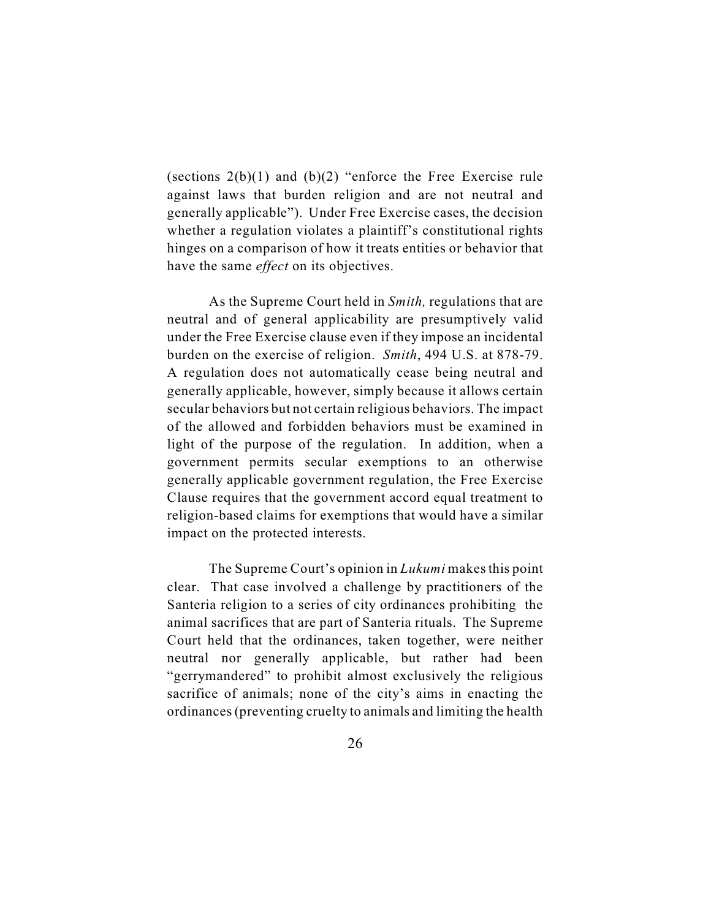(sections 2(b)(1) and (b)(2) "enforce the Free Exercise rule against laws that burden religion and are not neutral and generally applicable"). Under Free Exercise cases, the decision whether a regulation violates a plaintiff's constitutional rights hinges on a comparison of how it treats entities or behavior that have the same *effect* on its objectives.

As the Supreme Court held in *Smith,* regulations that are neutral and of general applicability are presumptively valid under the Free Exercise clause even if they impose an incidental burden on the exercise of religion. *Smith*, 494 U.S. at 878-79. A regulation does not automatically cease being neutral and generally applicable, however, simply because it allows certain secular behaviors but not certain religious behaviors. The impact of the allowed and forbidden behaviors must be examined in light of the purpose of the regulation. In addition, when a government permits secular exemptions to an otherwise generally applicable government regulation, the Free Exercise Clause requires that the government accord equal treatment to religion-based claims for exemptions that would have a similar impact on the protected interests.

The Supreme Court's opinion in *Lukumi* makes this point clear. That case involved a challenge by practitioners of the Santeria religion to a series of city ordinances prohibiting the animal sacrifices that are part of Santeria rituals. The Supreme Court held that the ordinances, taken together, were neither neutral nor generally applicable, but rather had been "gerrymandered" to prohibit almost exclusively the religious sacrifice of animals; none of the city's aims in enacting the ordinances (preventing cruelty to animals and limiting the health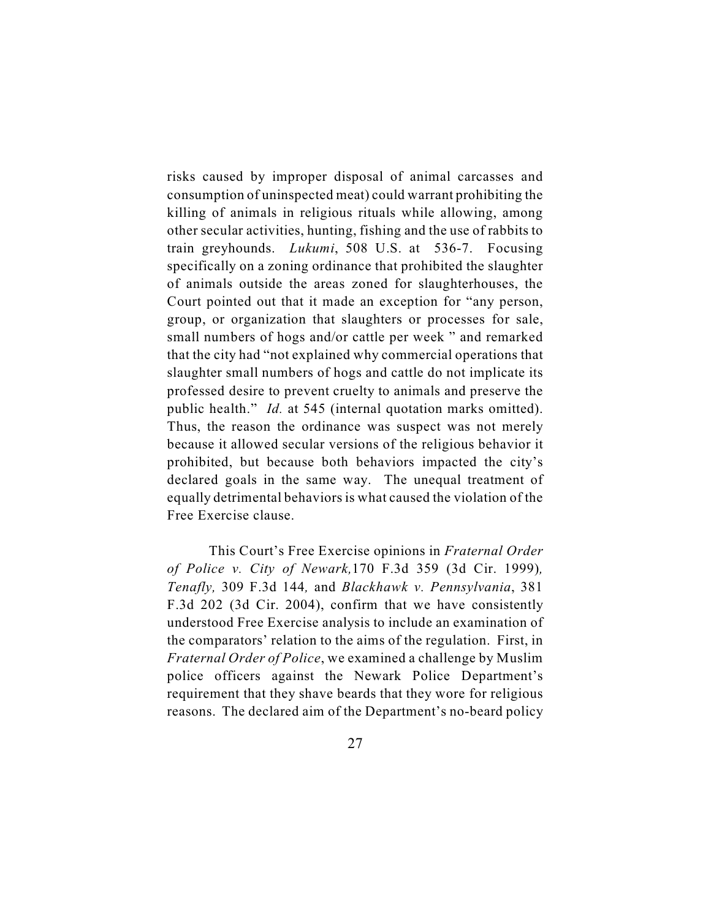risks caused by improper disposal of animal carcasses and consumption of uninspected meat) could warrant prohibiting the killing of animals in religious rituals while allowing, among other secular activities, hunting, fishing and the use of rabbits to train greyhounds. *Lukumi*, 508 U.S. at 536-7. Focusing specifically on a zoning ordinance that prohibited the slaughter of animals outside the areas zoned for slaughterhouses, the Court pointed out that it made an exception for "any person, group, or organization that slaughters or processes for sale, small numbers of hogs and/or cattle per week " and remarked that the city had "not explained why commercial operations that slaughter small numbers of hogs and cattle do not implicate its professed desire to prevent cruelty to animals and preserve the public health." *Id.* at 545 (internal quotation marks omitted). Thus, the reason the ordinance was suspect was not merely because it allowed secular versions of the religious behavior it prohibited, but because both behaviors impacted the city's declared goals in the same way. The unequal treatment of equally detrimental behaviors is what caused the violation of the Free Exercise clause.

This Court's Free Exercise opinions in *Fraternal Order of Police v. City of Newark,*170 F.3d 359 (3d Cir. 1999)*, Tenafly,* 309 F.3d 144*,* and *Blackhawk v. Pennsylvania*, 381 F.3d 202 (3d Cir. 2004), confirm that we have consistently understood Free Exercise analysis to include an examination of the comparators' relation to the aims of the regulation. First, in *Fraternal Order of Police*, we examined a challenge by Muslim police officers against the Newark Police Department's requirement that they shave beards that they wore for religious reasons. The declared aim of the Department's no-beard policy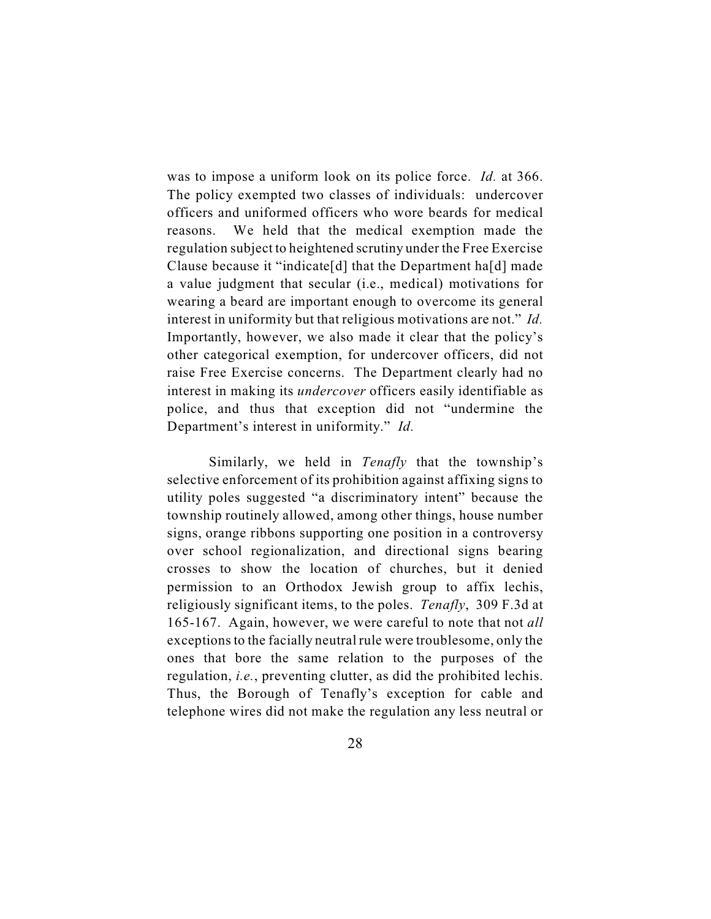was to impose a uniform look on its police force. *Id.* at 366. The policy exempted two classes of individuals: undercover officers and uniformed officers who wore beards for medical reasons. We held that the medical exemption made the regulation subject to heightened scrutiny under the Free Exercise Clause because it "indicate[d] that the Department ha[d] made a value judgment that secular (i.e., medical) motivations for wearing a beard are important enough to overcome its general interest in uniformity but that religious motivations are not." *Id.* Importantly, however, we also made it clear that the policy's other categorical exemption, for undercover officers, did not raise Free Exercise concerns. The Department clearly had no interest in making its *undercover* officers easily identifiable as police, and thus that exception did not "undermine the Department's interest in uniformity." *Id.*

Similarly, we held in *Tenafly* that the township's selective enforcement of its prohibition against affixing signs to utility poles suggested "a discriminatory intent" because the township routinely allowed, among other things, house number signs, orange ribbons supporting one position in a controversy over school regionalization, and directional signs bearing crosses to show the location of churches, but it denied permission to an Orthodox Jewish group to affix lechis, religiously significant items, to the poles. *Tenafly*, 309 F.3d at 165-167. Again, however, we were careful to note that not *all* exceptions to the facially neutral rule were troublesome, only the ones that bore the same relation to the purposes of the regulation, *i.e.*, preventing clutter, as did the prohibited lechis. Thus, the Borough of Tenafly's exception for cable and telephone wires did not make the regulation any less neutral or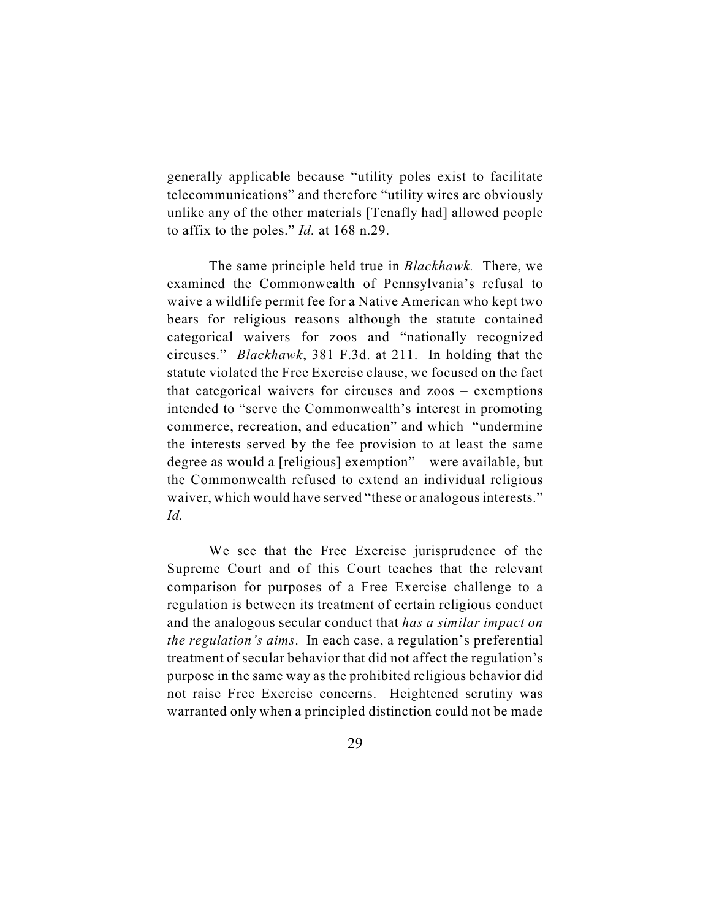generally applicable because "utility poles exist to facilitate telecommunications" and therefore "utility wires are obviously unlike any of the other materials [Tenafly had] allowed people to affix to the poles." *Id.* at 168 n.29.

The same principle held true in *Blackhawk.* There, we examined the Commonwealth of Pennsylvania's refusal to waive a wildlife permit fee for a Native American who kept two bears for religious reasons although the statute contained categorical waivers for zoos and "nationally recognized circuses." *Blackhawk*, 381 F.3d. at 211. In holding that the statute violated the Free Exercise clause, we focused on the fact that categorical waivers for circuses and zoos – exemptions intended to "serve the Commonwealth's interest in promoting commerce, recreation, and education" and which "undermine the interests served by the fee provision to at least the same degree as would a [religious] exemption" – were available, but the Commonwealth refused to extend an individual religious waiver, which would have served "these or analogous interests." *Id.*

We see that the Free Exercise jurisprudence of the Supreme Court and of this Court teaches that the relevant comparison for purposes of a Free Exercise challenge to a regulation is between its treatment of certain religious conduct and the analogous secular conduct that *has a similar impact on the regulation's aims*. In each case, a regulation's preferential treatment of secular behavior that did not affect the regulation's purpose in the same way as the prohibited religious behavior did not raise Free Exercise concerns. Heightened scrutiny was warranted only when a principled distinction could not be made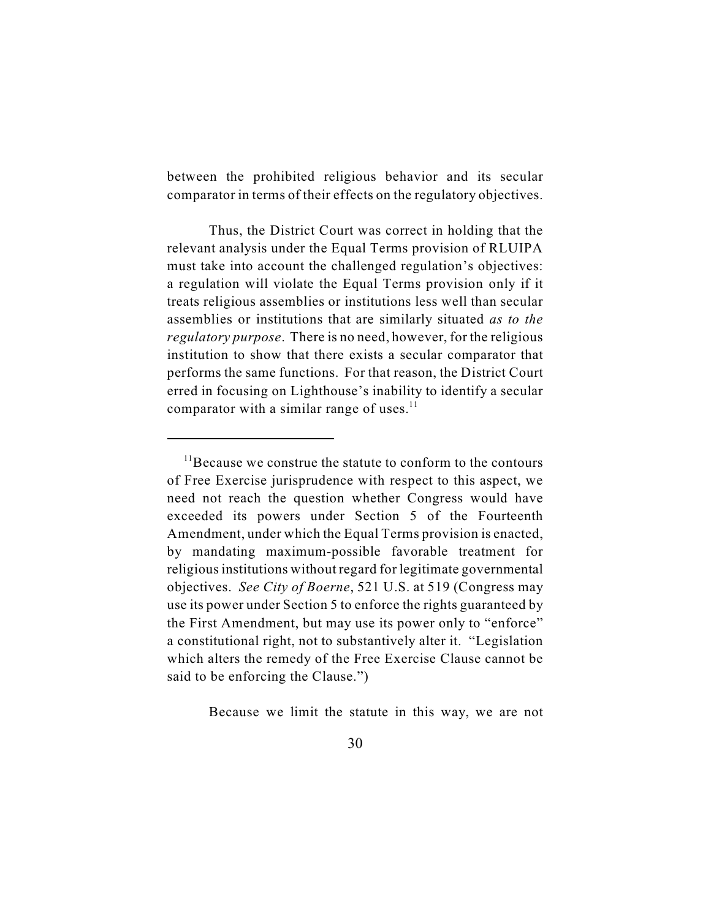between the prohibited religious behavior and its secular comparator in terms of their effects on the regulatory objectives.

Thus, the District Court was correct in holding that the relevant analysis under the Equal Terms provision of RLUIPA must take into account the challenged regulation's objectives: a regulation will violate the Equal Terms provision only if it treats religious assemblies or institutions less well than secular assemblies or institutions that are similarly situated *as to the regulatory purpose*. There is no need, however, for the religious institution to show that there exists a secular comparator that performs the same functions. For that reason, the District Court erred in focusing on Lighthouse's inability to identify a secular comparator with a similar range of uses. $<sup>11</sup>$ </sup>

Because we limit the statute in this way, we are not

 $11$ Because we construe the statute to conform to the contours of Free Exercise jurisprudence with respect to this aspect, we need not reach the question whether Congress would have exceeded its powers under Section 5 of the Fourteenth Amendment, under which the Equal Terms provision is enacted, by mandating maximum-possible favorable treatment for religious institutions without regard for legitimate governmental objectives. *See City of Boerne*, 521 U.S. at 519 (Congress may use its power under Section 5 to enforce the rights guaranteed by the First Amendment, but may use its power only to "enforce" a constitutional right, not to substantively alter it. "Legislation which alters the remedy of the Free Exercise Clause cannot be said to be enforcing the Clause.")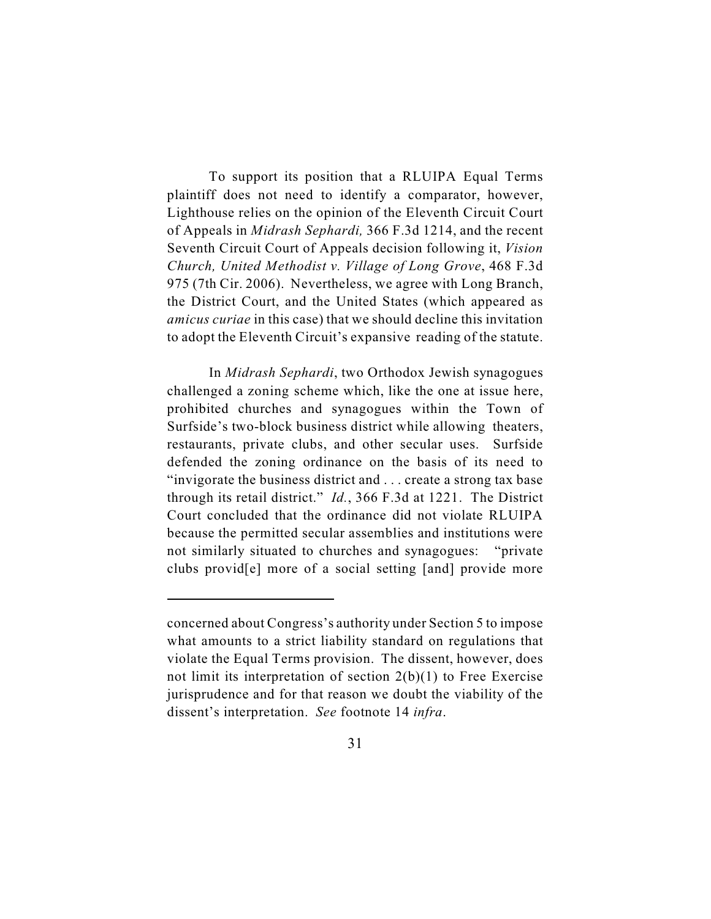To support its position that a RLUIPA Equal Terms plaintiff does not need to identify a comparator, however, Lighthouse relies on the opinion of the Eleventh Circuit Court of Appeals in *Midrash Sephardi,* 366 F.3d 1214, and the recent Seventh Circuit Court of Appeals decision following it, *Vision Church, United Methodist v. Village of Long Grove*, 468 F.3d 975 (7th Cir. 2006). Nevertheless, we agree with Long Branch, the District Court, and the United States (which appeared as *amicus curiae* in this case) that we should decline this invitation to adopt the Eleventh Circuit's expansive reading of the statute.

In *Midrash Sephardi*, two Orthodox Jewish synagogues challenged a zoning scheme which, like the one at issue here, prohibited churches and synagogues within the Town of Surfside's two-block business district while allowing theaters, restaurants, private clubs, and other secular uses. Surfside defended the zoning ordinance on the basis of its need to "invigorate the business district and . . . create a strong tax base through its retail district." *Id.*, 366 F.3d at 1221. The District Court concluded that the ordinance did not violate RLUIPA because the permitted secular assemblies and institutions were not similarly situated to churches and synagogues: "private clubs provid[e] more of a social setting [and] provide more

concerned about Congress's authority under Section 5 to impose what amounts to a strict liability standard on regulations that violate the Equal Terms provision. The dissent, however, does not limit its interpretation of section 2(b)(1) to Free Exercise jurisprudence and for that reason we doubt the viability of the dissent's interpretation. *See* footnote 14 *infra*.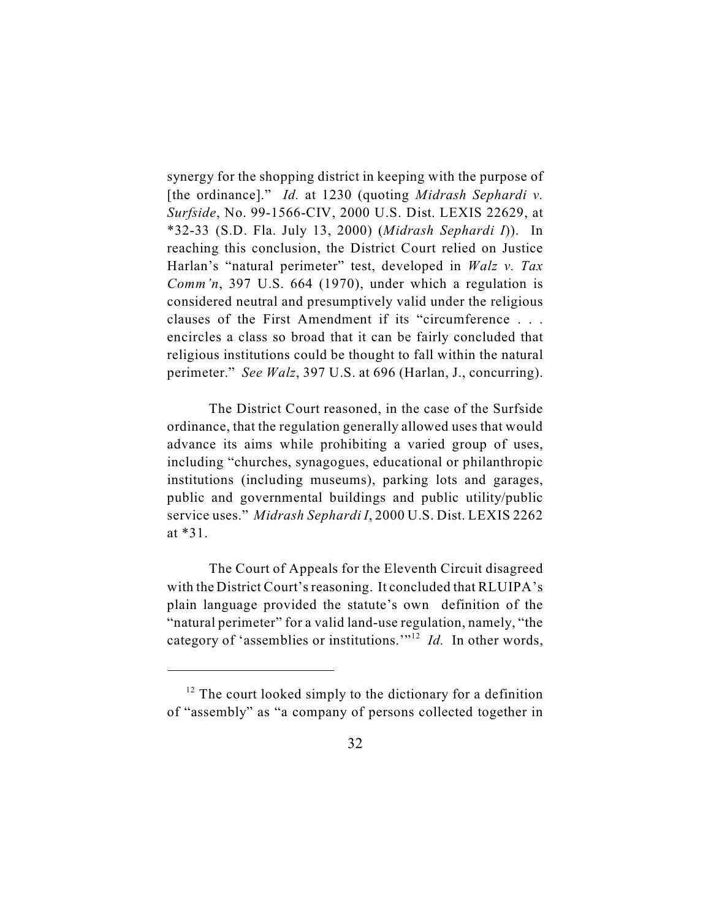synergy for the shopping district in keeping with the purpose of [the ordinance]." *Id.* at 1230 (quoting *Midrash Sephardi v. Surfside*, No. 99-1566-CIV, 2000 U.S. Dist. LEXIS 22629, at \*32-33 (S.D. Fla. July 13, 2000) (*Midrash Sephardi I*)). In reaching this conclusion, the District Court relied on Justice Harlan's "natural perimeter" test, developed in *Walz v. Tax Comm'n*, 397 U.S. 664 (1970), under which a regulation is considered neutral and presumptively valid under the religious clauses of the First Amendment if its "circumference . . . encircles a class so broad that it can be fairly concluded that religious institutions could be thought to fall within the natural perimeter." *See Walz*, 397 U.S. at 696 (Harlan, J., concurring).

The District Court reasoned, in the case of the Surfside ordinance, that the regulation generally allowed uses that would advance its aims while prohibiting a varied group of uses, including "churches, synagogues, educational or philanthropic institutions (including museums), parking lots and garages, public and governmental buildings and public utility/public service uses." *Midrash Sephardi I*, 2000 U.S. Dist. LEXIS 2262 at \*31.

The Court of Appeals for the Eleventh Circuit disagreed with the District Court's reasoning. It concluded that RLUIPA's plain language provided the statute's own definition of the "natural perimeter" for a valid land-use regulation, namely, "the category of 'assemblies or institutions."<sup> $12$ </sup> *Id.* In other words,

 $12$  The court looked simply to the dictionary for a definition of "assembly" as "a company of persons collected together in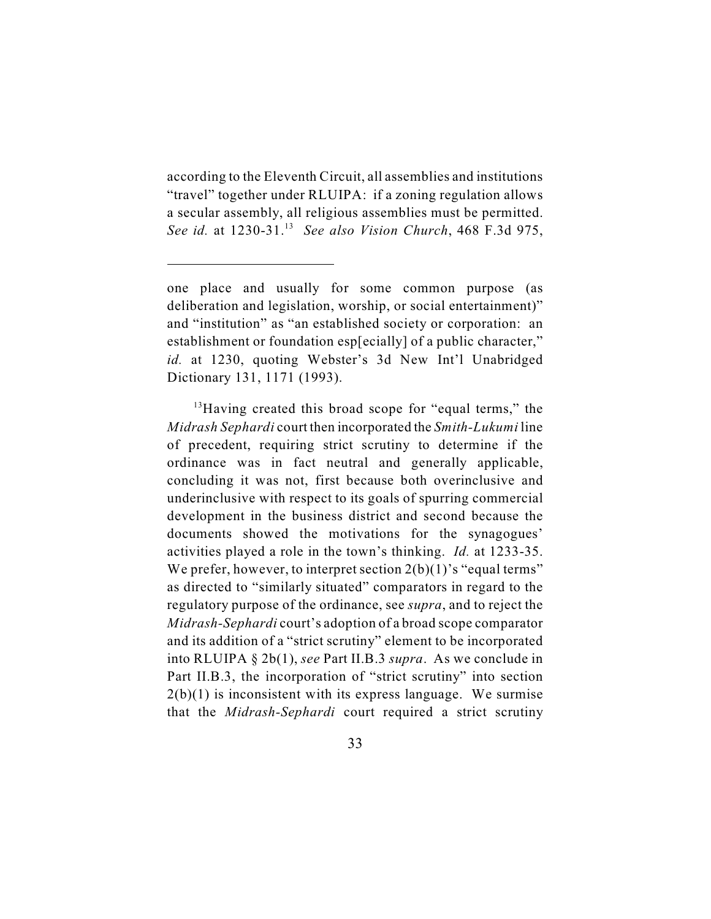according to the Eleventh Circuit, all assemblies and institutions "travel" together under RLUIPA: if a zoning regulation allows a secular assembly, all religious assemblies must be permitted. *See id.* at 1230-31.<sup>13</sup> *See also Vision Church*, 468 F.3d 975,

 $^{13}$ Having created this broad scope for "equal terms," the *Midrash Sephardi* court then incorporated the *Smith-Lukumi* line of precedent, requiring strict scrutiny to determine if the ordinance was in fact neutral and generally applicable, concluding it was not, first because both overinclusive and underinclusive with respect to its goals of spurring commercial development in the business district and second because the documents showed the motivations for the synagogues' activities played a role in the town's thinking. *Id.* at 1233-35. We prefer, however, to interpret section  $2(b)(1)$ 's "equal terms" as directed to "similarly situated" comparators in regard to the regulatory purpose of the ordinance, see *supra*, and to reject the *Midrash-Sephardi* court's adoption of a broad scope comparator and its addition of a "strict scrutiny" element to be incorporated into RLUIPA § 2b(1), *see* Part II.B.3 *supra*. As we conclude in Part II.B.3, the incorporation of "strict scrutiny" into section  $2(b)(1)$  is inconsistent with its express language. We surmise that the *Midrash-Sephardi* court required a strict scrutiny

one place and usually for some common purpose (as deliberation and legislation, worship, or social entertainment)" and "institution" as "an established society or corporation: an establishment or foundation esp[ecially] of a public character," *id.* at 1230, quoting Webster's 3d New Int'l Unabridged Dictionary 131, 1171 (1993).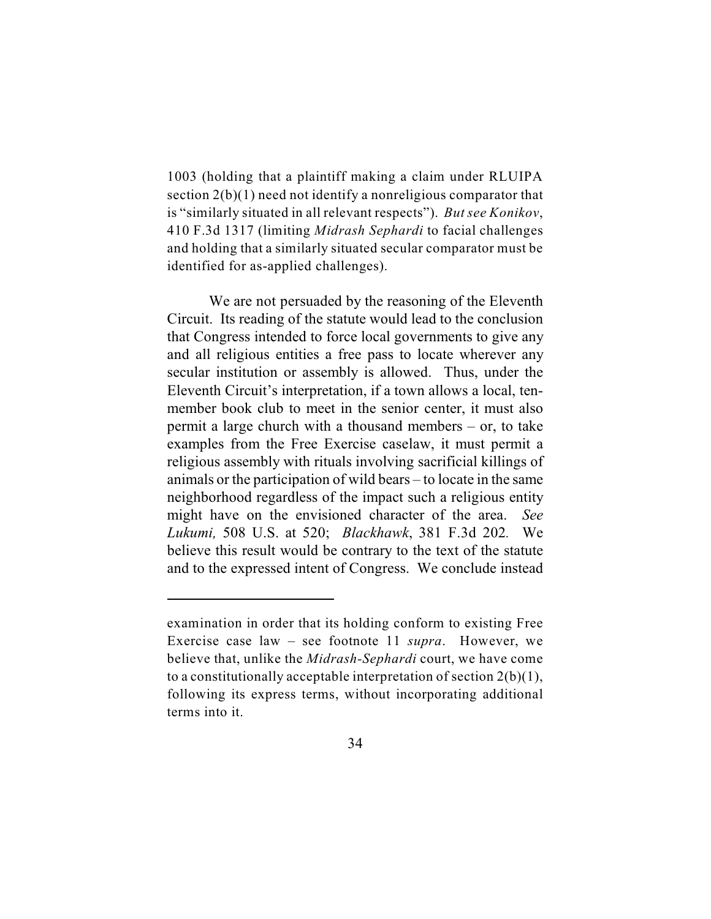1003 (holding that a plaintiff making a claim under RLUIPA section 2(b)(1) need not identify a nonreligious comparator that is "similarly situated in all relevant respects"). *But see Konikov*, 410 F.3d 1317 (limiting *Midrash Sephardi* to facial challenges and holding that a similarly situated secular comparator must be identified for as-applied challenges).

We are not persuaded by the reasoning of the Eleventh Circuit. Its reading of the statute would lead to the conclusion that Congress intended to force local governments to give any and all religious entities a free pass to locate wherever any secular institution or assembly is allowed. Thus, under the Eleventh Circuit's interpretation, if a town allows a local, tenmember book club to meet in the senior center, it must also permit a large church with a thousand members – or, to take examples from the Free Exercise caselaw, it must permit a religious assembly with rituals involving sacrificial killings of animals or the participation of wild bears – to locate in the same neighborhood regardless of the impact such a religious entity might have on the envisioned character of the area. *See Lukumi,* 508 U.S. at 520; *Blackhawk*, 381 F.3d 202*.* We believe this result would be contrary to the text of the statute and to the expressed intent of Congress. We conclude instead

examination in order that its holding conform to existing Free Exercise case law – see footnote 11 *supra*. However, we believe that, unlike the *Midrash-Sephardi* court, we have come to a constitutionally acceptable interpretation of section  $2(b)(1)$ , following its express terms, without incorporating additional terms into it.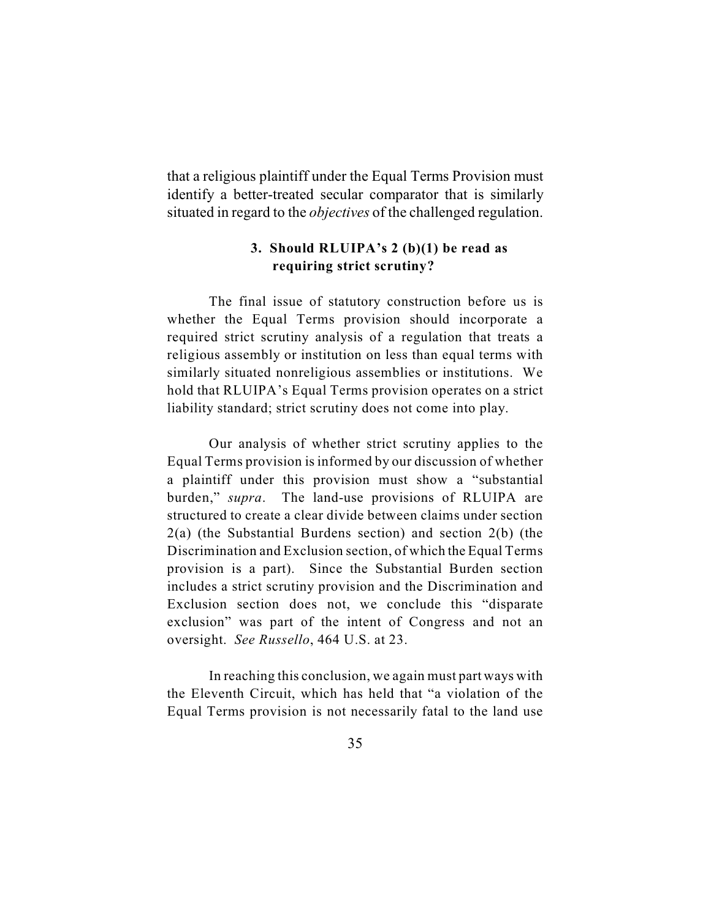that a religious plaintiff under the Equal Terms Provision must identify a better-treated secular comparator that is similarly situated in regard to the *objectives* of the challenged regulation.

# **3. Should RLUIPA's 2 (b)(1) be read as requiring strict scrutiny?**

The final issue of statutory construction before us is whether the Equal Terms provision should incorporate a required strict scrutiny analysis of a regulation that treats a religious assembly or institution on less than equal terms with similarly situated nonreligious assemblies or institutions. We hold that RLUIPA's Equal Terms provision operates on a strict liability standard; strict scrutiny does not come into play.

Our analysis of whether strict scrutiny applies to the Equal Terms provision is informed by our discussion of whether a plaintiff under this provision must show a "substantial burden," *supra*. The land-use provisions of RLUIPA are structured to create a clear divide between claims under section 2(a) (the Substantial Burdens section) and section 2(b) (the Discrimination and Exclusion section, of which the Equal Terms provision is a part). Since the Substantial Burden section includes a strict scrutiny provision and the Discrimination and Exclusion section does not, we conclude this "disparate exclusion" was part of the intent of Congress and not an oversight. *See Russello*, 464 U.S. at 23.

In reaching this conclusion, we again must part ways with the Eleventh Circuit, which has held that "a violation of the Equal Terms provision is not necessarily fatal to the land use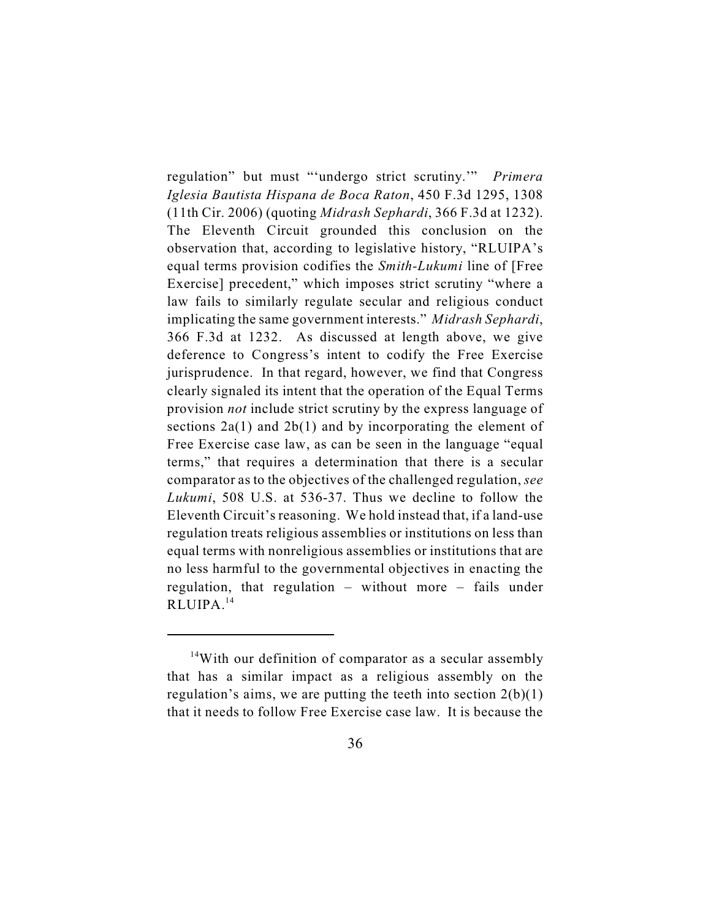regulation" but must "'undergo strict scrutiny.'" *Primera Iglesia Bautista Hispana de Boca Raton*, 450 F.3d 1295, 1308 (11th Cir. 2006) (quoting *Midrash Sephardi*, 366 F.3d at 1232). The Eleventh Circuit grounded this conclusion on the observation that, according to legislative history, "RLUIPA's equal terms provision codifies the *Smith-Lukumi* line of [Free Exercise] precedent," which imposes strict scrutiny "where a law fails to similarly regulate secular and religious conduct implicating the same government interests." *Midrash Sephardi*, 366 F.3d at 1232. As discussed at length above, we give deference to Congress's intent to codify the Free Exercise jurisprudence. In that regard, however, we find that Congress clearly signaled its intent that the operation of the Equal Terms provision *not* include strict scrutiny by the express language of sections  $2a(1)$  and  $2b(1)$  and by incorporating the element of Free Exercise case law, as can be seen in the language "equal terms," that requires a determination that there is a secular comparator as to the objectives of the challenged regulation, *see Lukumi*, 508 U.S. at 536-37. Thus we decline to follow the Eleventh Circuit's reasoning. We hold instead that, if a land-use regulation treats religious assemblies or institutions on less than equal terms with nonreligious assemblies or institutions that are no less harmful to the governmental objectives in enacting the regulation, that regulation – without more – fails under RLUIPA.<sup>14</sup>

 $14$ With our definition of comparator as a secular assembly that has a similar impact as a religious assembly on the regulation's aims, we are putting the teeth into section  $2(b)(1)$ that it needs to follow Free Exercise case law. It is because the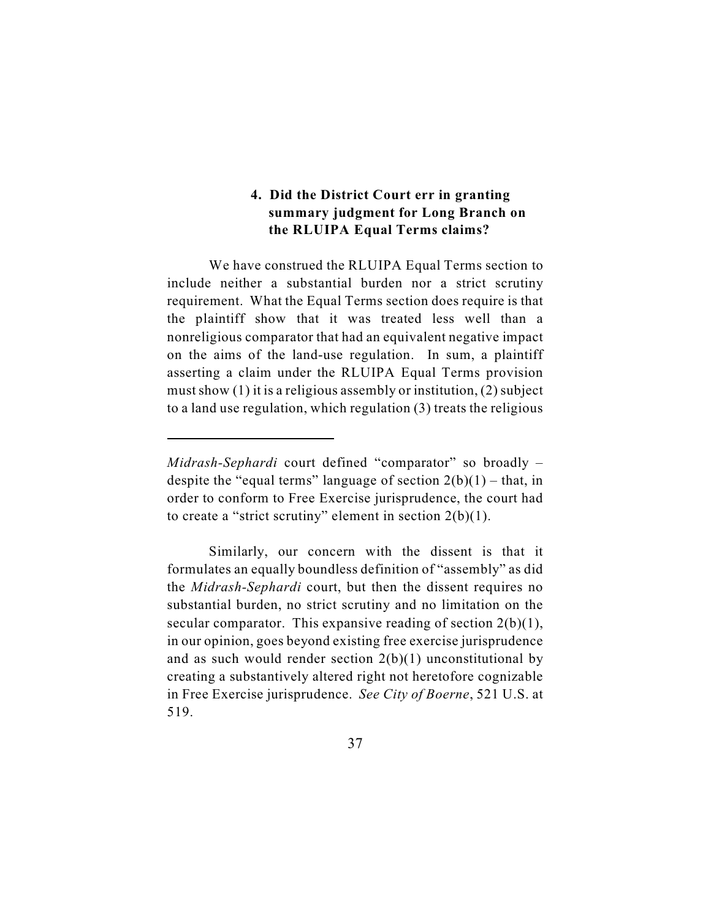# **4. Did the District Court err in granting summary judgment for Long Branch on the RLUIPA Equal Terms claims?**

We have construed the RLUIPA Equal Terms section to include neither a substantial burden nor a strict scrutiny requirement. What the Equal Terms section does require is that the plaintiff show that it was treated less well than a nonreligious comparator that had an equivalent negative impact on the aims of the land-use regulation. In sum, a plaintiff asserting a claim under the RLUIPA Equal Terms provision must show (1) it is a religious assembly or institution, (2) subject to a land use regulation, which regulation (3) treats the religious

*Midrash-Sephardi* court defined "comparator" so broadly – despite the "equal terms" language of section  $2(b)(1)$  – that, in order to conform to Free Exercise jurisprudence, the court had to create a "strict scrutiny" element in section  $2(b)(1)$ .

Similarly, our concern with the dissent is that it formulates an equally boundless definition of "assembly" as did the *Midrash-Sephardi* court, but then the dissent requires no substantial burden, no strict scrutiny and no limitation on the secular comparator. This expansive reading of section  $2(b)(1)$ , in our opinion, goes beyond existing free exercise jurisprudence and as such would render section  $2(b)(1)$  unconstitutional by creating a substantively altered right not heretofore cognizable in Free Exercise jurisprudence. *See City of Boerne*, 521 U.S. at 519.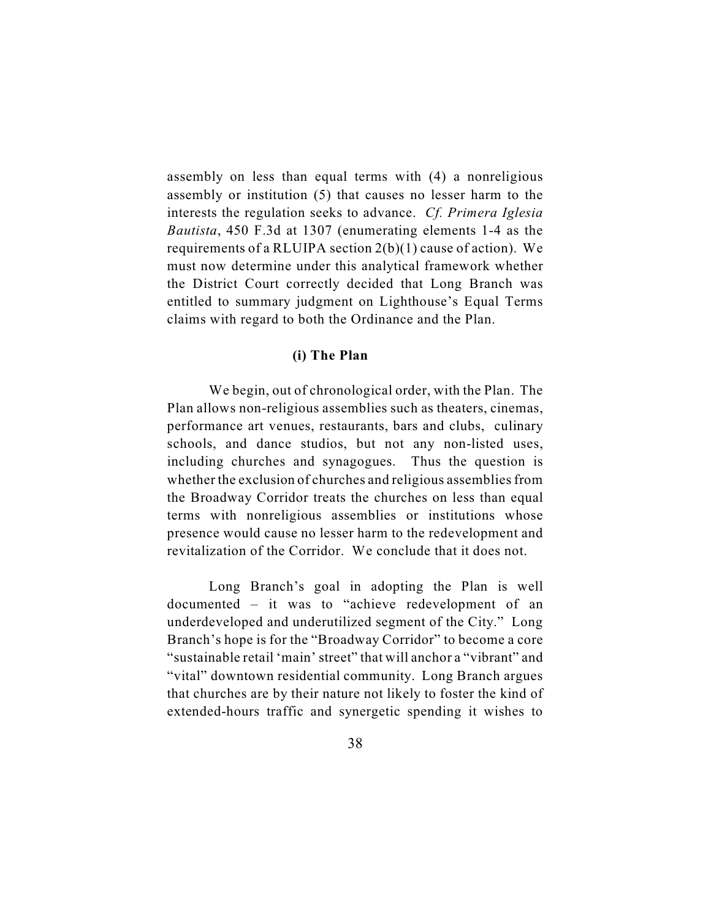assembly on less than equal terms with (4) a nonreligious assembly or institution (5) that causes no lesser harm to the interests the regulation seeks to advance. *Cf. Primera Iglesia Bautista*, 450 F.3d at 1307 (enumerating elements 1-4 as the requirements of a RLUIPA section  $2(b)(1)$  cause of action). We must now determine under this analytical framework whether the District Court correctly decided that Long Branch was entitled to summary judgment on Lighthouse's Equal Terms claims with regard to both the Ordinance and the Plan.

#### **(i) The Plan**

We begin, out of chronological order, with the Plan. The Plan allows non-religious assemblies such as theaters, cinemas, performance art venues, restaurants, bars and clubs, culinary schools, and dance studios, but not any non-listed uses, including churches and synagogues. Thus the question is whether the exclusion of churches and religious assemblies from the Broadway Corridor treats the churches on less than equal terms with nonreligious assemblies or institutions whose presence would cause no lesser harm to the redevelopment and revitalization of the Corridor. We conclude that it does not.

Long Branch's goal in adopting the Plan is well documented – it was to "achieve redevelopment of an underdeveloped and underutilized segment of the City." Long Branch's hope is for the "Broadway Corridor" to become a core "sustainable retail 'main' street" that will anchor a "vibrant" and "vital" downtown residential community. Long Branch argues that churches are by their nature not likely to foster the kind of extended-hours traffic and synergetic spending it wishes to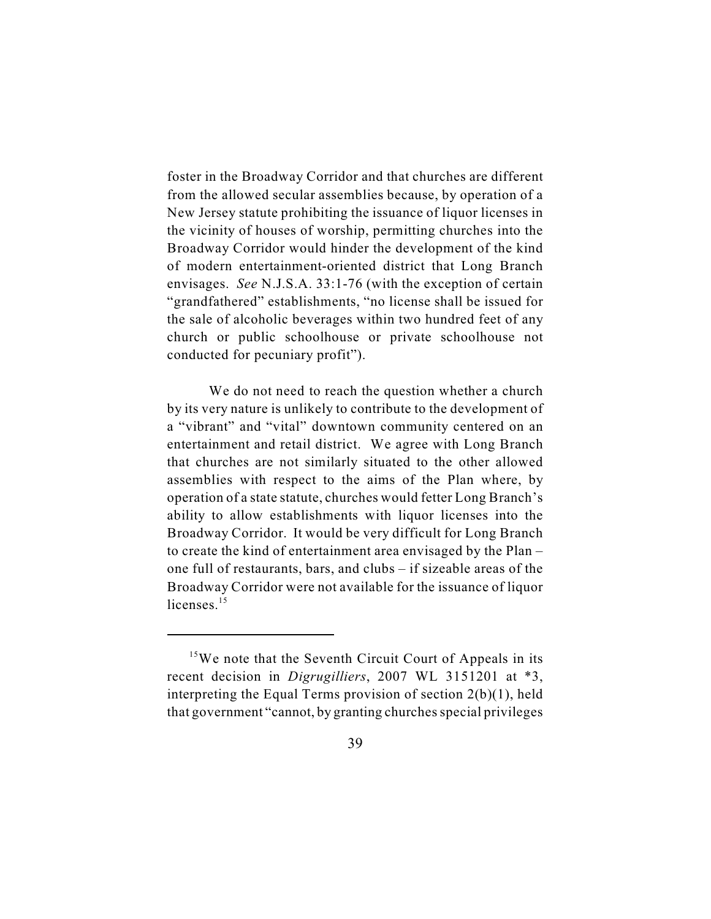foster in the Broadway Corridor and that churches are different from the allowed secular assemblies because, by operation of a New Jersey statute prohibiting the issuance of liquor licenses in the vicinity of houses of worship, permitting churches into the Broadway Corridor would hinder the development of the kind of modern entertainment-oriented district that Long Branch envisages. *See* N.J.S.A. 33:1-76 (with the exception of certain "grandfathered" establishments, "no license shall be issued for the sale of alcoholic beverages within two hundred feet of any church or public schoolhouse or private schoolhouse not conducted for pecuniary profit").

We do not need to reach the question whether a church by its very nature is unlikely to contribute to the development of a "vibrant" and "vital" downtown community centered on an entertainment and retail district. We agree with Long Branch that churches are not similarly situated to the other allowed assemblies with respect to the aims of the Plan where, by operation of a state statute, churches would fetter Long Branch's ability to allow establishments with liquor licenses into the Broadway Corridor. It would be very difficult for Long Branch to create the kind of entertainment area envisaged by the Plan – one full of restaurants, bars, and clubs – if sizeable areas of the Broadway Corridor were not available for the issuance of liquor licenses.<sup>15</sup>

 $15$ We note that the Seventh Circuit Court of Appeals in its recent decision in *Digrugilliers*, 2007 WL 3151201 at \*3, interpreting the Equal Terms provision of section 2(b)(1), held that government "cannot, by granting churches special privileges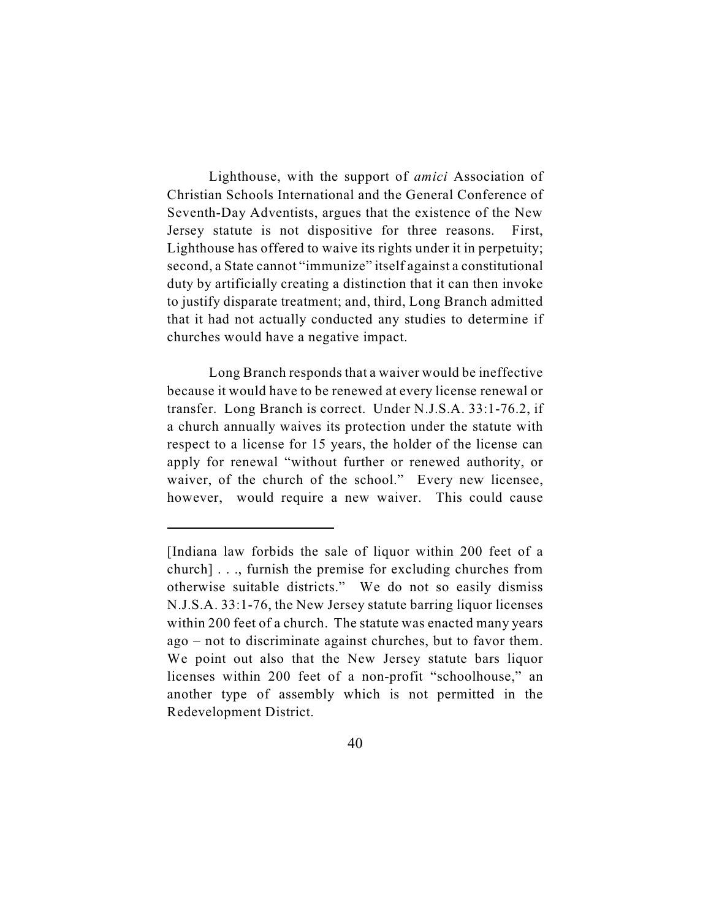Lighthouse, with the support of *amici* Association of Christian Schools International and the General Conference of Seventh-Day Adventists, argues that the existence of the New Jersey statute is not dispositive for three reasons. First, Lighthouse has offered to waive its rights under it in perpetuity; second, a State cannot "immunize" itself against a constitutional duty by artificially creating a distinction that it can then invoke to justify disparate treatment; and, third, Long Branch admitted that it had not actually conducted any studies to determine if churches would have a negative impact.

Long Branch responds that a waiver would be ineffective because it would have to be renewed at every license renewal or transfer. Long Branch is correct. Under N.J.S.A. 33:1-76.2, if a church annually waives its protection under the statute with respect to a license for 15 years, the holder of the license can apply for renewal "without further or renewed authority, or waiver, of the church of the school." Every new licensee, however, would require a new waiver. This could cause

<sup>[</sup>Indiana law forbids the sale of liquor within 200 feet of a church] . . ., furnish the premise for excluding churches from otherwise suitable districts." We do not so easily dismiss N.J.S.A. 33:1-76, the New Jersey statute barring liquor licenses within 200 feet of a church. The statute was enacted many years ago – not to discriminate against churches, but to favor them. We point out also that the New Jersey statute bars liquor licenses within 200 feet of a non-profit "schoolhouse," an another type of assembly which is not permitted in the Redevelopment District.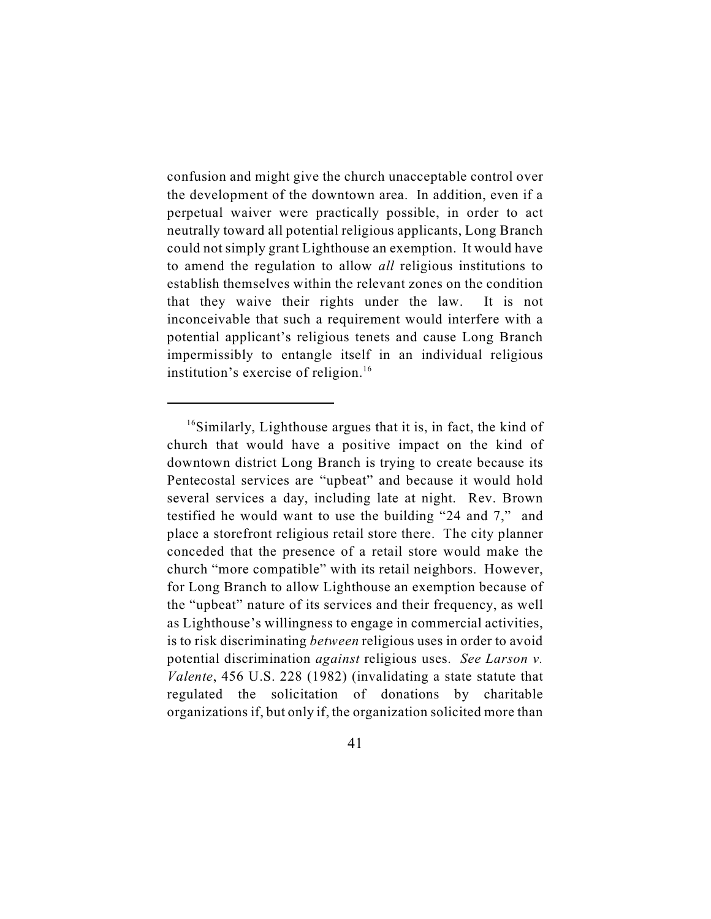confusion and might give the church unacceptable control over the development of the downtown area. In addition, even if a perpetual waiver were practically possible, in order to act neutrally toward all potential religious applicants, Long Branch could not simply grant Lighthouse an exemption. It would have to amend the regulation to allow *all* religious institutions to establish themselves within the relevant zones on the condition that they waive their rights under the law. It is not inconceivable that such a requirement would interfere with a potential applicant's religious tenets and cause Long Branch impermissibly to entangle itself in an individual religious institution's exercise of religion. $16$ 

 $16$ Similarly, Lighthouse argues that it is, in fact, the kind of church that would have a positive impact on the kind of downtown district Long Branch is trying to create because its Pentecostal services are "upbeat" and because it would hold several services a day, including late at night. Rev. Brown testified he would want to use the building "24 and 7," and place a storefront religious retail store there. The city planner conceded that the presence of a retail store would make the church "more compatible" with its retail neighbors. However, for Long Branch to allow Lighthouse an exemption because of the "upbeat" nature of its services and their frequency, as well as Lighthouse's willingness to engage in commercial activities, is to risk discriminating *between* religious uses in order to avoid potential discrimination *against* religious uses. *See Larson v. Valente*, 456 U.S. 228 (1982) (invalidating a state statute that regulated the solicitation of donations by charitable organizations if, but only if, the organization solicited more than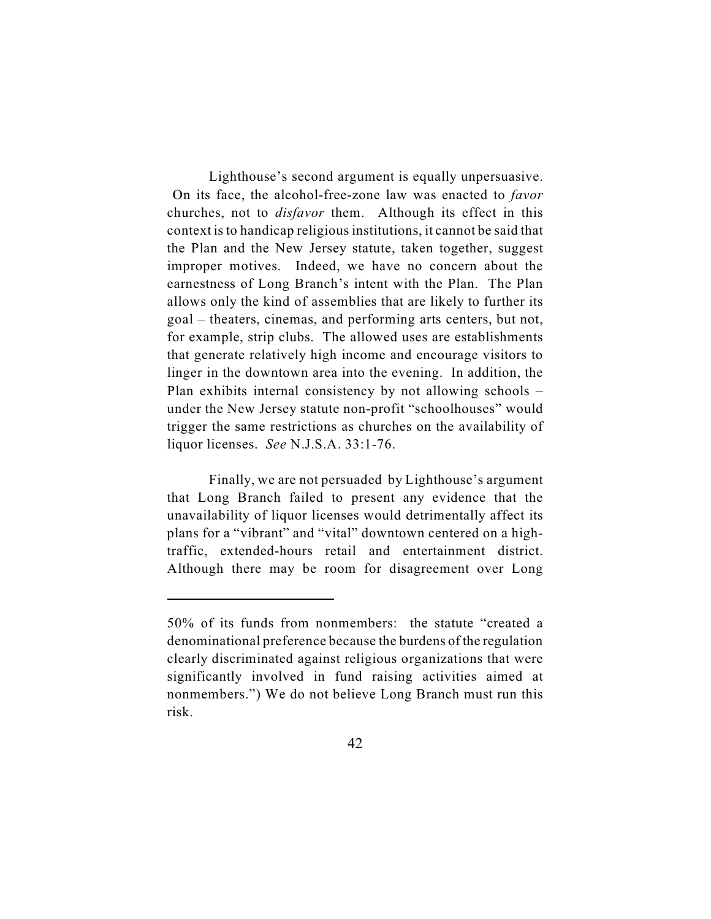Lighthouse's second argument is equally unpersuasive. On its face, the alcohol-free-zone law was enacted to *favor* churches, not to *disfavor* them. Although its effect in this context is to handicap religious institutions, it cannot be said that the Plan and the New Jersey statute, taken together, suggest improper motives. Indeed, we have no concern about the earnestness of Long Branch's intent with the Plan. The Plan allows only the kind of assemblies that are likely to further its goal – theaters, cinemas, and performing arts centers, but not, for example, strip clubs. The allowed uses are establishments that generate relatively high income and encourage visitors to linger in the downtown area into the evening. In addition, the Plan exhibits internal consistency by not allowing schools – under the New Jersey statute non-profit "schoolhouses" would trigger the same restrictions as churches on the availability of liquor licenses. *See* N.J.S.A. 33:1-76.

Finally, we are not persuaded by Lighthouse's argument that Long Branch failed to present any evidence that the unavailability of liquor licenses would detrimentally affect its plans for a "vibrant" and "vital" downtown centered on a hightraffic, extended-hours retail and entertainment district. Although there may be room for disagreement over Long

<sup>50%</sup> of its funds from nonmembers: the statute "created a denominational preference because the burdens of the regulation clearly discriminated against religious organizations that were significantly involved in fund raising activities aimed at nonmembers.") We do not believe Long Branch must run this risk.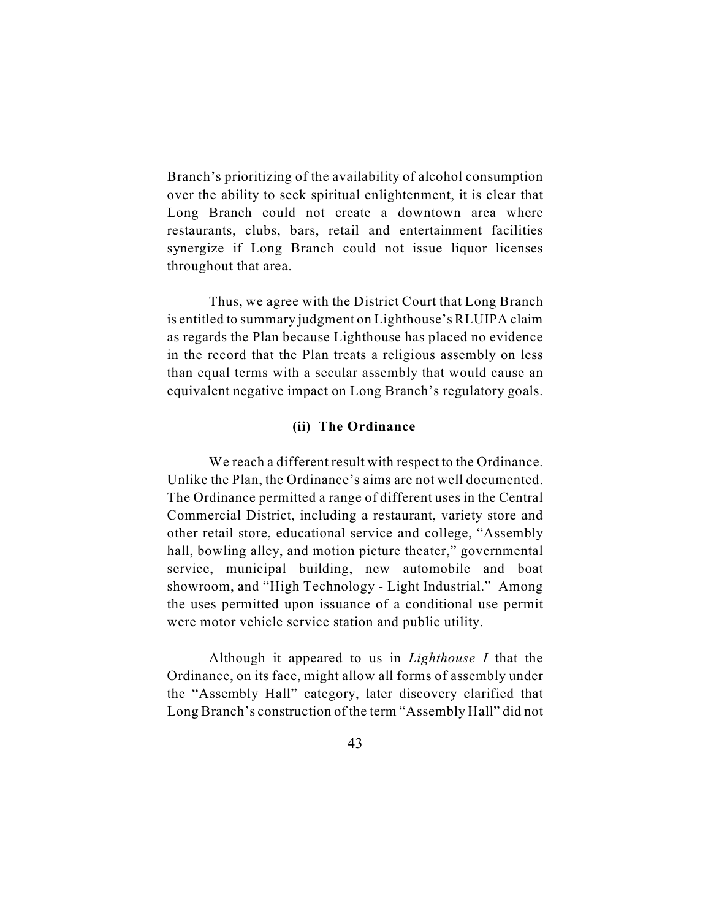Branch's prioritizing of the availability of alcohol consumption over the ability to seek spiritual enlightenment, it is clear that Long Branch could not create a downtown area where restaurants, clubs, bars, retail and entertainment facilities synergize if Long Branch could not issue liquor licenses throughout that area.

Thus, we agree with the District Court that Long Branch is entitled to summary judgment on Lighthouse's RLUIPA claim as regards the Plan because Lighthouse has placed no evidence in the record that the Plan treats a religious assembly on less than equal terms with a secular assembly that would cause an equivalent negative impact on Long Branch's regulatory goals.

#### **(ii) The Ordinance**

We reach a different result with respect to the Ordinance. Unlike the Plan, the Ordinance's aims are not well documented. The Ordinance permitted a range of different uses in the Central Commercial District, including a restaurant, variety store and other retail store, educational service and college, "Assembly hall, bowling alley, and motion picture theater," governmental service, municipal building, new automobile and boat showroom, and "High Technology - Light Industrial." Among the uses permitted upon issuance of a conditional use permit were motor vehicle service station and public utility.

Although it appeared to us in *Lighthouse I* that the Ordinance, on its face, might allow all forms of assembly under the "Assembly Hall" category, later discovery clarified that Long Branch's construction of the term "Assembly Hall" did not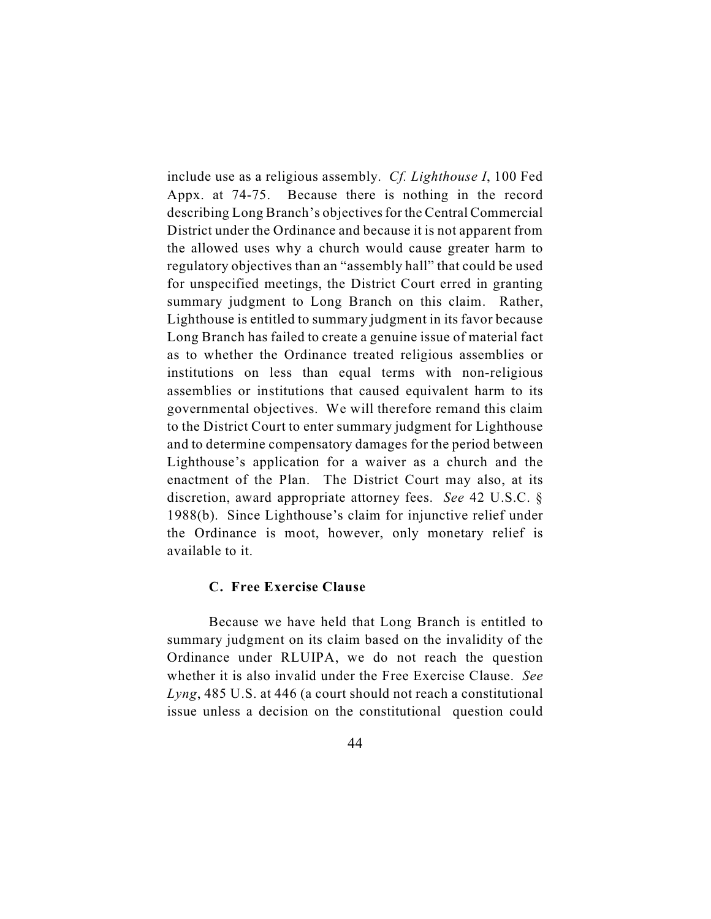include use as a religious assembly. *Cf. Lighthouse I*, 100 Fed Appx. at 74-75. Because there is nothing in the record describing Long Branch's objectives for the Central Commercial District under the Ordinance and because it is not apparent from the allowed uses why a church would cause greater harm to regulatory objectives than an "assembly hall" that could be used for unspecified meetings, the District Court erred in granting summary judgment to Long Branch on this claim. Rather, Lighthouse is entitled to summary judgment in its favor because Long Branch has failed to create a genuine issue of material fact as to whether the Ordinance treated religious assemblies or institutions on less than equal terms with non-religious assemblies or institutions that caused equivalent harm to its governmental objectives. We will therefore remand this claim to the District Court to enter summary judgment for Lighthouse and to determine compensatory damages for the period between Lighthouse's application for a waiver as a church and the enactment of the Plan. The District Court may also, at its discretion, award appropriate attorney fees. *See* 42 U.S.C. § 1988(b). Since Lighthouse's claim for injunctive relief under the Ordinance is moot, however, only monetary relief is available to it.

### **C. Free Exercise Clause**

Because we have held that Long Branch is entitled to summary judgment on its claim based on the invalidity of the Ordinance under RLUIPA, we do not reach the question whether it is also invalid under the Free Exercise Clause. *See Lyng*, 485 U.S. at 446 (a court should not reach a constitutional issue unless a decision on the constitutional question could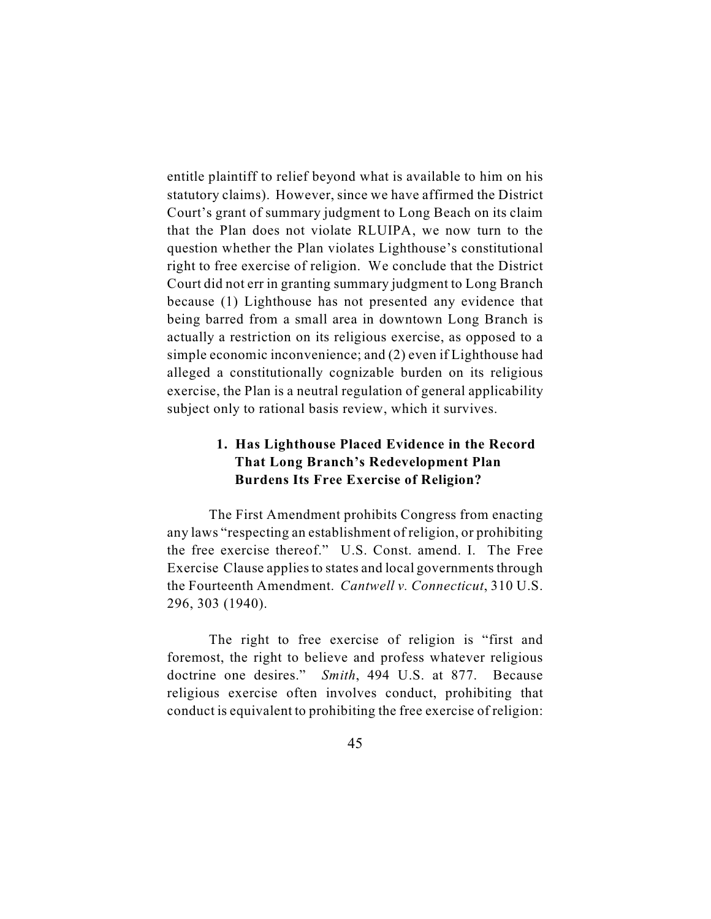entitle plaintiff to relief beyond what is available to him on his statutory claims). However, since we have affirmed the District Court's grant of summary judgment to Long Beach on its claim that the Plan does not violate RLUIPA, we now turn to the question whether the Plan violates Lighthouse's constitutional right to free exercise of religion. We conclude that the District Court did not err in granting summary judgment to Long Branch because (1) Lighthouse has not presented any evidence that being barred from a small area in downtown Long Branch is actually a restriction on its religious exercise, as opposed to a simple economic inconvenience; and (2) even if Lighthouse had alleged a constitutionally cognizable burden on its religious exercise, the Plan is a neutral regulation of general applicability subject only to rational basis review, which it survives.

# **1. Has Lighthouse Placed Evidence in the Record That Long Branch's Redevelopment Plan Burdens Its Free Exercise of Religion?**

The First Amendment prohibits Congress from enacting any laws "respecting an establishment of religion, or prohibiting the free exercise thereof." U.S. Const. amend. I. The Free Exercise Clause applies to states and local governments through the Fourteenth Amendment. *Cantwell v. Connecticut*, 310 U.S. 296, 303 (1940).

The right to free exercise of religion is "first and foremost, the right to believe and profess whatever religious doctrine one desires." *Smith*, 494 U.S. at 877. Because religious exercise often involves conduct, prohibiting that conduct is equivalent to prohibiting the free exercise of religion: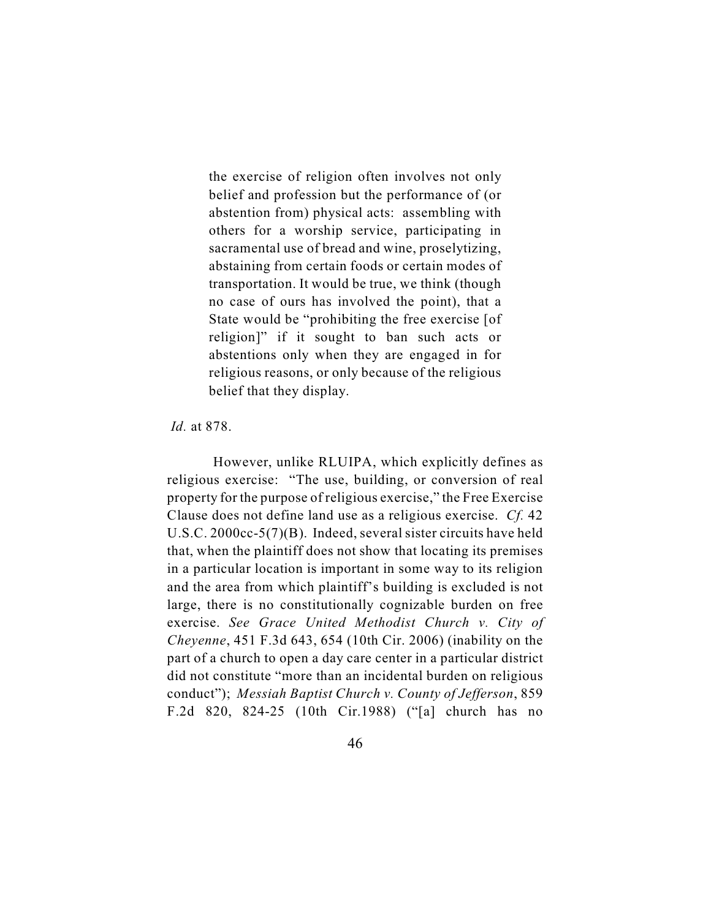the exercise of religion often involves not only belief and profession but the performance of (or abstention from) physical acts: assembling with others for a worship service, participating in sacramental use of bread and wine, proselytizing, abstaining from certain foods or certain modes of transportation. It would be true, we think (though no case of ours has involved the point), that a State would be "prohibiting the free exercise [of religion]" if it sought to ban such acts or abstentions only when they are engaged in for religious reasons, or only because of the religious belief that they display.

*Id.* at 878.

 However, unlike RLUIPA, which explicitly defines as religious exercise: "The use, building, or conversion of real property for the purpose of religious exercise," the Free Exercise Clause does not define land use as a religious exercise. *Cf.* 42 U.S.C. 2000cc-5(7)(B). Indeed, several sister circuits have held that, when the plaintiff does not show that locating its premises in a particular location is important in some way to its religion and the area from which plaintiff's building is excluded is not large, there is no constitutionally cognizable burden on free exercise. *See Grace United Methodist Church v. City of Cheyenne*, 451 F.3d 643, 654 (10th Cir. 2006) (inability on the part of a church to open a day care center in a particular district did not constitute "more than an incidental burden on religious conduct"); *Messiah Baptist Church v. County of Jefferson*, 859 F.2d 820, 824-25 (10th Cir.1988) ("[a] church has no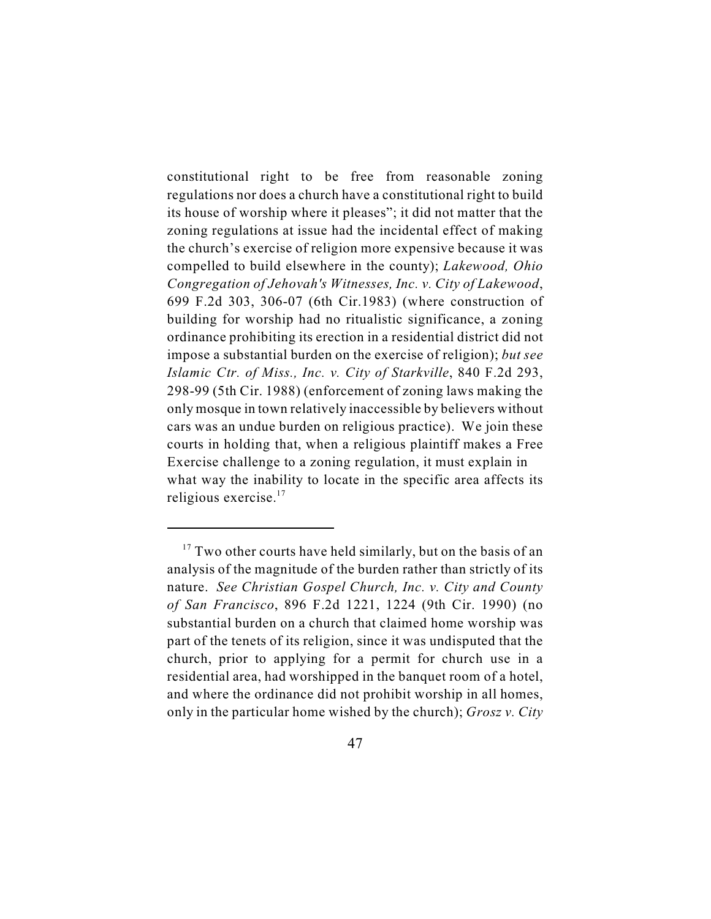constitutional right to be free from reasonable zoning regulations nor does a church have a constitutional right to build its house of worship where it pleases"; it did not matter that the zoning regulations at issue had the incidental effect of making the church's exercise of religion more expensive because it was compelled to build elsewhere in the county); *Lakewood, Ohio Congregation of Jehovah's Witnesses, Inc. v. City of Lakewood*, 699 F.2d 303, 306-07 (6th Cir.1983) (where construction of building for worship had no ritualistic significance, a zoning ordinance prohibiting its erection in a residential district did not impose a substantial burden on the exercise of religion); *but see Islamic Ctr. of Miss., Inc. v. City of Starkville*, 840 F.2d 293, 298-99 (5th Cir. 1988) (enforcement of zoning laws making the only mosque in town relatively inaccessible by believers without cars was an undue burden on religious practice). We join these courts in holding that, when a religious plaintiff makes a Free Exercise challenge to a zoning regulation, it must explain in what way the inability to locate in the specific area affects its religious exercise.<sup>17</sup>

 $17$  Two other courts have held similarly, but on the basis of an analysis of the magnitude of the burden rather than strictly of its nature. *See Christian Gospel Church, Inc. v. City and County of San Francisco*, 896 F.2d 1221, 1224 (9th Cir. 1990) (no substantial burden on a church that claimed home worship was part of the tenets of its religion, since it was undisputed that the church, prior to applying for a permit for church use in a residential area, had worshipped in the banquet room of a hotel, and where the ordinance did not prohibit worship in all homes, only in the particular home wished by the church); *Grosz v. City*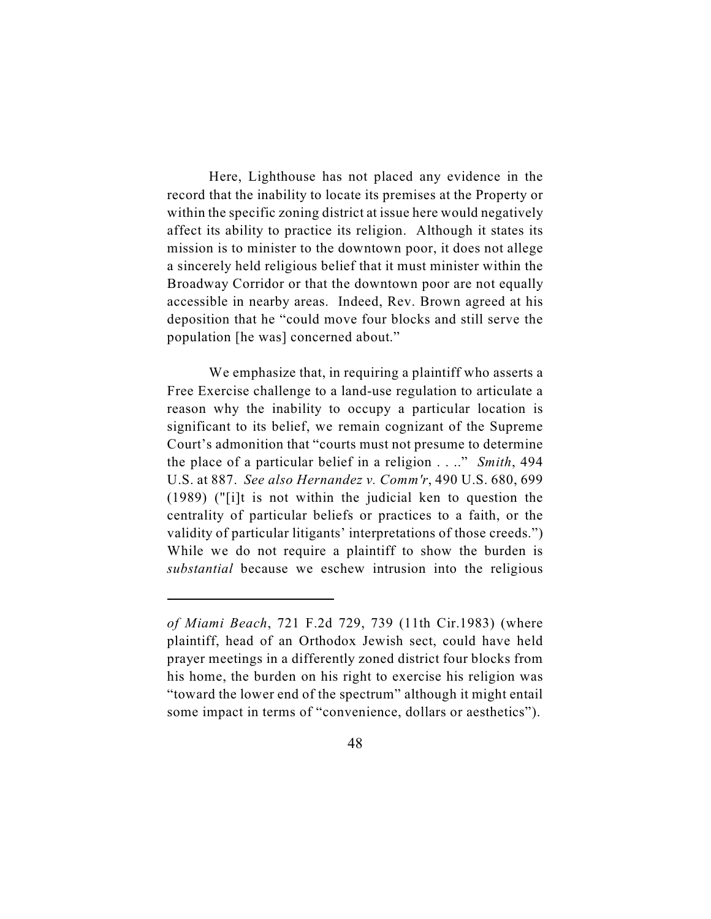Here, Lighthouse has not placed any evidence in the record that the inability to locate its premises at the Property or within the specific zoning district at issue here would negatively affect its ability to practice its religion. Although it states its mission is to minister to the downtown poor, it does not allege a sincerely held religious belief that it must minister within the Broadway Corridor or that the downtown poor are not equally accessible in nearby areas. Indeed, Rev. Brown agreed at his deposition that he "could move four blocks and still serve the population [he was] concerned about."

We emphasize that, in requiring a plaintiff who asserts a Free Exercise challenge to a land-use regulation to articulate a reason why the inability to occupy a particular location is significant to its belief, we remain cognizant of the Supreme Court's admonition that "courts must not presume to determine the place of a particular belief in a religion . . .." *Smith*, 494 U.S. at 887. *See also Hernandez v. Comm'r*, 490 U.S. 680, 699 (1989) ("[i]t is not within the judicial ken to question the centrality of particular beliefs or practices to a faith, or the validity of particular litigants' interpretations of those creeds.") While we do not require a plaintiff to show the burden is *substantial* because we eschew intrusion into the religious

*of Miami Beach*, 721 F.2d 729, 739 (11th Cir.1983) (where plaintiff, head of an Orthodox Jewish sect, could have held prayer meetings in a differently zoned district four blocks from his home, the burden on his right to exercise his religion was "toward the lower end of the spectrum" although it might entail some impact in terms of "convenience, dollars or aesthetics").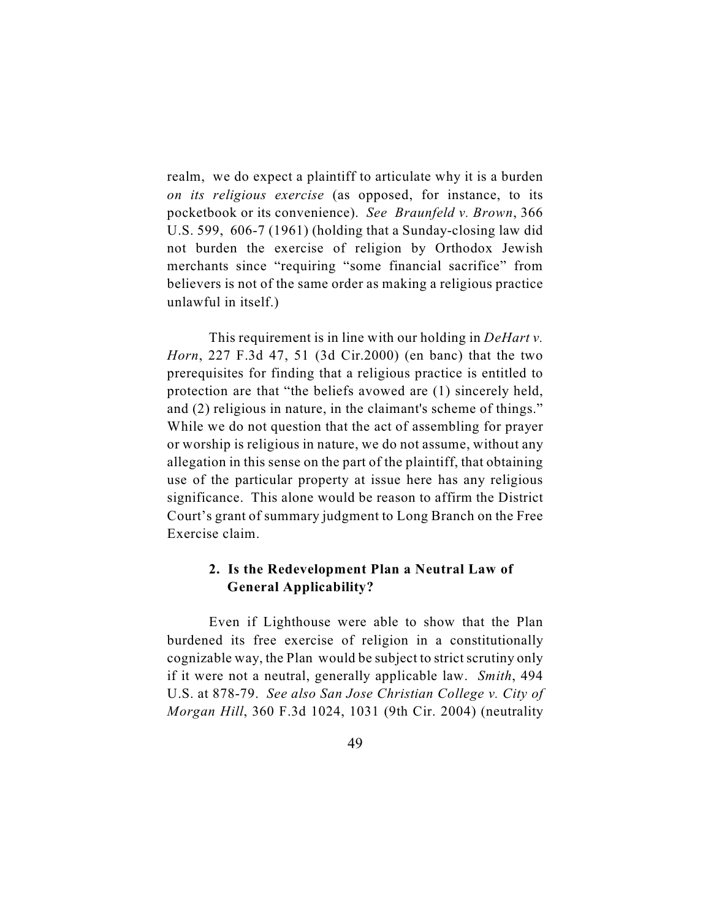realm, we do expect a plaintiff to articulate why it is a burden *on its religious exercise* (as opposed, for instance, to its pocketbook or its convenience). *See Braunfeld v. Brown*, 366 U.S. 599, 606-7 (1961) (holding that a Sunday-closing law did not burden the exercise of religion by Orthodox Jewish merchants since "requiring "some financial sacrifice" from believers is not of the same order as making a religious practice unlawful in itself.)

This requirement is in line with our holding in *DeHart v. Horn*, 227 F.3d 47, 51 (3d Cir.2000) (en banc) that the two prerequisites for finding that a religious practice is entitled to protection are that "the beliefs avowed are (1) sincerely held, and (2) religious in nature, in the claimant's scheme of things." While we do not question that the act of assembling for prayer or worship is religious in nature, we do not assume, without any allegation in this sense on the part of the plaintiff, that obtaining use of the particular property at issue here has any religious significance. This alone would be reason to affirm the District Court's grant of summary judgment to Long Branch on the Free Exercise claim.

## **2. Is the Redevelopment Plan a Neutral Law of General Applicability?**

Even if Lighthouse were able to show that the Plan burdened its free exercise of religion in a constitutionally cognizable way, the Plan would be subject to strict scrutiny only if it were not a neutral, generally applicable law. *Smith*, 494 U.S. at 878-79. *See also San Jose Christian College v. City of Morgan Hill*, 360 F.3d 1024, 1031 (9th Cir. 2004) (neutrality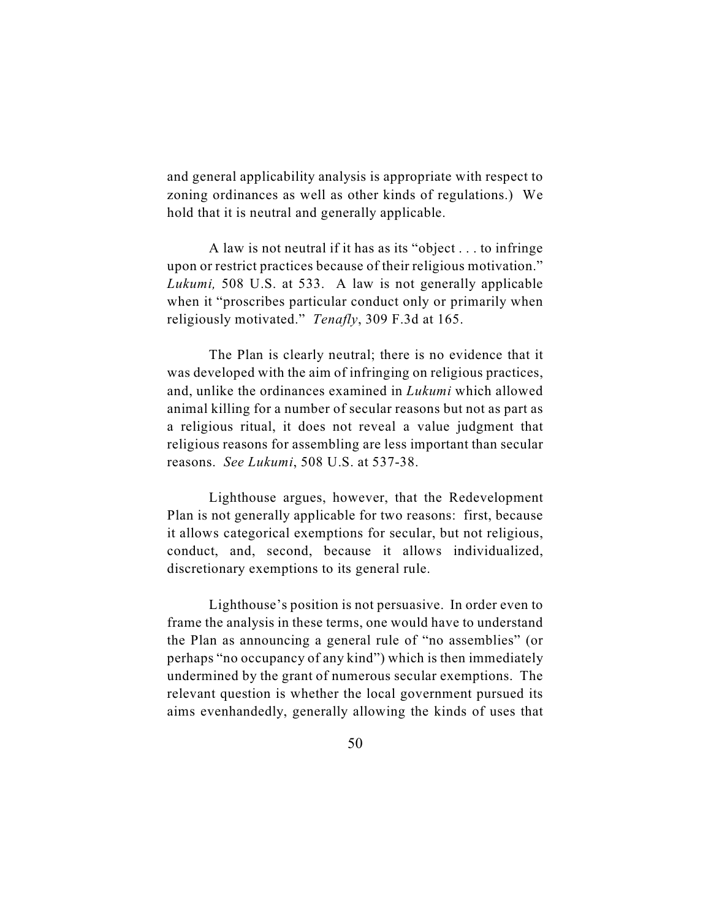and general applicability analysis is appropriate with respect to zoning ordinances as well as other kinds of regulations.) We hold that it is neutral and generally applicable.

A law is not neutral if it has as its "object . . . to infringe upon or restrict practices because of their religious motivation." *Lukumi,* 508 U.S. at 533. A law is not generally applicable when it "proscribes particular conduct only or primarily when religiously motivated." *Tenafly*, 309 F.3d at 165.

The Plan is clearly neutral; there is no evidence that it was developed with the aim of infringing on religious practices, and, unlike the ordinances examined in *Lukumi* which allowed animal killing for a number of secular reasons but not as part as a religious ritual, it does not reveal a value judgment that religious reasons for assembling are less important than secular reasons. *See Lukumi*, 508 U.S. at 537-38.

Lighthouse argues, however, that the Redevelopment Plan is not generally applicable for two reasons: first, because it allows categorical exemptions for secular, but not religious, conduct, and, second, because it allows individualized, discretionary exemptions to its general rule.

Lighthouse's position is not persuasive. In order even to frame the analysis in these terms, one would have to understand the Plan as announcing a general rule of "no assemblies" (or perhaps "no occupancy of any kind") which is then immediately undermined by the grant of numerous secular exemptions. The relevant question is whether the local government pursued its aims evenhandedly, generally allowing the kinds of uses that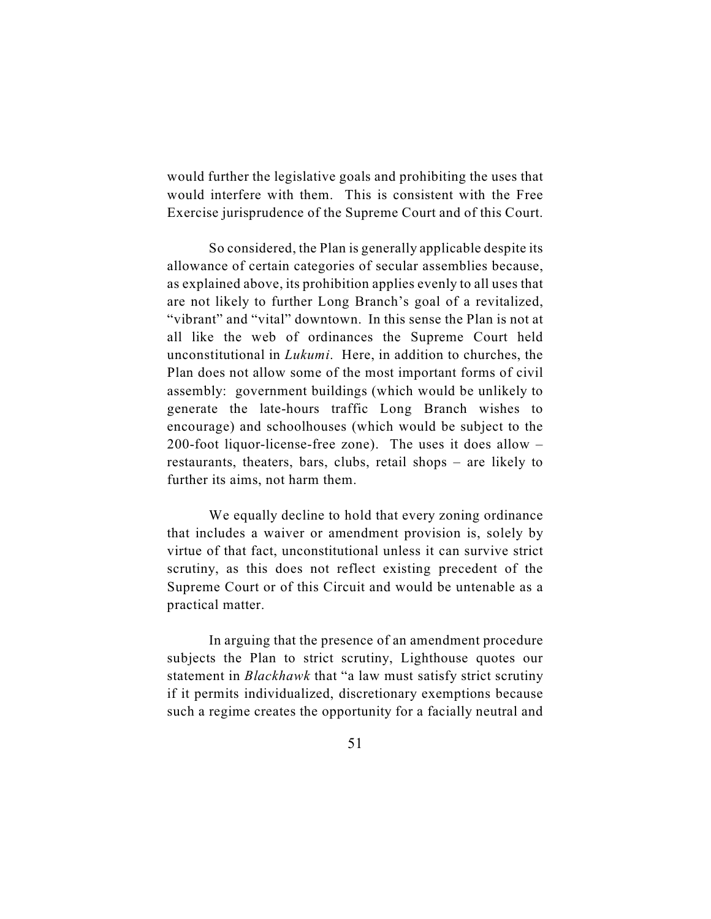would further the legislative goals and prohibiting the uses that would interfere with them. This is consistent with the Free Exercise jurisprudence of the Supreme Court and of this Court.

So considered, the Plan is generally applicable despite its allowance of certain categories of secular assemblies because, as explained above, its prohibition applies evenly to all uses that are not likely to further Long Branch's goal of a revitalized, "vibrant" and "vital" downtown. In this sense the Plan is not at all like the web of ordinances the Supreme Court held unconstitutional in *Lukumi*. Here, in addition to churches, the Plan does not allow some of the most important forms of civil assembly: government buildings (which would be unlikely to generate the late-hours traffic Long Branch wishes to encourage) and schoolhouses (which would be subject to the 200-foot liquor-license-free zone). The uses it does allow – restaurants, theaters, bars, clubs, retail shops – are likely to further its aims, not harm them.

We equally decline to hold that every zoning ordinance that includes a waiver or amendment provision is, solely by virtue of that fact, unconstitutional unless it can survive strict scrutiny, as this does not reflect existing precedent of the Supreme Court or of this Circuit and would be untenable as a practical matter.

In arguing that the presence of an amendment procedure subjects the Plan to strict scrutiny, Lighthouse quotes our statement in *Blackhawk* that "a law must satisfy strict scrutiny if it permits individualized, discretionary exemptions because such a regime creates the opportunity for a facially neutral and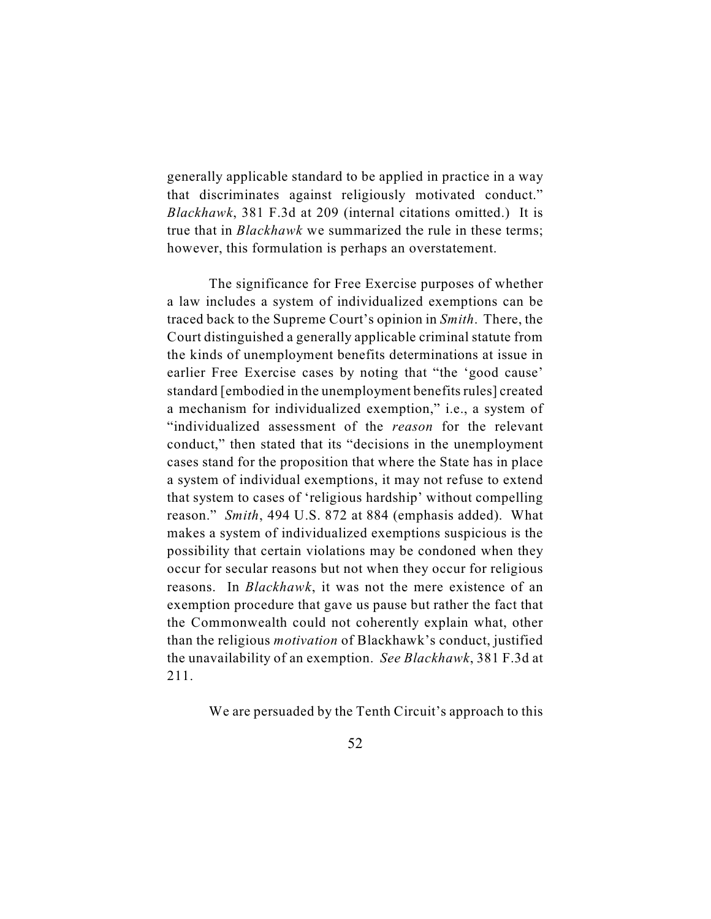generally applicable standard to be applied in practice in a way that discriminates against religiously motivated conduct." *Blackhawk*, 381 F.3d at 209 (internal citations omitted.) It is true that in *Blackhawk* we summarized the rule in these terms; however, this formulation is perhaps an overstatement.

The significance for Free Exercise purposes of whether a law includes a system of individualized exemptions can be traced back to the Supreme Court's opinion in *Smith*. There, the Court distinguished a generally applicable criminal statute from the kinds of unemployment benefits determinations at issue in earlier Free Exercise cases by noting that "the 'good cause' standard [embodied in the unemployment benefits rules] created a mechanism for individualized exemption," i.e., a system of "individualized assessment of the *reason* for the relevant conduct," then stated that its "decisions in the unemployment cases stand for the proposition that where the State has in place a system of individual exemptions, it may not refuse to extend that system to cases of 'religious hardship' without compelling reason." *Smith*, 494 U.S. 872 at 884 (emphasis added). What makes a system of individualized exemptions suspicious is the possibility that certain violations may be condoned when they occur for secular reasons but not when they occur for religious reasons. In *Blackhawk*, it was not the mere existence of an exemption procedure that gave us pause but rather the fact that the Commonwealth could not coherently explain what, other than the religious *motivation* of Blackhawk's conduct, justified the unavailability of an exemption. *See Blackhawk*, 381 F.3d at 211.

We are persuaded by the Tenth Circuit's approach to this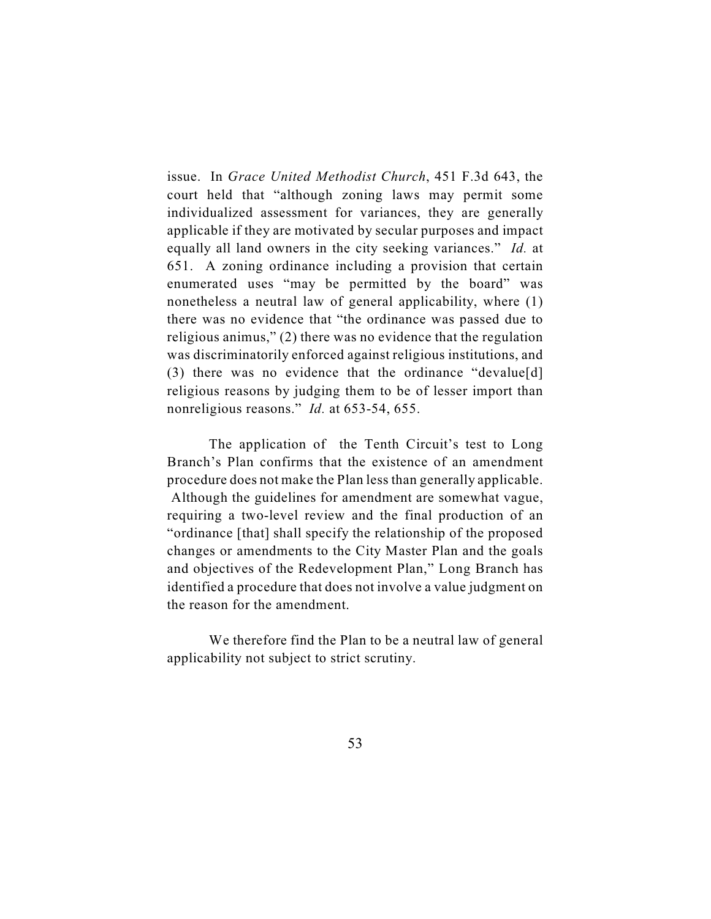issue. In *Grace United Methodist Church*, 451 F.3d 643, the court held that "although zoning laws may permit some individualized assessment for variances, they are generally applicable if they are motivated by secular purposes and impact equally all land owners in the city seeking variances." *Id.* at 651. A zoning ordinance including a provision that certain enumerated uses "may be permitted by the board" was nonetheless a neutral law of general applicability, where (1) there was no evidence that "the ordinance was passed due to religious animus," (2) there was no evidence that the regulation was discriminatorily enforced against religious institutions, and (3) there was no evidence that the ordinance "devalue[d] religious reasons by judging them to be of lesser import than nonreligious reasons." *Id.* at 653-54, 655.

The application of the Tenth Circuit's test to Long Branch's Plan confirms that the existence of an amendment procedure does not make the Plan less than generally applicable. Although the guidelines for amendment are somewhat vague, requiring a two-level review and the final production of an "ordinance [that] shall specify the relationship of the proposed changes or amendments to the City Master Plan and the goals and objectives of the Redevelopment Plan," Long Branch has identified a procedure that does not involve a value judgment on the reason for the amendment.

We therefore find the Plan to be a neutral law of general applicability not subject to strict scrutiny.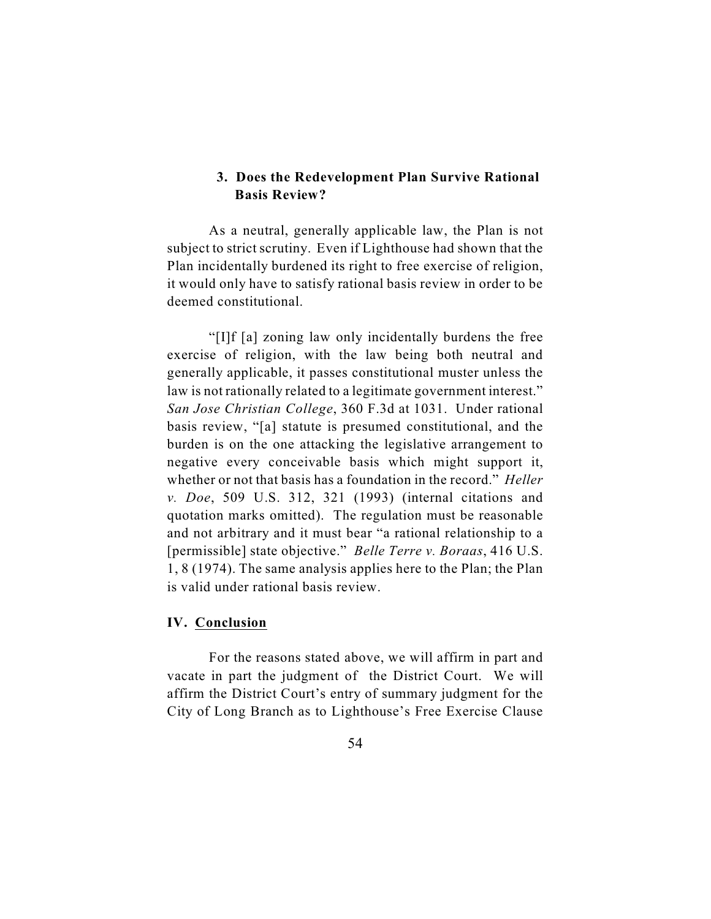### **3. Does the Redevelopment Plan Survive Rational Basis Review?**

As a neutral, generally applicable law, the Plan is not subject to strict scrutiny. Even if Lighthouse had shown that the Plan incidentally burdened its right to free exercise of religion, it would only have to satisfy rational basis review in order to be deemed constitutional.

"[I]f [a] zoning law only incidentally burdens the free exercise of religion, with the law being both neutral and generally applicable, it passes constitutional muster unless the law is not rationally related to a legitimate government interest." *San Jose Christian College*, 360 F.3d at 1031. Under rational basis review, "[a] statute is presumed constitutional, and the burden is on the one attacking the legislative arrangement to negative every conceivable basis which might support it, whether or not that basis has a foundation in the record." *Heller v. Doe*, 509 U.S. 312, 321 (1993) (internal citations and quotation marks omitted). The regulation must be reasonable and not arbitrary and it must bear "a rational relationship to a [permissible] state objective." *Belle Terre v. Boraas*, 416 U.S. 1, 8 (1974). The same analysis applies here to the Plan; the Plan is valid under rational basis review.

#### **IV. Conclusion**

For the reasons stated above, we will affirm in part and vacate in part the judgment of the District Court. We will affirm the District Court's entry of summary judgment for the City of Long Branch as to Lighthouse's Free Exercise Clause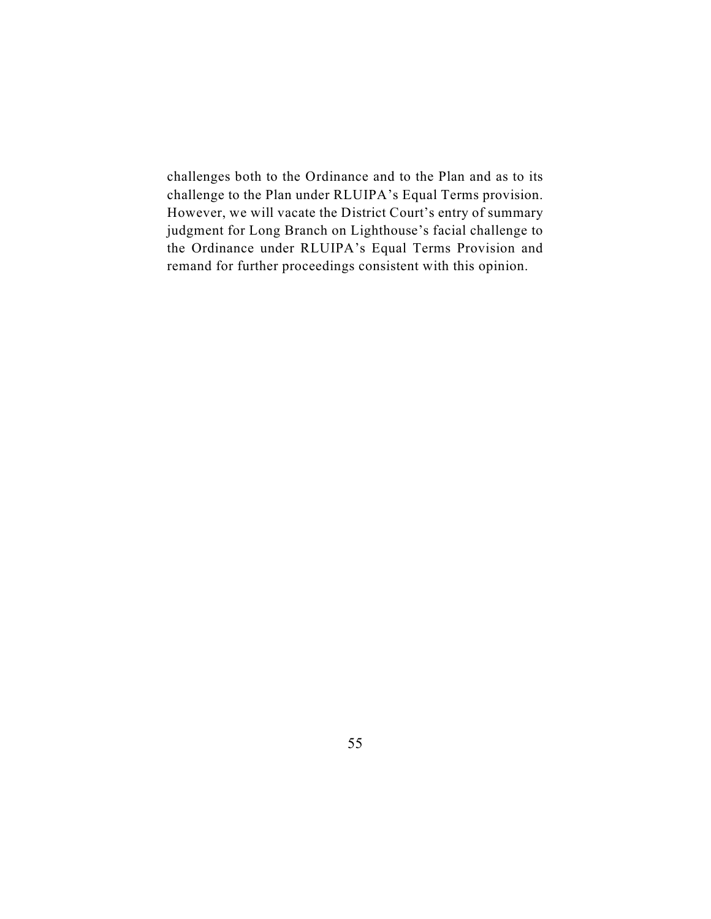challenges both to the Ordinance and to the Plan and as to its challenge to the Plan under RLUIPA's Equal Terms provision. However, we will vacate the District Court's entry of summary judgment for Long Branch on Lighthouse's facial challenge to the Ordinance under RLUIPA's Equal Terms Provision and remand for further proceedings consistent with this opinion.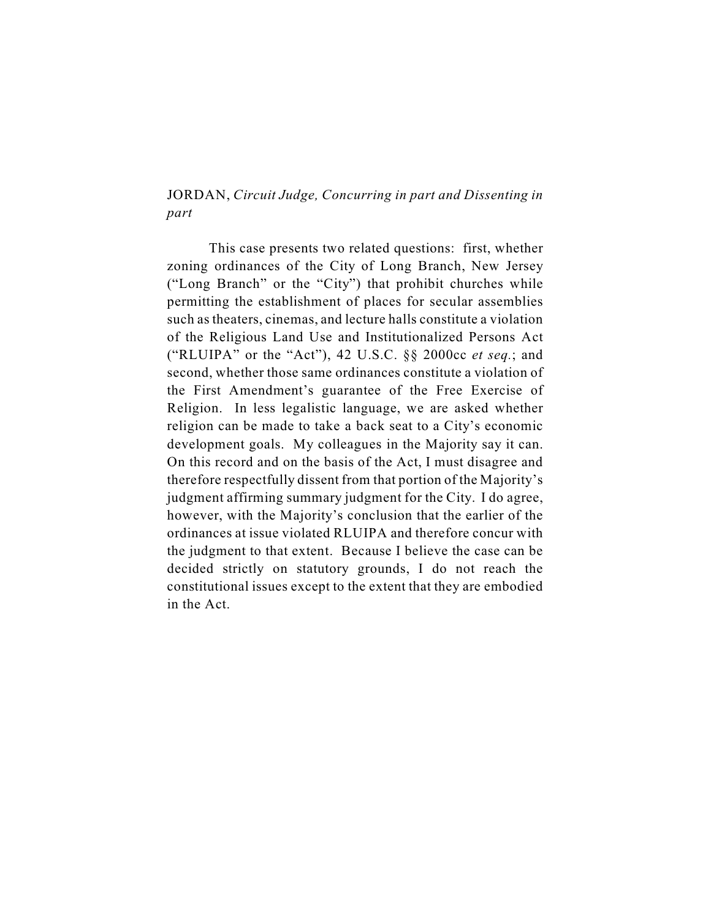# JORDAN, *Circuit Judge, Concurring in part and Dissenting in part*

This case presents two related questions: first, whether zoning ordinances of the City of Long Branch, New Jersey ("Long Branch" or the "City") that prohibit churches while permitting the establishment of places for secular assemblies such as theaters, cinemas, and lecture halls constitute a violation of the Religious Land Use and Institutionalized Persons Act ("RLUIPA" or the "Act"), 42 U.S.C. §§ 2000cc *et seq.*; and second, whether those same ordinances constitute a violation of the First Amendment's guarantee of the Free Exercise of Religion. In less legalistic language, we are asked whether religion can be made to take a back seat to a City's economic development goals. My colleagues in the Majority say it can. On this record and on the basis of the Act, I must disagree and therefore respectfully dissent from that portion of the Majority's judgment affirming summary judgment for the City. I do agree, however, with the Majority's conclusion that the earlier of the ordinances at issue violated RLUIPA and therefore concur with the judgment to that extent. Because I believe the case can be decided strictly on statutory grounds, I do not reach the constitutional issues except to the extent that they are embodied in the Act.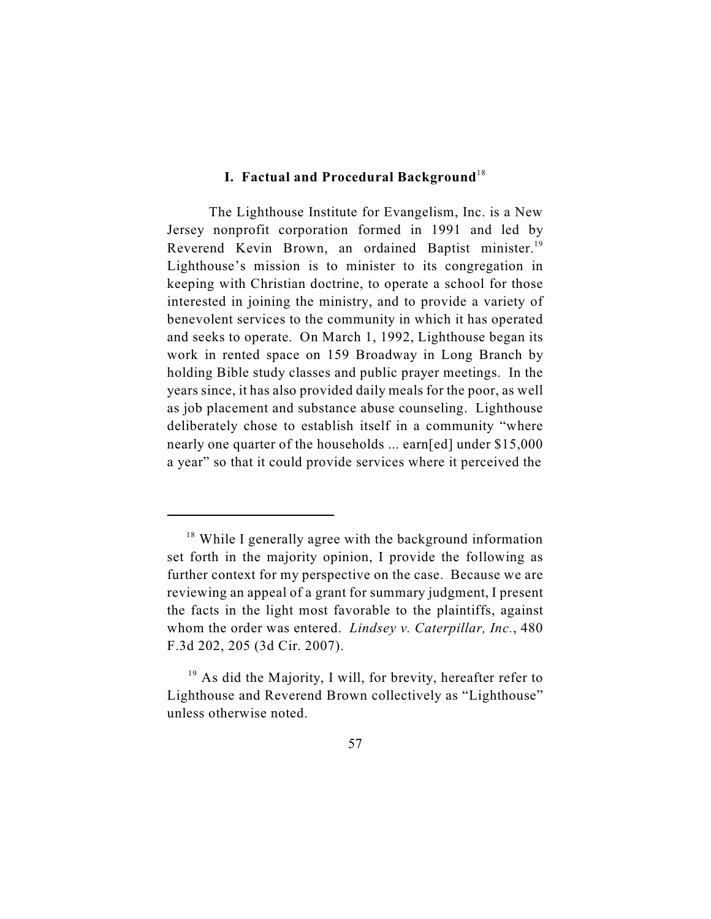### **I. Factual and Procedural Background**<sup>18</sup>

The Lighthouse Institute for Evangelism, Inc. is a New Jersey nonprofit corporation formed in 1991 and led by Reverend Kevin Brown, an ordained Baptist minister.<sup>19</sup> Lighthouse's mission is to minister to its congregation in keeping with Christian doctrine, to operate a school for those interested in joining the ministry, and to provide a variety of benevolent services to the community in which it has operated and seeks to operate. On March 1, 1992, Lighthouse began its work in rented space on 159 Broadway in Long Branch by holding Bible study classes and public prayer meetings. In the years since, it has also provided daily meals for the poor, as well as job placement and substance abuse counseling. Lighthouse deliberately chose to establish itself in a community "where nearly one quarter of the households ... earn[ed] under \$15,000 a year" so that it could provide services where it perceived the

 $18$  While I generally agree with the background information set forth in the majority opinion, I provide the following as further context for my perspective on the case. Because we are reviewing an appeal of a grant for summary judgment, I present the facts in the light most favorable to the plaintiffs, against whom the order was entered. *Lindsey v. Caterpillar, Inc.*, 480 F.3d 202, 205 (3d Cir. 2007).

 $19$  As did the Majority, I will, for brevity, hereafter refer to Lighthouse and Reverend Brown collectively as "Lighthouse" unless otherwise noted.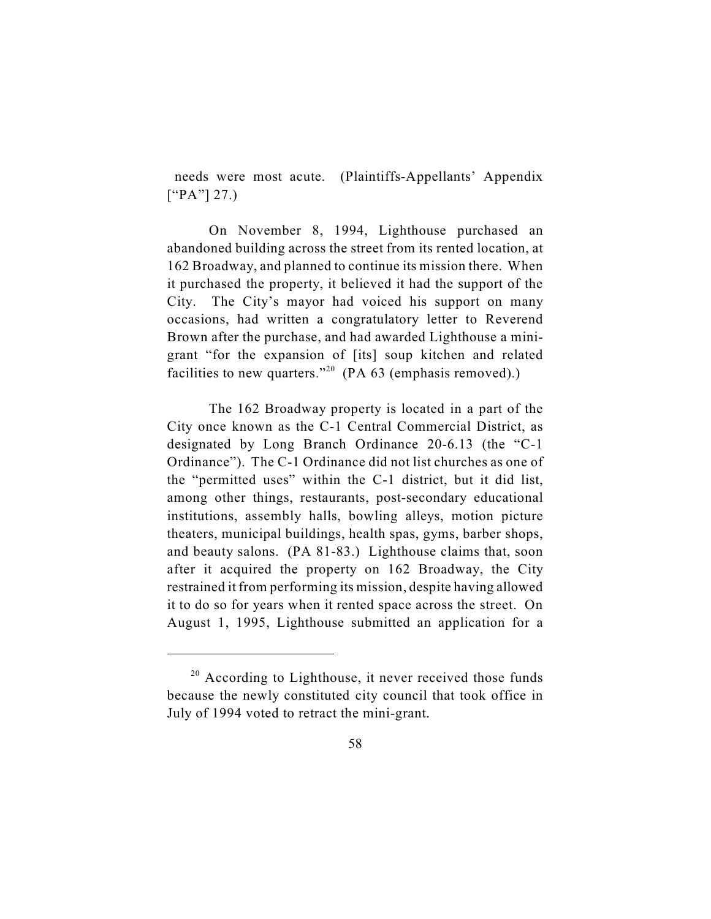needs were most acute. (Plaintiffs-Appellants' Appendix  $[$ "PA"] 27.)

On November 8, 1994, Lighthouse purchased an abandoned building across the street from its rented location, at 162 Broadway, and planned to continue its mission there. When it purchased the property, it believed it had the support of the City. The City's mayor had voiced his support on many occasions, had written a congratulatory letter to Reverend Brown after the purchase, and had awarded Lighthouse a minigrant "for the expansion of [its] soup kitchen and related facilities to new quarters."<sup>20</sup> (PA 63 (emphasis removed).)

The 162 Broadway property is located in a part of the City once known as the C-1 Central Commercial District, as designated by Long Branch Ordinance 20-6.13 (the "C-1 Ordinance"). The C-1 Ordinance did not list churches as one of the "permitted uses" within the C-1 district, but it did list, among other things, restaurants, post-secondary educational institutions, assembly halls, bowling alleys, motion picture theaters, municipal buildings, health spas, gyms, barber shops, and beauty salons. (PA 81-83.) Lighthouse claims that, soon after it acquired the property on 162 Broadway, the City restrained it from performing its mission, despite having allowed it to do so for years when it rented space across the street. On August 1, 1995, Lighthouse submitted an application for a

 $20$  According to Lighthouse, it never received those funds because the newly constituted city council that took office in July of 1994 voted to retract the mini-grant.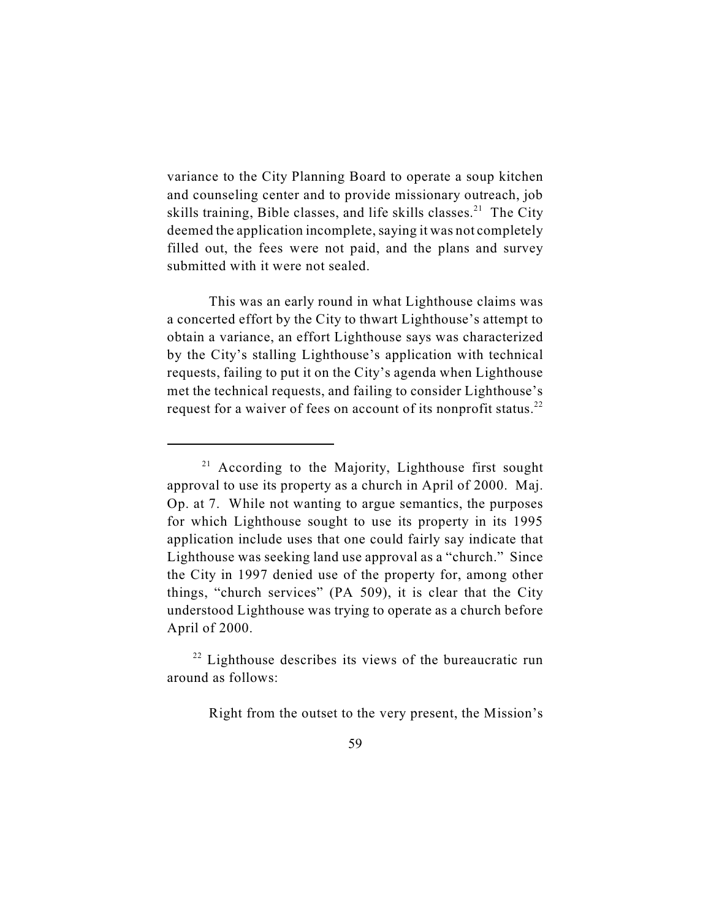variance to the City Planning Board to operate a soup kitchen and counseling center and to provide missionary outreach, job skills training, Bible classes, and life skills classes.<sup>21</sup> The City deemed the application incomplete, saying it was not completely filled out, the fees were not paid, and the plans and survey submitted with it were not sealed.

This was an early round in what Lighthouse claims was a concerted effort by the City to thwart Lighthouse's attempt to obtain a variance, an effort Lighthouse says was characterized by the City's stalling Lighthouse's application with technical requests, failing to put it on the City's agenda when Lighthouse met the technical requests, and failing to consider Lighthouse's request for a waiver of fees on account of its nonprofit status.<sup>22</sup>

Right from the outset to the very present, the Mission's

 $21$  According to the Majority, Lighthouse first sought approval to use its property as a church in April of 2000. Maj. Op. at 7. While not wanting to argue semantics, the purposes for which Lighthouse sought to use its property in its 1995 application include uses that one could fairly say indicate that Lighthouse was seeking land use approval as a "church." Since the City in 1997 denied use of the property for, among other things, "church services" (PA 509), it is clear that the City understood Lighthouse was trying to operate as a church before April of 2000.

 $22$  Lighthouse describes its views of the bureaucratic run around as follows: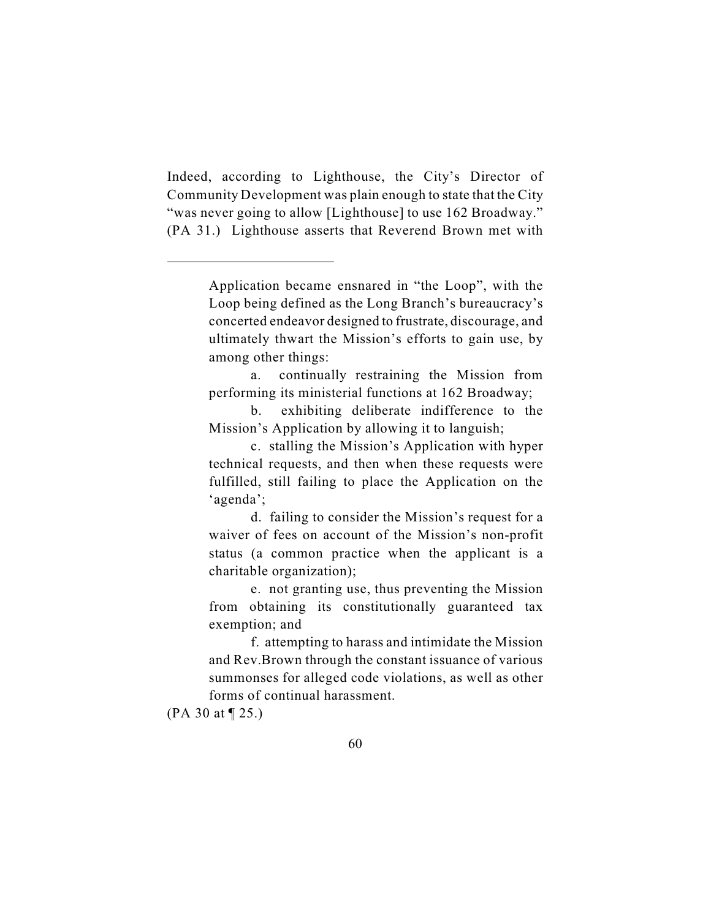Indeed, according to Lighthouse, the City's Director of Community Development was plain enough to state that the City "was never going to allow [Lighthouse] to use 162 Broadway." (PA 31.) Lighthouse asserts that Reverend Brown met with

Application became ensnared in "the Loop", with the Loop being defined as the Long Branch's bureaucracy's concerted endeavor designed to frustrate, discourage, and ultimately thwart the Mission's efforts to gain use, by among other things:

a. continually restraining the Mission from performing its ministerial functions at 162 Broadway;

b. exhibiting deliberate indifference to the Mission's Application by allowing it to languish;

c. stalling the Mission's Application with hyper technical requests, and then when these requests were fulfilled, still failing to place the Application on the 'agenda';

d. failing to consider the Mission's request for a waiver of fees on account of the Mission's non-profit status (a common practice when the applicant is a charitable organization);

e. not granting use, thus preventing the Mission from obtaining its constitutionally guaranteed tax exemption; and

f. attempting to harass and intimidate the Mission and Rev.Brown through the constant issuance of various summonses for alleged code violations, as well as other forms of continual harassment.

<sup>(</sup>PA 30 at ¶ 25.)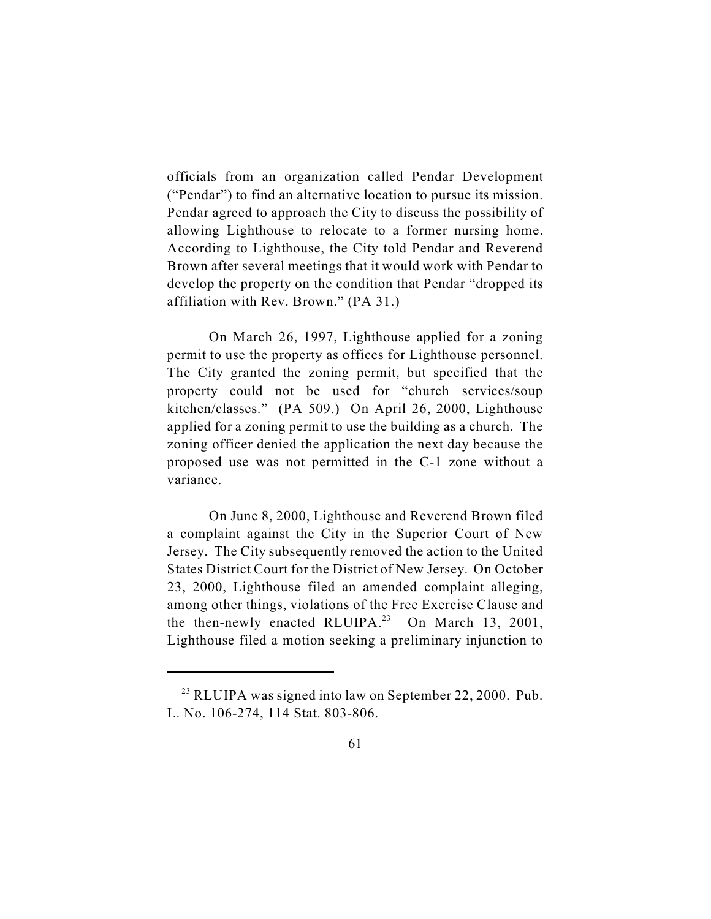officials from an organization called Pendar Development ("Pendar") to find an alternative location to pursue its mission. Pendar agreed to approach the City to discuss the possibility of allowing Lighthouse to relocate to a former nursing home. According to Lighthouse, the City told Pendar and Reverend Brown after several meetings that it would work with Pendar to develop the property on the condition that Pendar "dropped its affiliation with Rev. Brown." (PA 31.)

On March 26, 1997, Lighthouse applied for a zoning permit to use the property as offices for Lighthouse personnel. The City granted the zoning permit, but specified that the property could not be used for "church services/soup kitchen/classes." (PA 509.) On April 26, 2000, Lighthouse applied for a zoning permit to use the building as a church. The zoning officer denied the application the next day because the proposed use was not permitted in the C-1 zone without a variance.

On June 8, 2000, Lighthouse and Reverend Brown filed a complaint against the City in the Superior Court of New Jersey. The City subsequently removed the action to the United States District Court for the District of New Jersey. On October 23, 2000, Lighthouse filed an amended complaint alleging, among other things, violations of the Free Exercise Clause and the then-newly enacted RLUIPA.<sup>23</sup> On March 13, 2001, Lighthouse filed a motion seeking a preliminary injunction to

 $^{23}$  RLUIPA was signed into law on September 22, 2000. Pub. L. No. 106-274, 114 Stat. 803-806.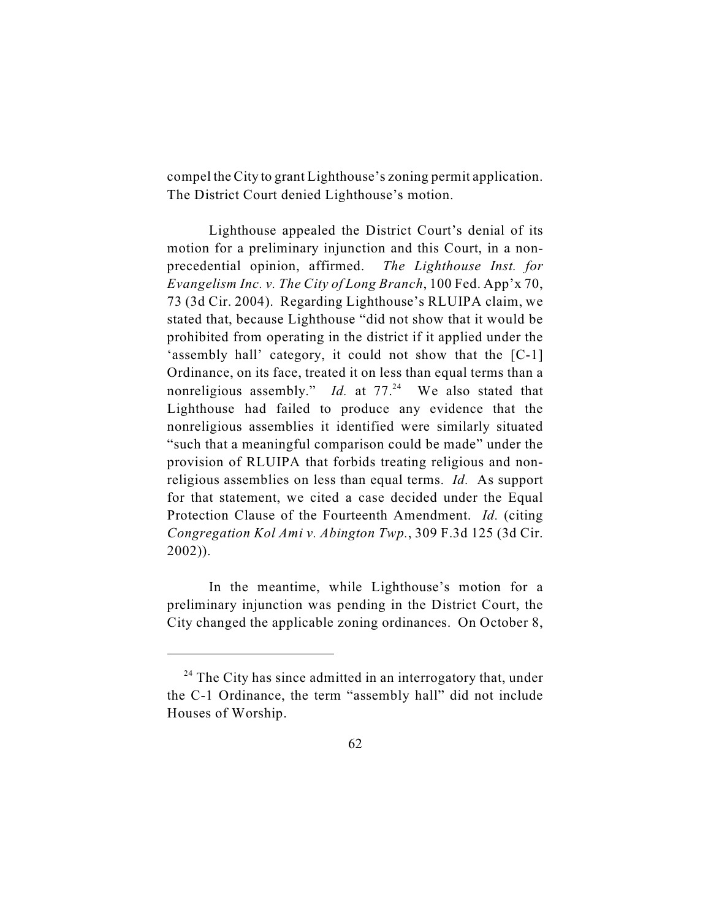compel the City to grant Lighthouse's zoning permit application. The District Court denied Lighthouse's motion.

Lighthouse appealed the District Court's denial of its motion for a preliminary injunction and this Court, in a nonprecedential opinion, affirmed. *The Lighthouse Inst. for Evangelism Inc. v. The City of Long Branch*, 100 Fed. App'x 70, 73 (3d Cir. 2004). Regarding Lighthouse's RLUIPA claim, we stated that, because Lighthouse "did not show that it would be prohibited from operating in the district if it applied under the 'assembly hall' category, it could not show that the [C-1] Ordinance, on its face, treated it on less than equal terms than a nonreligious assembly." *Id.* at  $77<sup>24</sup>$  We also stated that Lighthouse had failed to produce any evidence that the nonreligious assemblies it identified were similarly situated "such that a meaningful comparison could be made" under the provision of RLUIPA that forbids treating religious and nonreligious assemblies on less than equal terms. *Id.* As support for that statement, we cited a case decided under the Equal Protection Clause of the Fourteenth Amendment. *Id.* (citing *Congregation Kol Ami v. Abington Twp.*, 309 F.3d 125 (3d Cir. 2002)).

In the meantime, while Lighthouse's motion for a preliminary injunction was pending in the District Court, the City changed the applicable zoning ordinances. On October 8,

 $24$  The City has since admitted in an interrogatory that, under the C-1 Ordinance, the term "assembly hall" did not include Houses of Worship.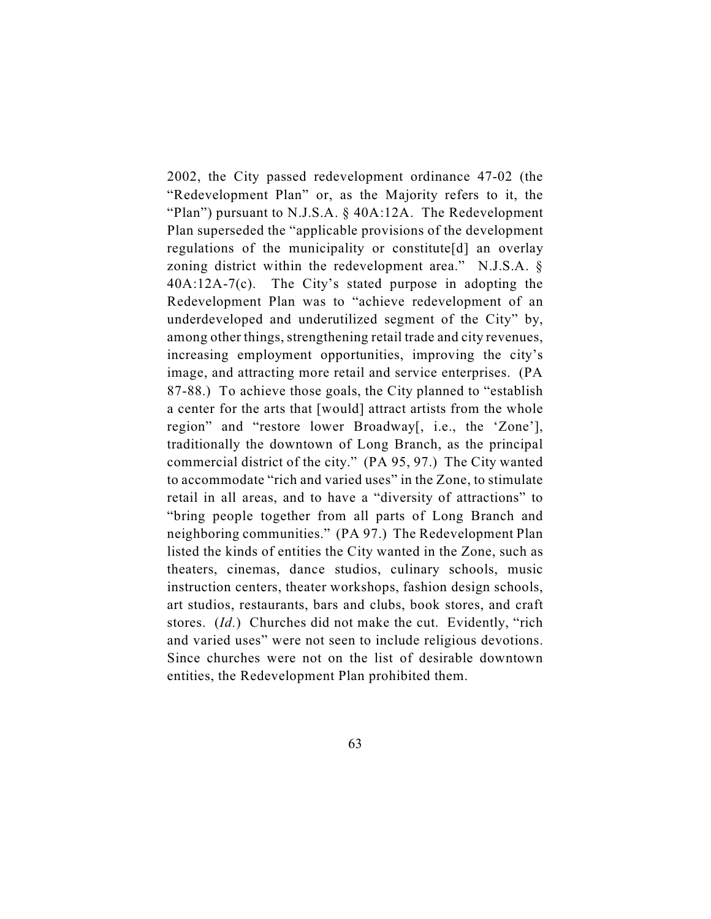2002, the City passed redevelopment ordinance 47-02 (the "Redevelopment Plan" or, as the Majority refers to it, the "Plan") pursuant to N.J.S.A. § 40A:12A. The Redevelopment Plan superseded the "applicable provisions of the development regulations of the municipality or constitute[d] an overlay zoning district within the redevelopment area." N.J.S.A. § 40A:12A-7(c). The City's stated purpose in adopting the Redevelopment Plan was to "achieve redevelopment of an underdeveloped and underutilized segment of the City" by, among other things, strengthening retail trade and city revenues, increasing employment opportunities, improving the city's image, and attracting more retail and service enterprises. (PA 87-88.) To achieve those goals, the City planned to "establish a center for the arts that [would] attract artists from the whole region" and "restore lower Broadway[, i.e., the 'Zone'], traditionally the downtown of Long Branch, as the principal commercial district of the city." (PA 95, 97.) The City wanted to accommodate "rich and varied uses" in the Zone, to stimulate retail in all areas, and to have a "diversity of attractions" to "bring people together from all parts of Long Branch and neighboring communities." (PA 97.) The Redevelopment Plan listed the kinds of entities the City wanted in the Zone, such as theaters, cinemas, dance studios, culinary schools, music instruction centers, theater workshops, fashion design schools, art studios, restaurants, bars and clubs, book stores, and craft stores. (*Id.*) Churches did not make the cut. Evidently, "rich and varied uses" were not seen to include religious devotions. Since churches were not on the list of desirable downtown entities, the Redevelopment Plan prohibited them.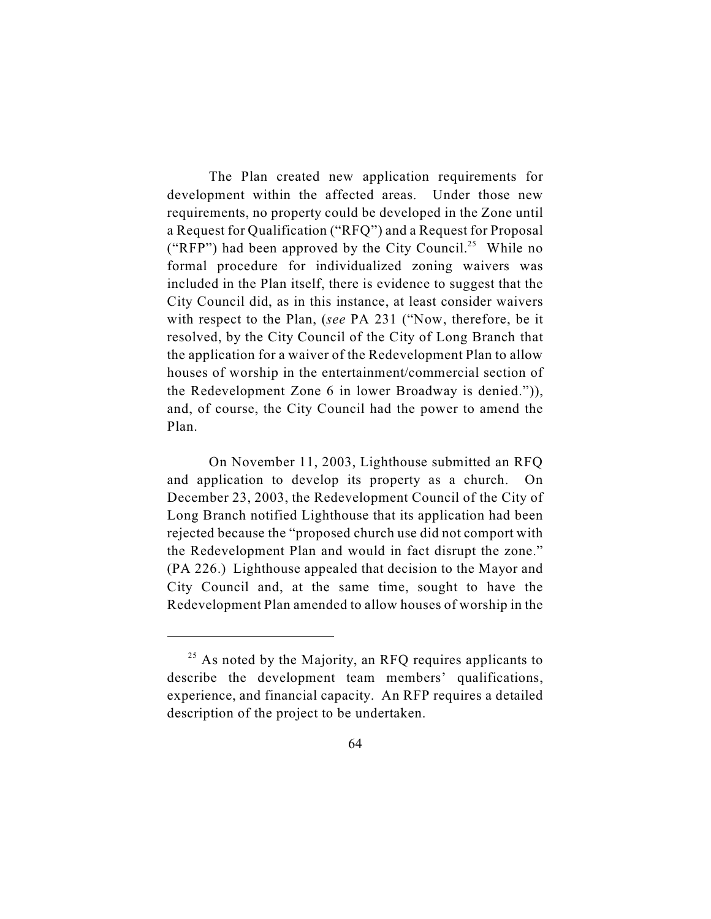The Plan created new application requirements for development within the affected areas. Under those new requirements, no property could be developed in the Zone until a Request for Qualification ("RFQ") and a Request for Proposal ("RFP") had been approved by the City Council.<sup>25</sup> While no formal procedure for individualized zoning waivers was included in the Plan itself, there is evidence to suggest that the City Council did, as in this instance, at least consider waivers with respect to the Plan, (*see* PA 231 ("Now, therefore, be it resolved, by the City Council of the City of Long Branch that the application for a waiver of the Redevelopment Plan to allow houses of worship in the entertainment/commercial section of the Redevelopment Zone 6 in lower Broadway is denied.")), and, of course, the City Council had the power to amend the Plan.

On November 11, 2003, Lighthouse submitted an RFQ and application to develop its property as a church. On December 23, 2003, the Redevelopment Council of the City of Long Branch notified Lighthouse that its application had been rejected because the "proposed church use did not comport with the Redevelopment Plan and would in fact disrupt the zone." (PA 226.) Lighthouse appealed that decision to the Mayor and City Council and, at the same time, sought to have the Redevelopment Plan amended to allow houses of worship in the

 $25$  As noted by the Majority, an RFQ requires applicants to describe the development team members' qualifications, experience, and financial capacity. An RFP requires a detailed description of the project to be undertaken.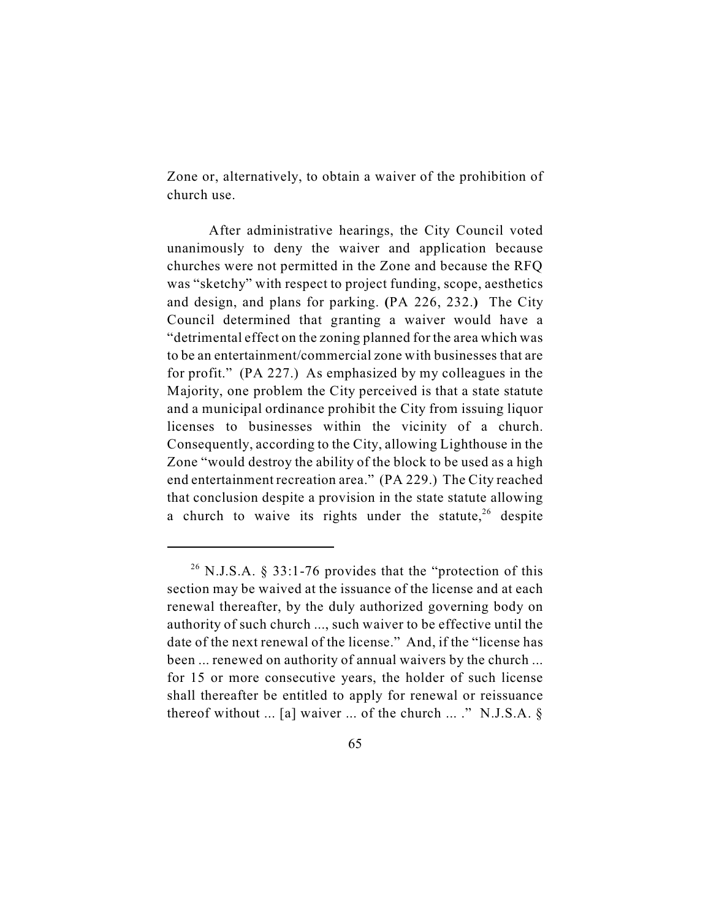Zone or, alternatively, to obtain a waiver of the prohibition of church use.

After administrative hearings, the City Council voted unanimously to deny the waiver and application because churches were not permitted in the Zone and because the RFQ was "sketchy" with respect to project funding, scope, aesthetics and design, and plans for parking. **(**PA 226, 232.**)** The City Council determined that granting a waiver would have a "detrimental effect on the zoning planned for the area which was to be an entertainment/commercial zone with businesses that are for profit." (PA 227.) As emphasized by my colleagues in the Majority, one problem the City perceived is that a state statute and a municipal ordinance prohibit the City from issuing liquor licenses to businesses within the vicinity of a church. Consequently, according to the City, allowing Lighthouse in the Zone "would destroy the ability of the block to be used as a high end entertainment recreation area." (PA 229.) The City reached that conclusion despite a provision in the state statute allowing a church to waive its rights under the statute,  $26$  despite

<sup>&</sup>lt;sup>26</sup> N.J.S.A. § 33:1-76 provides that the "protection of this section may be waived at the issuance of the license and at each renewal thereafter, by the duly authorized governing body on authority of such church ..., such waiver to be effective until the date of the next renewal of the license." And, if the "license has been ... renewed on authority of annual waivers by the church ... for 15 or more consecutive years, the holder of such license shall thereafter be entitled to apply for renewal or reissuance thereof without ... [a] waiver ... of the church ... ." N.J.S.A.  $\S$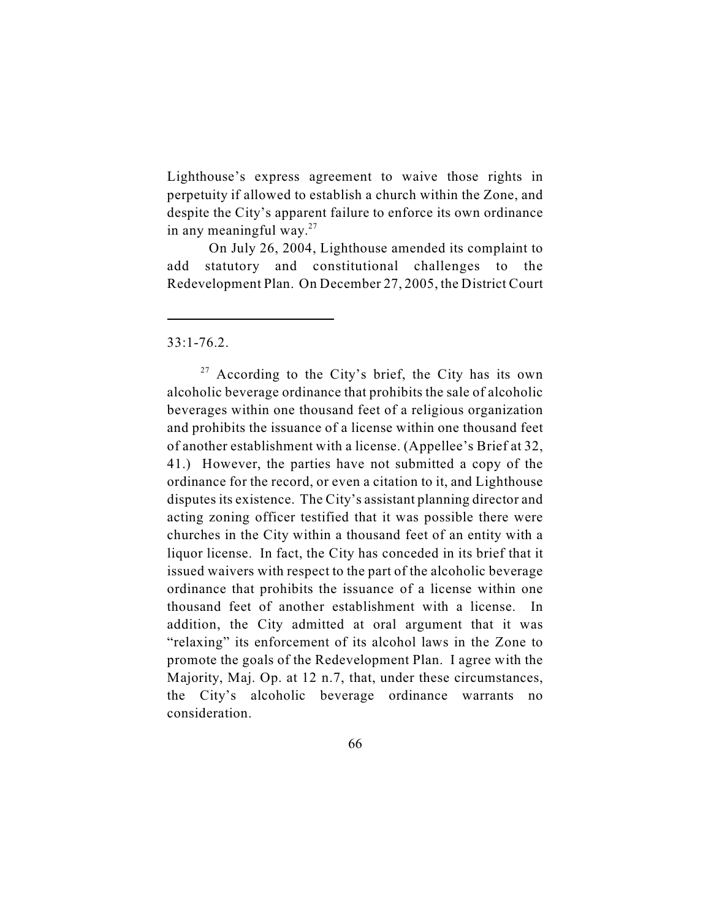Lighthouse's express agreement to waive those rights in perpetuity if allowed to establish a church within the Zone, and despite the City's apparent failure to enforce its own ordinance in any meaningful way. $27$ 

On July 26, 2004, Lighthouse amended its complaint to add statutory and constitutional challenges to the Redevelopment Plan. On December 27, 2005, the District Court

 $33:1 - 76.2$ .

 $27$  According to the City's brief, the City has its own alcoholic beverage ordinance that prohibits the sale of alcoholic beverages within one thousand feet of a religious organization and prohibits the issuance of a license within one thousand feet of another establishment with a license. (Appellee's Brief at 32, 41.) However, the parties have not submitted a copy of the ordinance for the record, or even a citation to it, and Lighthouse disputes its existence. The City's assistant planning director and acting zoning officer testified that it was possible there were churches in the City within a thousand feet of an entity with a liquor license. In fact, the City has conceded in its brief that it issued waivers with respect to the part of the alcoholic beverage ordinance that prohibits the issuance of a license within one thousand feet of another establishment with a license. In addition, the City admitted at oral argument that it was "relaxing" its enforcement of its alcohol laws in the Zone to promote the goals of the Redevelopment Plan. I agree with the Majority, Maj. Op. at 12 n.7, that, under these circumstances, the City's alcoholic beverage ordinance warrants no consideration.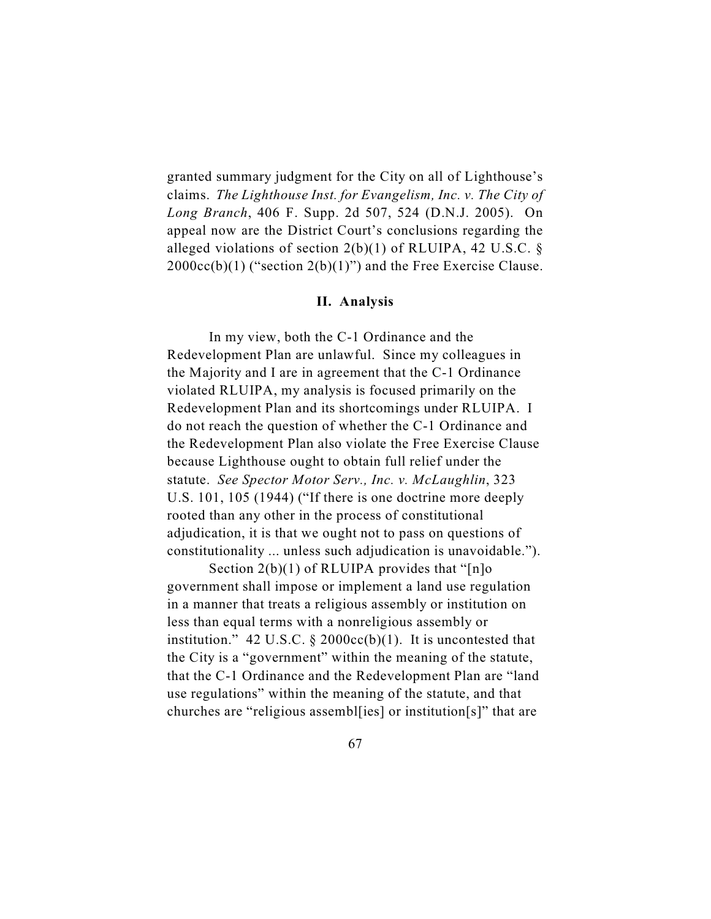granted summary judgment for the City on all of Lighthouse's claims. *The Lighthouse Inst. for Evangelism, Inc. v. The City of Long Branch*, 406 F. Supp. 2d 507, 524 (D.N.J. 2005). On appeal now are the District Court's conclusions regarding the alleged violations of section  $2(b)(1)$  of RLUIPA, 42 U.S.C. §  $2000cc(b)(1)$  ("section  $2(b)(1)$ ") and the Free Exercise Clause.

### **II. Analysis**

In my view, both the C-1 Ordinance and the Redevelopment Plan are unlawful. Since my colleagues in the Majority and I are in agreement that the C-1 Ordinance violated RLUIPA, my analysis is focused primarily on the Redevelopment Plan and its shortcomings under RLUIPA. I do not reach the question of whether the C-1 Ordinance and the Redevelopment Plan also violate the Free Exercise Clause because Lighthouse ought to obtain full relief under the statute. *See Spector Motor Serv., Inc. v. McLaughlin*, 323 U.S. 101, 105 (1944) ("If there is one doctrine more deeply rooted than any other in the process of constitutional adjudication, it is that we ought not to pass on questions of constitutionality ... unless such adjudication is unavoidable.").

Section 2(b)(1) of RLUIPA provides that "[n]o government shall impose or implement a land use regulation in a manner that treats a religious assembly or institution on less than equal terms with a nonreligious assembly or institution." 42 U.S.C.  $\S$  2000cc(b)(1). It is uncontested that the City is a "government" within the meaning of the statute, that the C-1 Ordinance and the Redevelopment Plan are "land use regulations" within the meaning of the statute, and that churches are "religious assembl[ies] or institution[s]" that are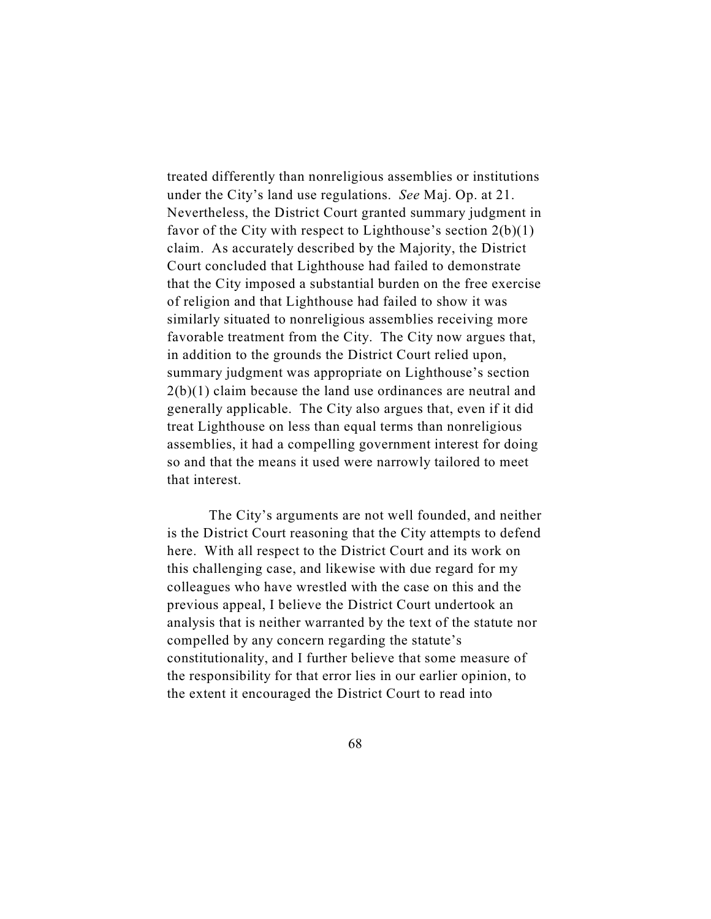treated differently than nonreligious assemblies or institutions under the City's land use regulations. *See* Maj. Op. at 21. Nevertheless, the District Court granted summary judgment in favor of the City with respect to Lighthouse's section  $2(b)(1)$ claim. As accurately described by the Majority, the District Court concluded that Lighthouse had failed to demonstrate that the City imposed a substantial burden on the free exercise of religion and that Lighthouse had failed to show it was similarly situated to nonreligious assemblies receiving more favorable treatment from the City. The City now argues that, in addition to the grounds the District Court relied upon, summary judgment was appropriate on Lighthouse's section 2(b)(1) claim because the land use ordinances are neutral and generally applicable. The City also argues that, even if it did treat Lighthouse on less than equal terms than nonreligious assemblies, it had a compelling government interest for doing so and that the means it used were narrowly tailored to meet that interest.

The City's arguments are not well founded, and neither is the District Court reasoning that the City attempts to defend here. With all respect to the District Court and its work on this challenging case, and likewise with due regard for my colleagues who have wrestled with the case on this and the previous appeal, I believe the District Court undertook an analysis that is neither warranted by the text of the statute nor compelled by any concern regarding the statute's constitutionality, and I further believe that some measure of the responsibility for that error lies in our earlier opinion, to the extent it encouraged the District Court to read into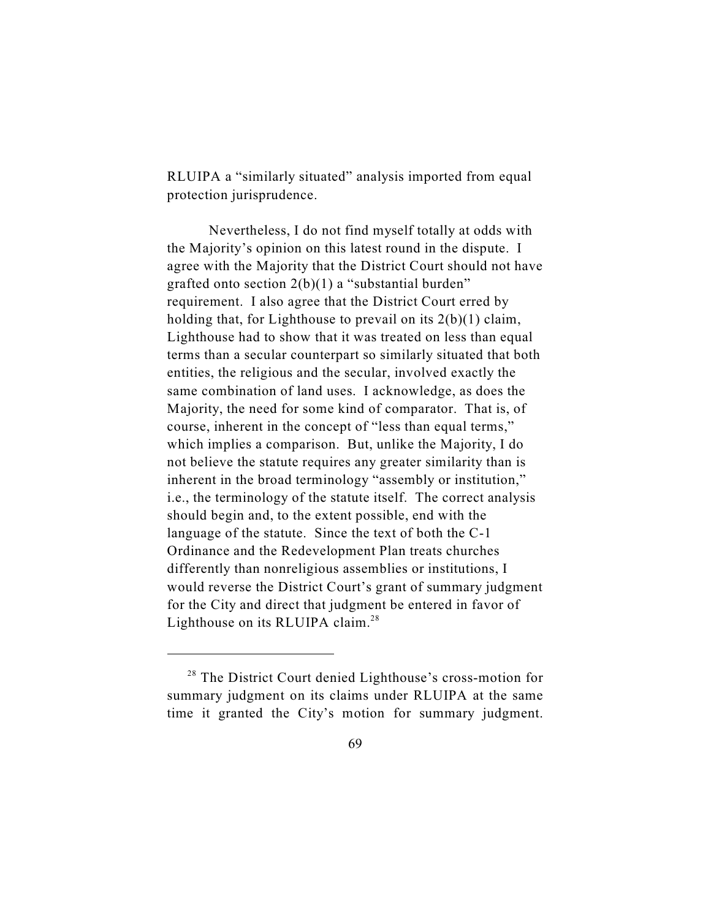RLUIPA a "similarly situated" analysis imported from equal protection jurisprudence.

Nevertheless, I do not find myself totally at odds with the Majority's opinion on this latest round in the dispute. I agree with the Majority that the District Court should not have grafted onto section  $2(b)(1)$  a "substantial burden" requirement. I also agree that the District Court erred by holding that, for Lighthouse to prevail on its  $2(b)(1)$  claim, Lighthouse had to show that it was treated on less than equal terms than a secular counterpart so similarly situated that both entities, the religious and the secular, involved exactly the same combination of land uses. I acknowledge, as does the Majority, the need for some kind of comparator. That is, of course, inherent in the concept of "less than equal terms," which implies a comparison. But, unlike the Majority, I do not believe the statute requires any greater similarity than is inherent in the broad terminology "assembly or institution," i.e., the terminology of the statute itself. The correct analysis should begin and, to the extent possible, end with the language of the statute. Since the text of both the C-1 Ordinance and the Redevelopment Plan treats churches differently than nonreligious assemblies or institutions, I would reverse the District Court's grant of summary judgment for the City and direct that judgment be entered in favor of Lighthouse on its RLUIPA claim.<sup>28</sup>

 $28$  The District Court denied Lighthouse's cross-motion for summary judgment on its claims under RLUIPA at the same time it granted the City's motion for summary judgment.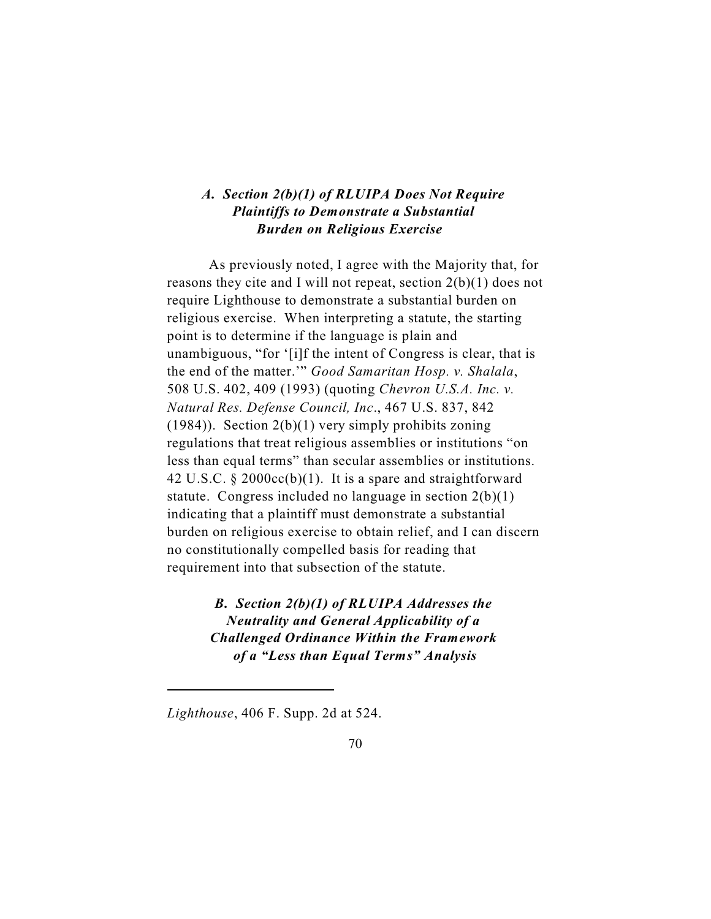## *A. Section 2(b)(1) of RLUIPA Does Not Require Plaintiffs to Demonstrate a Substantial Burden on Religious Exercise*

As previously noted, I agree with the Majority that, for reasons they cite and I will not repeat, section 2(b)(1) does not require Lighthouse to demonstrate a substantial burden on religious exercise. When interpreting a statute, the starting point is to determine if the language is plain and unambiguous, "for '[i]f the intent of Congress is clear, that is the end of the matter.'" *Good Samaritan Hosp. v. Shalala*, 508 U.S. 402, 409 (1993) (quoting *Chevron U.S.A. Inc. v. Natural Res. Defense Council, Inc*., 467 U.S. 837, 842  $(1984)$ ). Section 2(b)(1) very simply prohibits zoning regulations that treat religious assemblies or institutions "on less than equal terms" than secular assemblies or institutions. 42 U.S.C. § 2000cc(b)(1). It is a spare and straightforward statute. Congress included no language in section 2(b)(1) indicating that a plaintiff must demonstrate a substantial burden on religious exercise to obtain relief, and I can discern no constitutionally compelled basis for reading that requirement into that subsection of the statute.

> *B. Section 2(b)(1) of RLUIPA Addresses the Neutrality and General Applicability of a Challenged Ordinance Within the Framework of a "Less than Equal Terms" Analysis*

*Lighthouse*, 406 F. Supp. 2d at 524.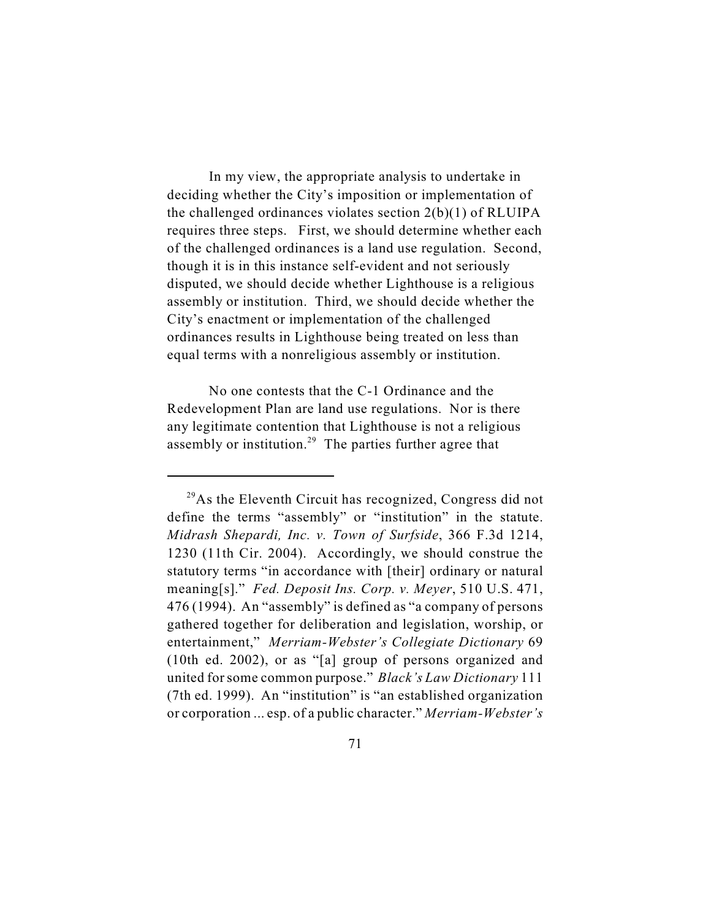In my view, the appropriate analysis to undertake in deciding whether the City's imposition or implementation of the challenged ordinances violates section 2(b)(1) of RLUIPA requires three steps. First, we should determine whether each of the challenged ordinances is a land use regulation. Second, though it is in this instance self-evident and not seriously disputed, we should decide whether Lighthouse is a religious assembly or institution. Third, we should decide whether the City's enactment or implementation of the challenged ordinances results in Lighthouse being treated on less than equal terms with a nonreligious assembly or institution.

No one contests that the C-1 Ordinance and the Redevelopment Plan are land use regulations. Nor is there any legitimate contention that Lighthouse is not a religious assembly or institution.<sup>29</sup> The parties further agree that

 $^{29}$ As the Eleventh Circuit has recognized, Congress did not define the terms "assembly" or "institution" in the statute. *Midrash Shepardi, Inc. v. Town of Surfside*, 366 F.3d 1214, 1230 (11th Cir. 2004). Accordingly, we should construe the statutory terms "in accordance with [their] ordinary or natural meaning[s]." *Fed. Deposit Ins. Corp. v. Meyer*, 510 U.S. 471, 476 (1994). An "assembly" is defined as "a company of persons gathered together for deliberation and legislation, worship, or entertainment," *Merriam-Webster's Collegiate Dictionary* 69 (10th ed. 2002), or as "[a] group of persons organized and united for some common purpose." *Black's Law Dictionary* 111 (7th ed. 1999). An "institution" is "an established organization or corporation ... esp. of a public character." *Merriam-Webster's*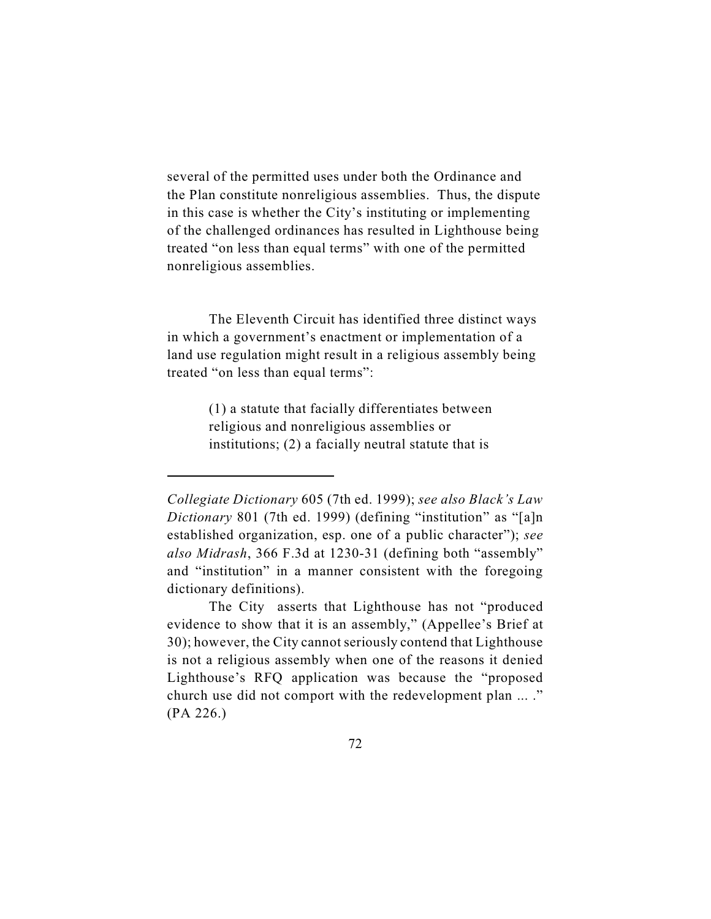several of the permitted uses under both the Ordinance and the Plan constitute nonreligious assemblies. Thus, the dispute in this case is whether the City's instituting or implementing of the challenged ordinances has resulted in Lighthouse being treated "on less than equal terms" with one of the permitted nonreligious assemblies.

The Eleventh Circuit has identified three distinct ways in which a government's enactment or implementation of a land use regulation might result in a religious assembly being treated "on less than equal terms":

> (1) a statute that facially differentiates between religious and nonreligious assemblies or institutions; (2) a facially neutral statute that is

*Collegiate Dictionary* 605 (7th ed. 1999); *see also Black's Law Dictionary* 801 (7th ed. 1999) (defining "institution" as "[a]n established organization, esp. one of a public character"); *see also Midrash*, 366 F.3d at 1230-31 (defining both "assembly" and "institution" in a manner consistent with the foregoing dictionary definitions).

The City asserts that Lighthouse has not "produced evidence to show that it is an assembly," (Appellee's Brief at 30); however, the City cannot seriously contend that Lighthouse is not a religious assembly when one of the reasons it denied Lighthouse's RFQ application was because the "proposed church use did not comport with the redevelopment plan ... ." (PA 226.)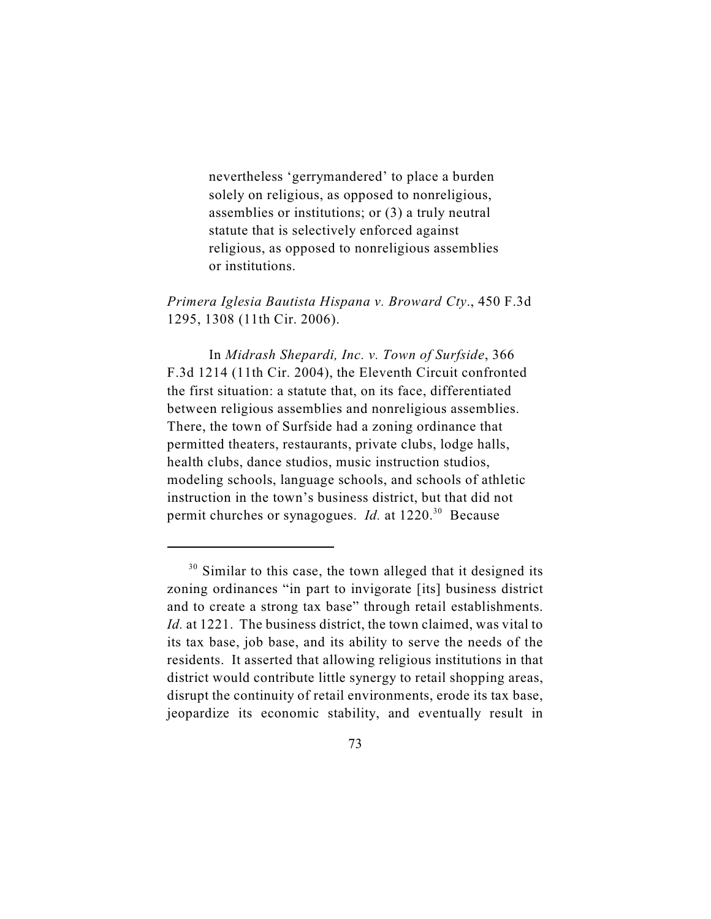nevertheless 'gerrymandered' to place a burden solely on religious, as opposed to nonreligious, assemblies or institutions; or (3) a truly neutral statute that is selectively enforced against religious, as opposed to nonreligious assemblies or institutions.

*Primera Iglesia Bautista Hispana v. Broward Cty*., 450 F.3d 1295, 1308 (11th Cir. 2006).

In *Midrash Shepardi, Inc. v. Town of Surfside*, 366 F.3d 1214 (11th Cir. 2004), the Eleventh Circuit confronted the first situation: a statute that, on its face, differentiated between religious assemblies and nonreligious assemblies. There, the town of Surfside had a zoning ordinance that permitted theaters, restaurants, private clubs, lodge halls, health clubs, dance studios, music instruction studios, modeling schools, language schools, and schools of athletic instruction in the town's business district, but that did not permit churches or synagogues. *Id.* at 1220.<sup>30</sup> Because

 $30$  Similar to this case, the town alleged that it designed its zoning ordinances "in part to invigorate [its] business district and to create a strong tax base" through retail establishments. *Id.* at 1221. The business district, the town claimed, was vital to its tax base, job base, and its ability to serve the needs of the residents. It asserted that allowing religious institutions in that district would contribute little synergy to retail shopping areas, disrupt the continuity of retail environments, erode its tax base, jeopardize its economic stability, and eventually result in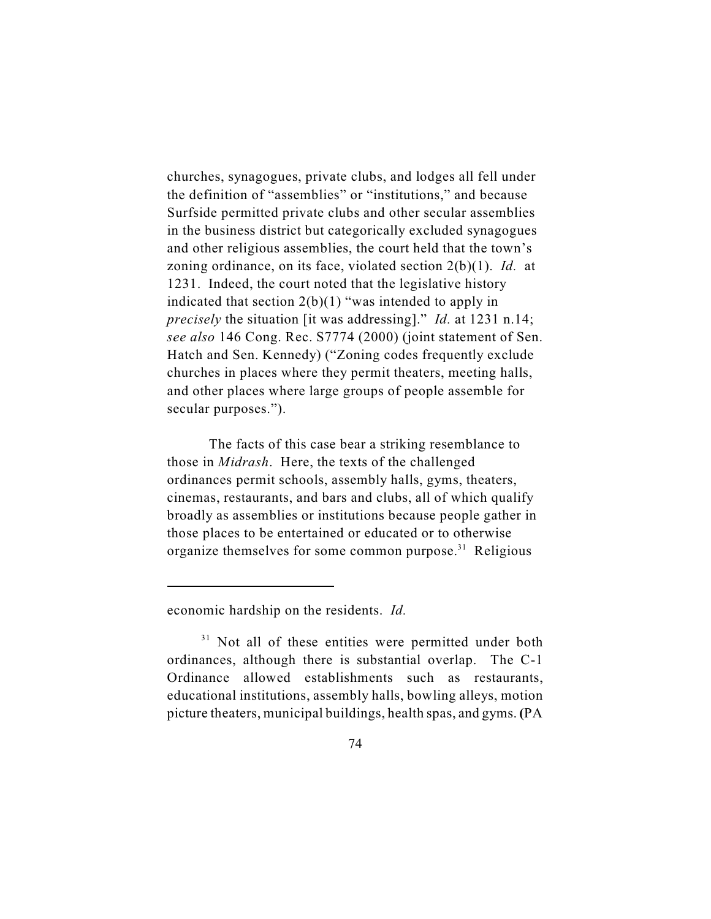churches, synagogues, private clubs, and lodges all fell under the definition of "assemblies" or "institutions," and because Surfside permitted private clubs and other secular assemblies in the business district but categorically excluded synagogues and other religious assemblies, the court held that the town's zoning ordinance, on its face, violated section 2(b)(1). *Id.* at 1231. Indeed, the court noted that the legislative history indicated that section  $2(b)(1)$  "was intended to apply in *precisely* the situation [it was addressing]." *Id.* at 1231 n.14; *see also* 146 Cong. Rec. S7774 (2000) (joint statement of Sen. Hatch and Sen. Kennedy) ("Zoning codes frequently exclude churches in places where they permit theaters, meeting halls, and other places where large groups of people assemble for secular purposes.").

The facts of this case bear a striking resemblance to those in *Midrash*. Here, the texts of the challenged ordinances permit schools, assembly halls, gyms, theaters, cinemas, restaurants, and bars and clubs, all of which qualify broadly as assemblies or institutions because people gather in those places to be entertained or educated or to otherwise organize themselves for some common purpose.<sup>31</sup> Religious

economic hardship on the residents. *Id.*

 $31$  Not all of these entities were permitted under both ordinances, although there is substantial overlap. The C-1 Ordinance allowed establishments such as restaurants, educational institutions, assembly halls, bowling alleys, motion picture theaters, municipal buildings, health spas, and gyms. **(**PA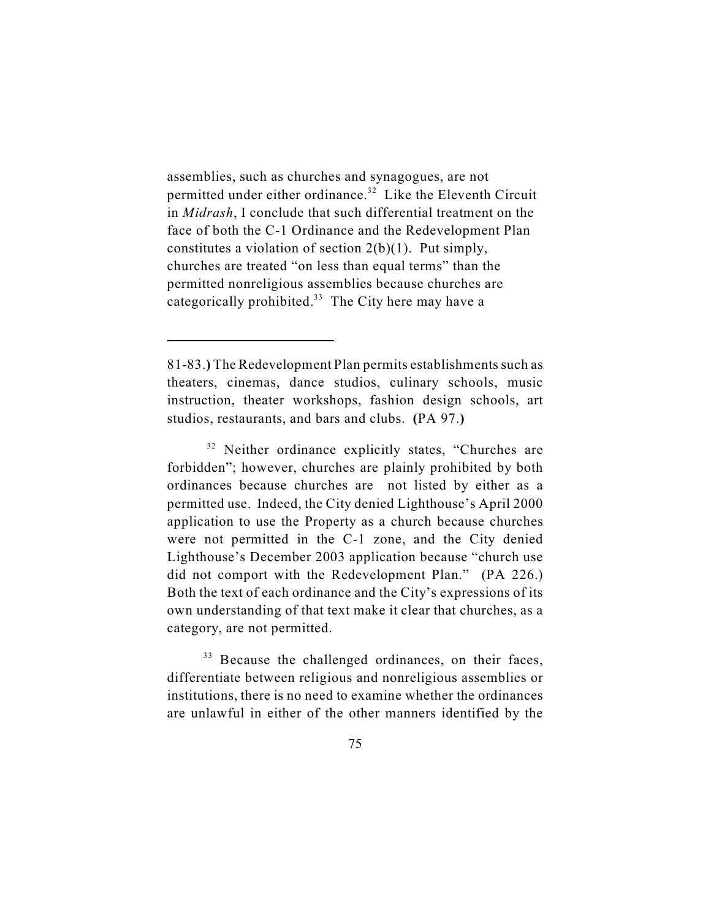assemblies, such as churches and synagogues, are not permitted under either ordinance.<sup> $32$ </sup> Like the Eleventh Circuit in *Midrash*, I conclude that such differential treatment on the face of both the C-1 Ordinance and the Redevelopment Plan constitutes a violation of section 2(b)(1). Put simply, churches are treated "on less than equal terms" than the permitted nonreligious assemblies because churches are categorically prohibited.<sup>33</sup> The City here may have a

<sup>33</sup> Because the challenged ordinances, on their faces, differentiate between religious and nonreligious assemblies or institutions, there is no need to examine whether the ordinances are unlawful in either of the other manners identified by the

<sup>81-83.</sup>**)** The Redevelopment Plan permits establishments such as theaters, cinemas, dance studios, culinary schools, music instruction, theater workshops, fashion design schools, art studios, restaurants, and bars and clubs. **(**PA 97.**)** 

<sup>&</sup>lt;sup>32</sup> Neither ordinance explicitly states, "Churches are forbidden"; however, churches are plainly prohibited by both ordinances because churches are not listed by either as a permitted use. Indeed, the City denied Lighthouse's April 2000 application to use the Property as a church because churches were not permitted in the C-1 zone, and the City denied Lighthouse's December 2003 application because "church use did not comport with the Redevelopment Plan." (PA 226.) Both the text of each ordinance and the City's expressions of its own understanding of that text make it clear that churches, as a category, are not permitted.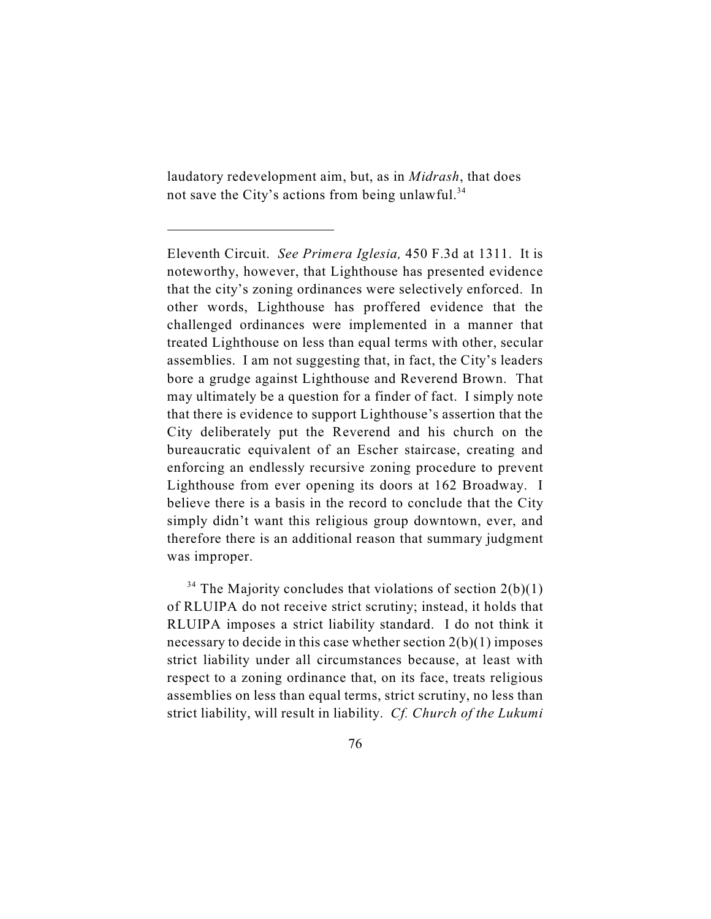laudatory redevelopment aim, but, as in *Midrash*, that does not save the City's actions from being unlawful.<sup>34</sup>

Eleventh Circuit. *See Primera Iglesia,* 450 F.3d at 1311. It is noteworthy, however, that Lighthouse has presented evidence that the city's zoning ordinances were selectively enforced. In other words, Lighthouse has proffered evidence that the challenged ordinances were implemented in a manner that treated Lighthouse on less than equal terms with other, secular assemblies. I am not suggesting that, in fact, the City's leaders bore a grudge against Lighthouse and Reverend Brown. That may ultimately be a question for a finder of fact. I simply note that there is evidence to support Lighthouse's assertion that the City deliberately put the Reverend and his church on the bureaucratic equivalent of an Escher staircase, creating and enforcing an endlessly recursive zoning procedure to prevent Lighthouse from ever opening its doors at 162 Broadway. I believe there is a basis in the record to conclude that the City simply didn't want this religious group downtown, ever, and therefore there is an additional reason that summary judgment was improper.

<sup>&</sup>lt;sup>34</sup> The Majority concludes that violations of section  $2(b)(1)$ of RLUIPA do not receive strict scrutiny; instead, it holds that RLUIPA imposes a strict liability standard. I do not think it necessary to decide in this case whether section 2(b)(1) imposes strict liability under all circumstances because, at least with respect to a zoning ordinance that, on its face, treats religious assemblies on less than equal terms, strict scrutiny, no less than strict liability, will result in liability. *Cf. Church of the Lukumi*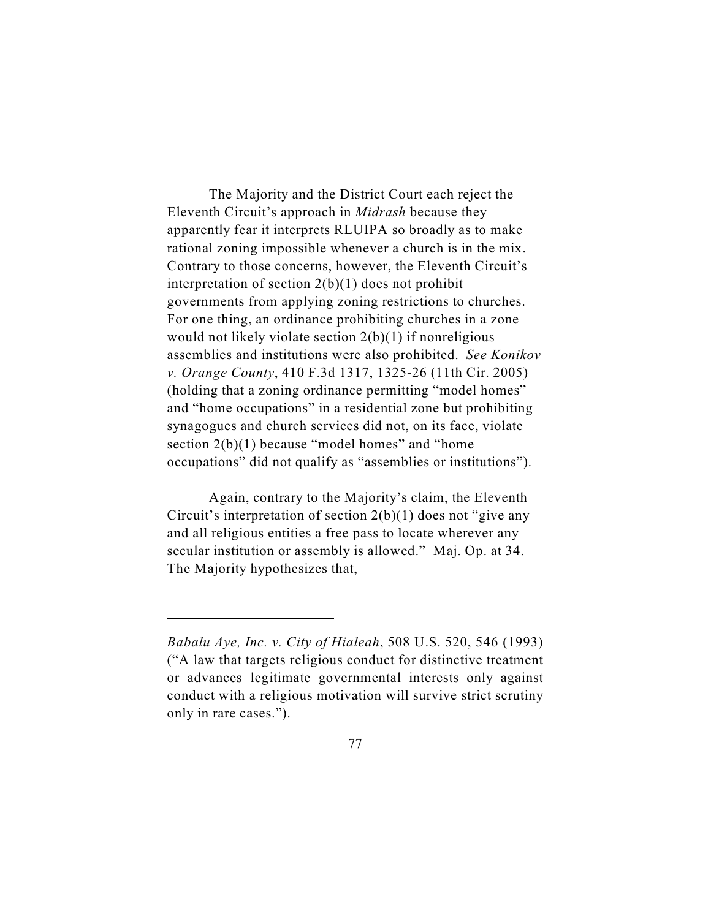The Majority and the District Court each reject the Eleventh Circuit's approach in *Midrash* because they apparently fear it interprets RLUIPA so broadly as to make rational zoning impossible whenever a church is in the mix. Contrary to those concerns, however, the Eleventh Circuit's interpretation of section 2(b)(1) does not prohibit governments from applying zoning restrictions to churches. For one thing, an ordinance prohibiting churches in a zone would not likely violate section  $2(b)(1)$  if nonreligious assemblies and institutions were also prohibited. *See Konikov v. Orange County*, 410 F.3d 1317, 1325-26 (11th Cir. 2005) (holding that a zoning ordinance permitting "model homes" and "home occupations" in a residential zone but prohibiting synagogues and church services did not, on its face, violate section 2(b)(1) because "model homes" and "home occupations" did not qualify as "assemblies or institutions").

Again, contrary to the Majority's claim, the Eleventh Circuit's interpretation of section 2(b)(1) does not "give any and all religious entities a free pass to locate wherever any secular institution or assembly is allowed." Maj. Op. at 34. The Majority hypothesizes that,

*Babalu Aye, Inc. v. City of Hialeah*, 508 U.S. 520, 546 (1993) ("A law that targets religious conduct for distinctive treatment or advances legitimate governmental interests only against conduct with a religious motivation will survive strict scrutiny only in rare cases.").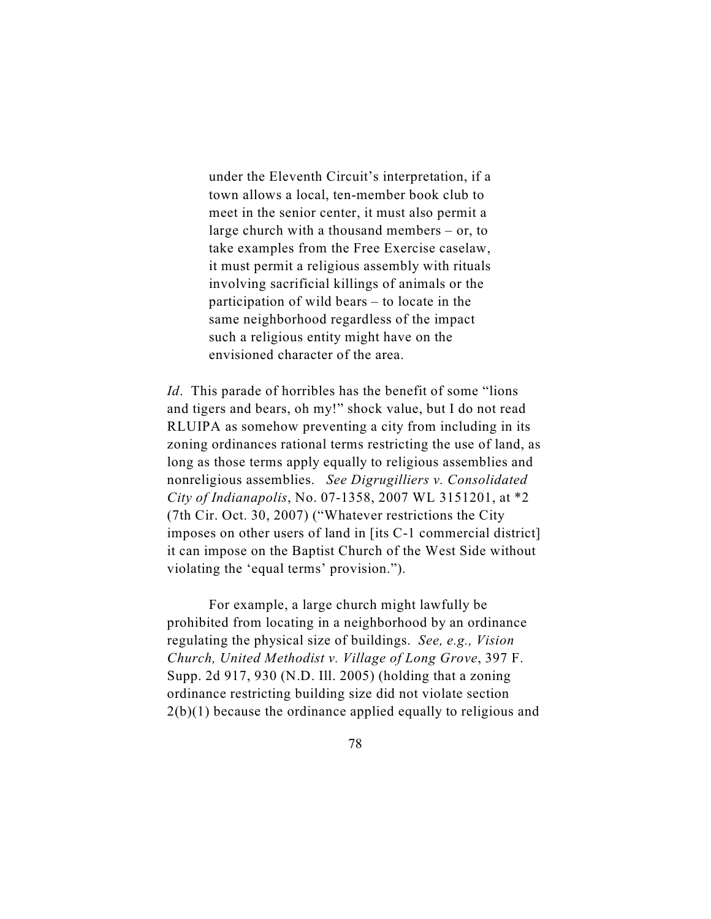under the Eleventh Circuit's interpretation, if a town allows a local, ten-member book club to meet in the senior center, it must also permit a large church with a thousand members – or, to take examples from the Free Exercise caselaw, it must permit a religious assembly with rituals involving sacrificial killings of animals or the participation of wild bears – to locate in the same neighborhood regardless of the impact such a religious entity might have on the envisioned character of the area.

*Id.* This parade of horribles has the benefit of some "lions" and tigers and bears, oh my!" shock value, but I do not read RLUIPA as somehow preventing a city from including in its zoning ordinances rational terms restricting the use of land, as long as those terms apply equally to religious assemblies and nonreligious assemblies. *See Digrugilliers v. Consolidated City of Indianapolis*, No. 07-1358, 2007 WL 3151201, at \*2 (7th Cir. Oct. 30, 2007) ("Whatever restrictions the City imposes on other users of land in [its C-1 commercial district] it can impose on the Baptist Church of the West Side without violating the 'equal terms' provision.").

For example, a large church might lawfully be prohibited from locating in a neighborhood by an ordinance regulating the physical size of buildings. *See, e.g., Vision Church, United Methodist v. Village of Long Grove*, 397 F. Supp. 2d 917, 930 (N.D. Ill. 2005) (holding that a zoning ordinance restricting building size did not violate section 2(b)(1) because the ordinance applied equally to religious and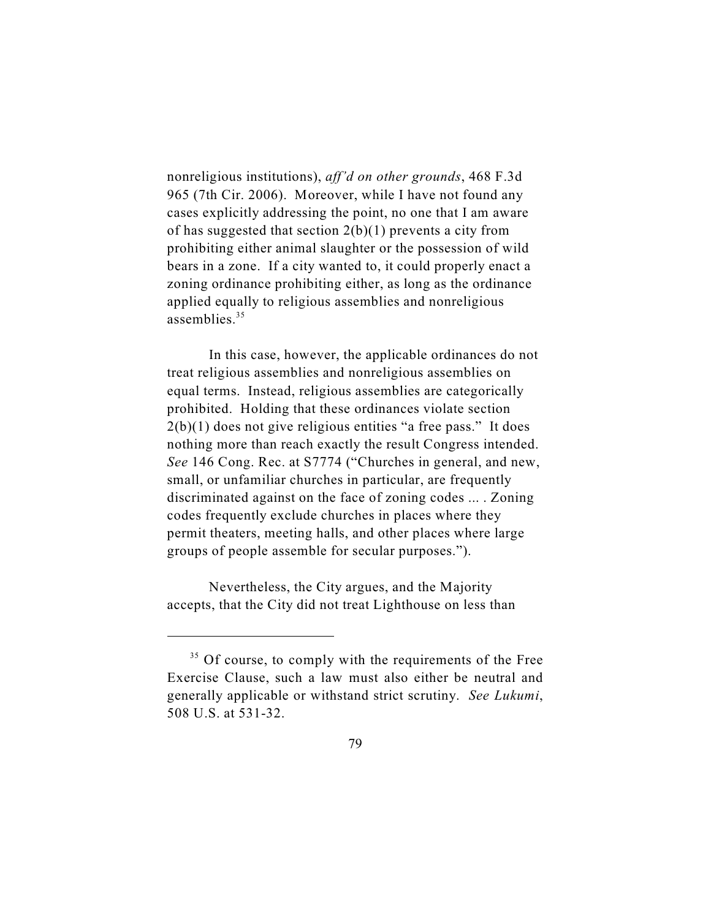nonreligious institutions), *aff'd on other grounds*, 468 F.3d 965 (7th Cir. 2006). Moreover, while I have not found any cases explicitly addressing the point, no one that I am aware of has suggested that section  $2(b)(1)$  prevents a city from prohibiting either animal slaughter or the possession of wild bears in a zone. If a city wanted to, it could properly enact a zoning ordinance prohibiting either, as long as the ordinance applied equally to religious assemblies and nonreligious assemblies. 35

In this case, however, the applicable ordinances do not treat religious assemblies and nonreligious assemblies on equal terms. Instead, religious assemblies are categorically prohibited. Holding that these ordinances violate section  $2(b)(1)$  does not give religious entities "a free pass." It does nothing more than reach exactly the result Congress intended. *See* 146 Cong. Rec. at S7774 ("Churches in general, and new, small, or unfamiliar churches in particular, are frequently discriminated against on the face of zoning codes ... . Zoning codes frequently exclude churches in places where they permit theaters, meeting halls, and other places where large groups of people assemble for secular purposes.").

Nevertheless, the City argues, and the Majority accepts, that the City did not treat Lighthouse on less than

 $35$  Of course, to comply with the requirements of the Free Exercise Clause, such a law must also either be neutral and generally applicable or withstand strict scrutiny. *See Lukumi*, 508 U.S. at 531-32.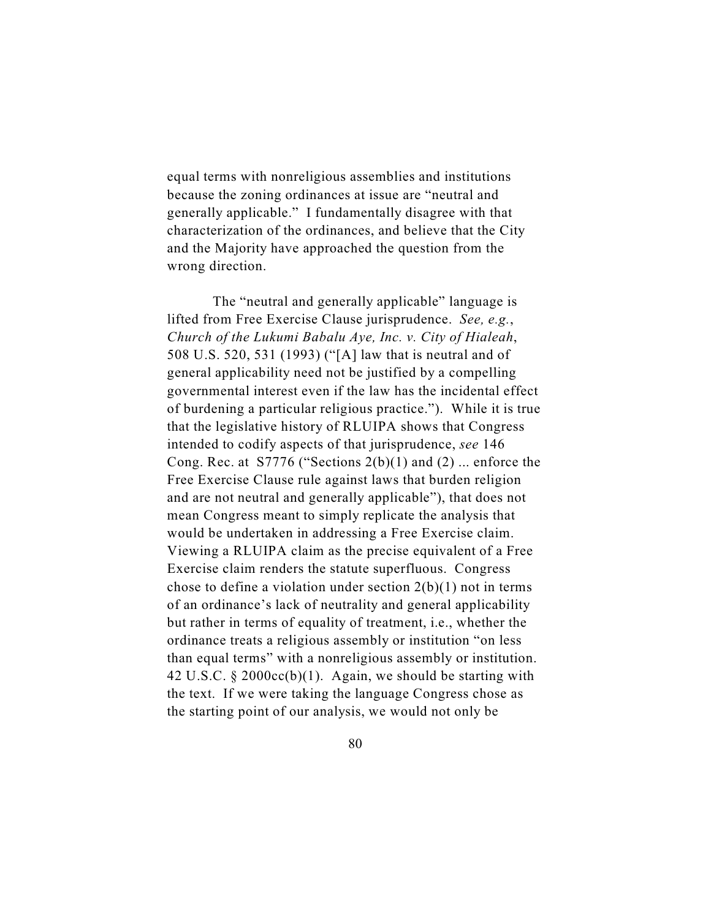equal terms with nonreligious assemblies and institutions because the zoning ordinances at issue are "neutral and generally applicable." I fundamentally disagree with that characterization of the ordinances, and believe that the City and the Majority have approached the question from the wrong direction.

 The "neutral and generally applicable" language is lifted from Free Exercise Clause jurisprudence. *See, e.g.*, *Church of the Lukumi Babalu Aye, Inc. v. City of Hialeah*, 508 U.S. 520, 531 (1993) ("[A] law that is neutral and of general applicability need not be justified by a compelling governmental interest even if the law has the incidental effect of burdening a particular religious practice."). While it is true that the legislative history of RLUIPA shows that Congress intended to codify aspects of that jurisprudence, *see* 146 Cong. Rec. at  $57776$  ("Sections  $2(b)(1)$  and  $(2)$  ... enforce the Free Exercise Clause rule against laws that burden religion and are not neutral and generally applicable"), that does not mean Congress meant to simply replicate the analysis that would be undertaken in addressing a Free Exercise claim. Viewing a RLUIPA claim as the precise equivalent of a Free Exercise claim renders the statute superfluous. Congress chose to define a violation under section  $2(b)(1)$  not in terms of an ordinance's lack of neutrality and general applicability but rather in terms of equality of treatment, i.e., whether the ordinance treats a religious assembly or institution "on less than equal terms" with a nonreligious assembly or institution. 42 U.S.C. § 2000cc(b)(1). Again, we should be starting with the text. If we were taking the language Congress chose as the starting point of our analysis, we would not only be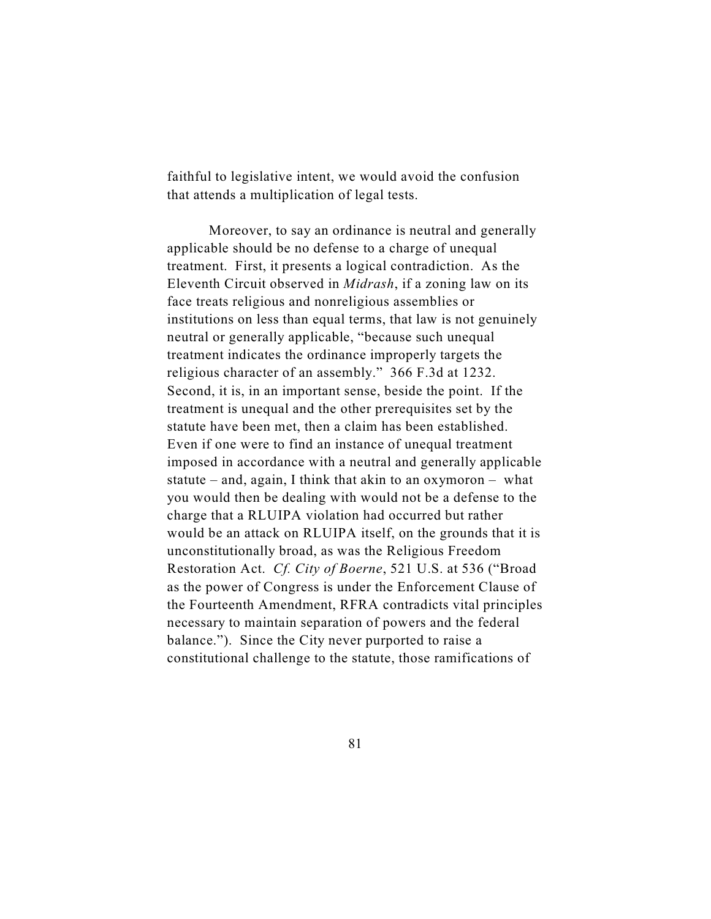faithful to legislative intent, we would avoid the confusion that attends a multiplication of legal tests.

Moreover, to say an ordinance is neutral and generally applicable should be no defense to a charge of unequal treatment. First, it presents a logical contradiction. As the Eleventh Circuit observed in *Midrash*, if a zoning law on its face treats religious and nonreligious assemblies or institutions on less than equal terms, that law is not genuinely neutral or generally applicable, "because such unequal treatment indicates the ordinance improperly targets the religious character of an assembly." 366 F.3d at 1232. Second, it is, in an important sense, beside the point. If the treatment is unequal and the other prerequisites set by the statute have been met, then a claim has been established. Even if one were to find an instance of unequal treatment imposed in accordance with a neutral and generally applicable statute – and, again, I think that akin to an oxymoron – what you would then be dealing with would not be a defense to the charge that a RLUIPA violation had occurred but rather would be an attack on RLUIPA itself, on the grounds that it is unconstitutionally broad, as was the Religious Freedom Restoration Act. *Cf. City of Boerne*, 521 U.S. at 536 ("Broad as the power of Congress is under the Enforcement Clause of the Fourteenth Amendment, RFRA contradicts vital principles necessary to maintain separation of powers and the federal balance."). Since the City never purported to raise a constitutional challenge to the statute, those ramifications of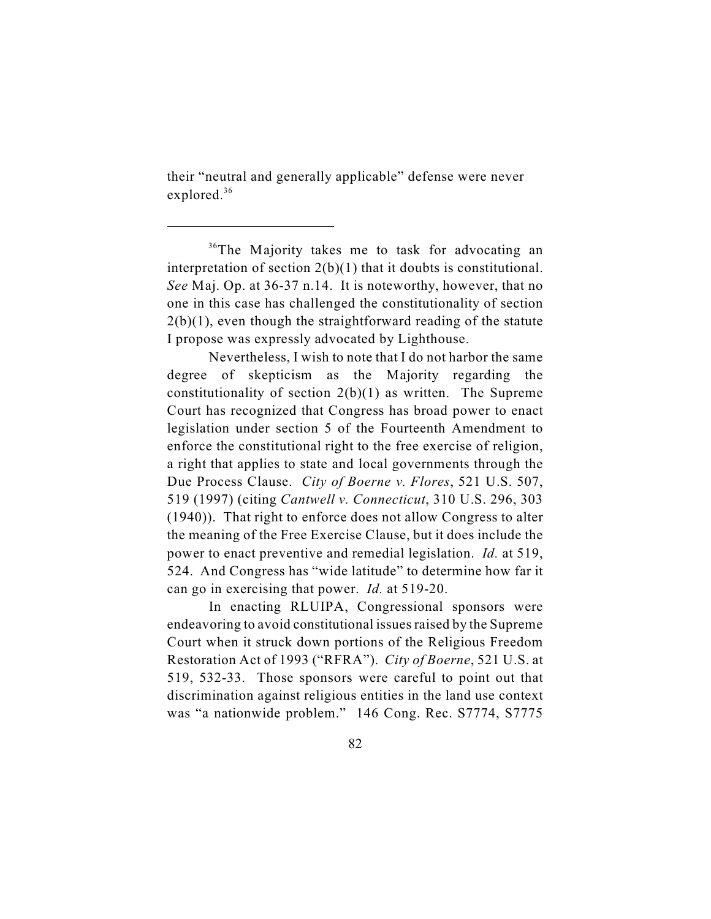their "neutral and generally applicable" defense were never explored.<sup>36</sup>

 $36$ The Majority takes me to task for advocating an interpretation of section 2(b)(1) that it doubts is constitutional. *See* Maj. Op. at 36-37 n.14. It is noteworthy, however, that no one in this case has challenged the constitutionality of section  $2(b)(1)$ , even though the straightforward reading of the statute I propose was expressly advocated by Lighthouse.

Nevertheless, I wish to note that I do not harbor the same degree of skepticism as the Majority regarding the constitutionality of section  $2(b)(1)$  as written. The Supreme Court has recognized that Congress has broad power to enact legislation under section 5 of the Fourteenth Amendment to enforce the constitutional right to the free exercise of religion, a right that applies to state and local governments through the Due Process Clause. *City of Boerne v. Flores*, 521 U.S. 507, 519 (1997) (citing *Cantwell v. Connecticut*, 310 U.S. 296, 303 (1940)). That right to enforce does not allow Congress to alter the meaning of the Free Exercise Clause, but it does include the power to enact preventive and remedial legislation. *Id.* at 519, 524. And Congress has "wide latitude" to determine how far it can go in exercising that power. *Id.* at 519-20.

In enacting RLUIPA, Congressional sponsors were endeavoring to avoid constitutional issues raised by the Supreme Court when it struck down portions of the Religious Freedom Restoration Act of 1993 ("RFRA"). *City of Boerne*, 521 U.S. at 519, 532-33. Those sponsors were careful to point out that discrimination against religious entities in the land use context was "a nationwide problem." 146 Cong. Rec. S7774, S7775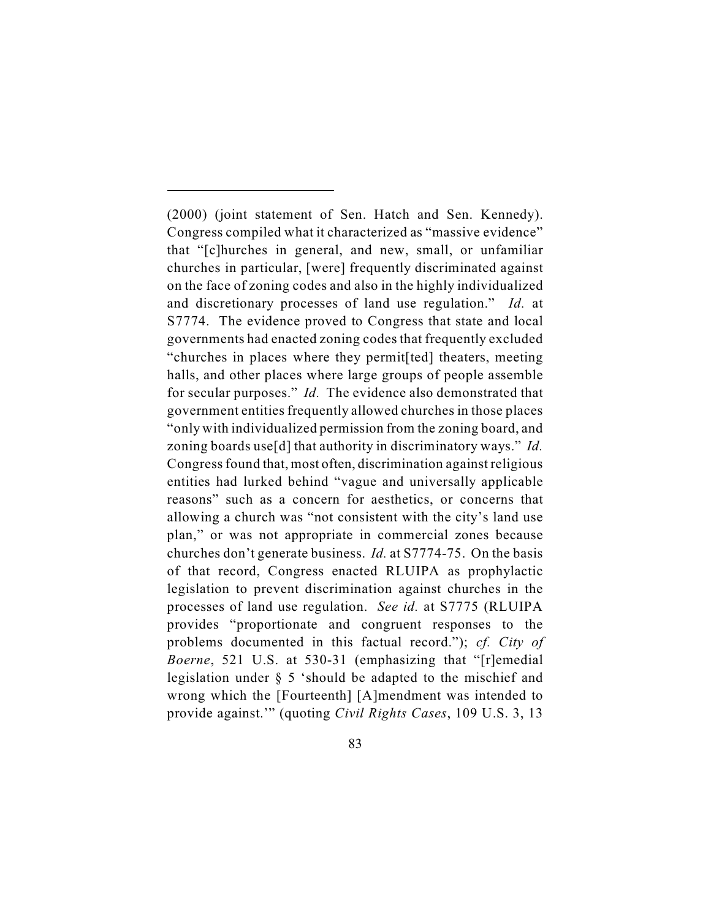(2000) (joint statement of Sen. Hatch and Sen. Kennedy). Congress compiled what it characterized as "massive evidence" that "[c]hurches in general, and new, small, or unfamiliar churches in particular, [were] frequently discriminated against on the face of zoning codes and also in the highly individualized and discretionary processes of land use regulation." *Id.* at S7774. The evidence proved to Congress that state and local governments had enacted zoning codes that frequently excluded "churches in places where they permit[ted] theaters, meeting halls, and other places where large groups of people assemble for secular purposes." *Id.* The evidence also demonstrated that government entities frequently allowed churches in those places "only with individualized permission from the zoning board, and zoning boards use[d] that authority in discriminatory ways." *Id.* Congress found that, most often, discrimination against religious entities had lurked behind "vague and universally applicable reasons" such as a concern for aesthetics, or concerns that allowing a church was "not consistent with the city's land use plan," or was not appropriate in commercial zones because churches don't generate business. *Id.* at S7774-75. On the basis of that record, Congress enacted RLUIPA as prophylactic legislation to prevent discrimination against churches in the processes of land use regulation. *See id.* at S7775 (RLUIPA provides "proportionate and congruent responses to the problems documented in this factual record."); *cf. City of Boerne*, 521 U.S. at 530-31 (emphasizing that "[r]emedial legislation under § 5 'should be adapted to the mischief and wrong which the [Fourteenth] [A]mendment was intended to provide against.'" (quoting *Civil Rights Cases*, 109 U.S. 3, 13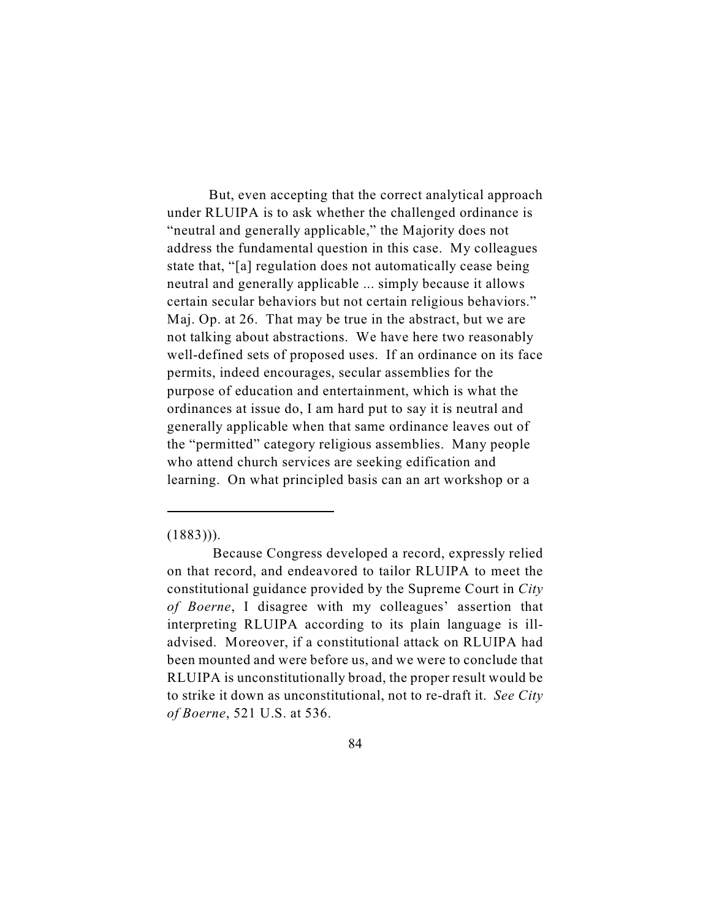But, even accepting that the correct analytical approach under RLUIPA is to ask whether the challenged ordinance is "neutral and generally applicable," the Majority does not address the fundamental question in this case. My colleagues state that, "[a] regulation does not automatically cease being neutral and generally applicable ... simply because it allows certain secular behaviors but not certain religious behaviors." Maj. Op. at 26. That may be true in the abstract, but we are not talking about abstractions. We have here two reasonably well-defined sets of proposed uses. If an ordinance on its face permits, indeed encourages, secular assemblies for the purpose of education and entertainment, which is what the ordinances at issue do, I am hard put to say it is neutral and generally applicable when that same ordinance leaves out of the "permitted" category religious assemblies. Many people who attend church services are seeking edification and learning. On what principled basis can an art workshop or a

## $(1883))$ .

Because Congress developed a record, expressly relied on that record, and endeavored to tailor RLUIPA to meet the constitutional guidance provided by the Supreme Court in *City of Boerne*, I disagree with my colleagues' assertion that interpreting RLUIPA according to its plain language is illadvised. Moreover, if a constitutional attack on RLUIPA had been mounted and were before us, and we were to conclude that RLUIPA is unconstitutionally broad, the proper result would be to strike it down as unconstitutional, not to re-draft it. *See City of Boerne*, 521 U.S. at 536.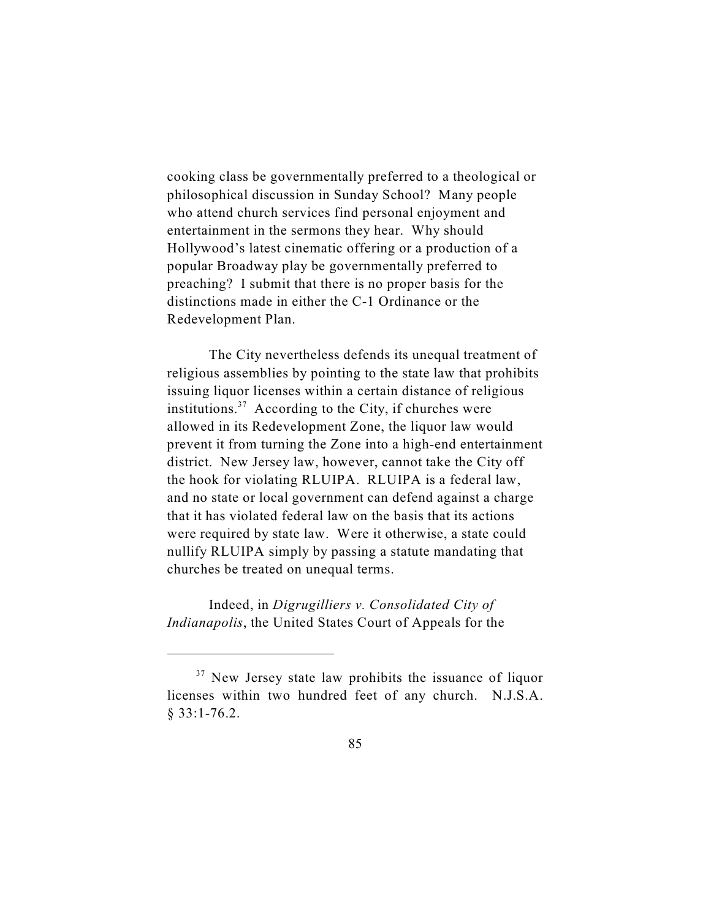cooking class be governmentally preferred to a theological or philosophical discussion in Sunday School? Many people who attend church services find personal enjoyment and entertainment in the sermons they hear. Why should Hollywood's latest cinematic offering or a production of a popular Broadway play be governmentally preferred to preaching? I submit that there is no proper basis for the distinctions made in either the C-1 Ordinance or the Redevelopment Plan.

The City nevertheless defends its unequal treatment of religious assemblies by pointing to the state law that prohibits issuing liquor licenses within a certain distance of religious institutions.<sup>37</sup> According to the City, if churches were allowed in its Redevelopment Zone, the liquor law would prevent it from turning the Zone into a high-end entertainment district. New Jersey law, however, cannot take the City off the hook for violating RLUIPA. RLUIPA is a federal law, and no state or local government can defend against a charge that it has violated federal law on the basis that its actions were required by state law. Were it otherwise, a state could nullify RLUIPA simply by passing a statute mandating that churches be treated on unequal terms.

Indeed, in *Digrugilliers v. Consolidated City of Indianapolis*, the United States Court of Appeals for the

 $37$  New Jersey state law prohibits the issuance of liquor licenses within two hundred feet of any church. N.J.S.A. § 33:1-76.2.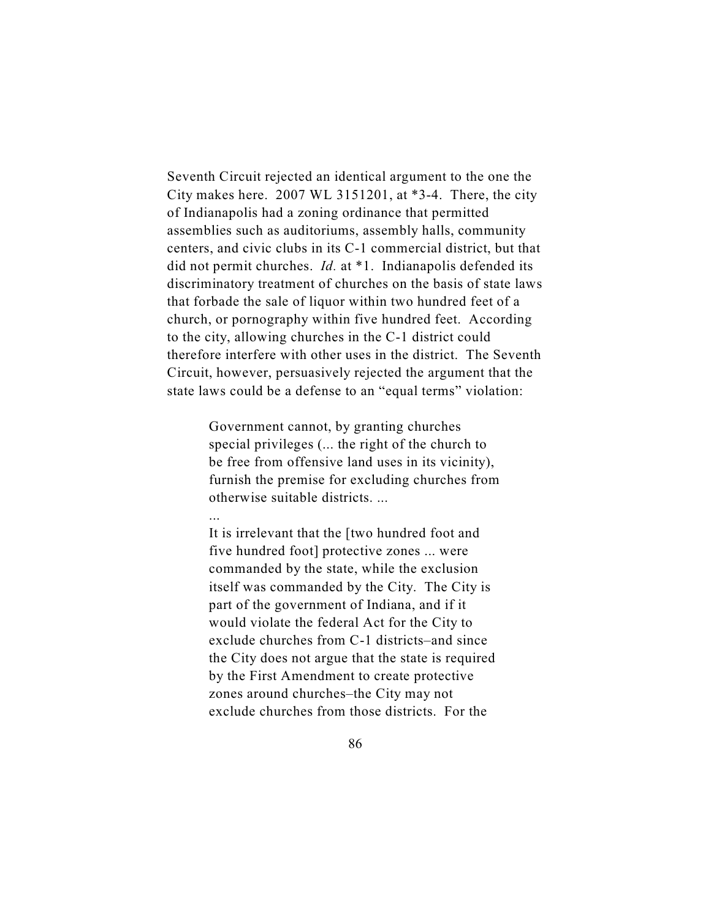Seventh Circuit rejected an identical argument to the one the City makes here. 2007 WL 3151201, at \*3-4. There, the city of Indianapolis had a zoning ordinance that permitted assemblies such as auditoriums, assembly halls, community centers, and civic clubs in its C-1 commercial district, but that did not permit churches. *Id.* at \*1. Indianapolis defended its discriminatory treatment of churches on the basis of state laws that forbade the sale of liquor within two hundred feet of a church, or pornography within five hundred feet. According to the city, allowing churches in the C-1 district could therefore interfere with other uses in the district. The Seventh Circuit, however, persuasively rejected the argument that the state laws could be a defense to an "equal terms" violation:

> Government cannot, by granting churches special privileges (... the right of the church to be free from offensive land uses in its vicinity), furnish the premise for excluding churches from otherwise suitable districts. ...

...

It is irrelevant that the [two hundred foot and five hundred foot] protective zones ... were commanded by the state, while the exclusion itself was commanded by the City. The City is part of the government of Indiana, and if it would violate the federal Act for the City to exclude churches from C-1 districts–and since the City does not argue that the state is required by the First Amendment to create protective zones around churches–the City may not exclude churches from those districts. For the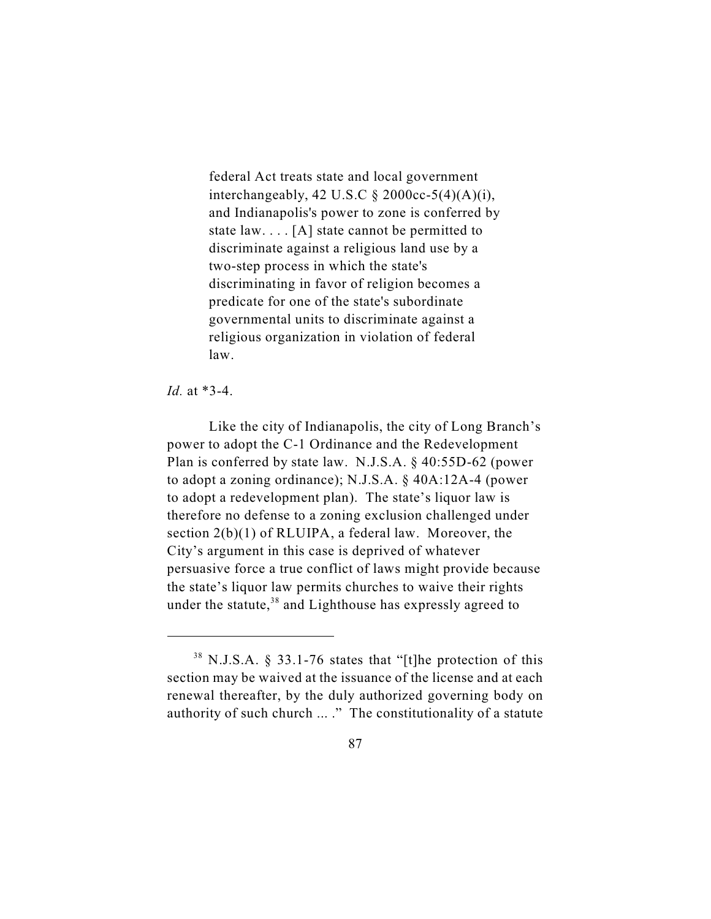federal Act treats state and local government interchangeably, 42 U.S.C  $\S$  2000cc-5(4)(A)(i), and Indianapolis's power to zone is conferred by state law. . . . [A] state cannot be permitted to discriminate against a religious land use by a two-step process in which the state's discriminating in favor of religion becomes a predicate for one of the state's subordinate governmental units to discriminate against a religious organization in violation of federal law.

## *Id.* at \*3-4.

Like the city of Indianapolis, the city of Long Branch's power to adopt the C-1 Ordinance and the Redevelopment Plan is conferred by state law. N.J.S.A. § 40:55D-62 (power to adopt a zoning ordinance); N.J.S.A. § 40A:12A-4 (power to adopt a redevelopment plan). The state's liquor law is therefore no defense to a zoning exclusion challenged under section 2(b)(1) of RLUIPA, a federal law. Moreover, the City's argument in this case is deprived of whatever persuasive force a true conflict of laws might provide because the state's liquor law permits churches to waive their rights under the statute,  $38$  and Lighthouse has expressly agreed to

 $38$  N.J.S.A. § 33.1-76 states that "[t]he protection of this section may be waived at the issuance of the license and at each renewal thereafter, by the duly authorized governing body on authority of such church ... ." The constitutionality of a statute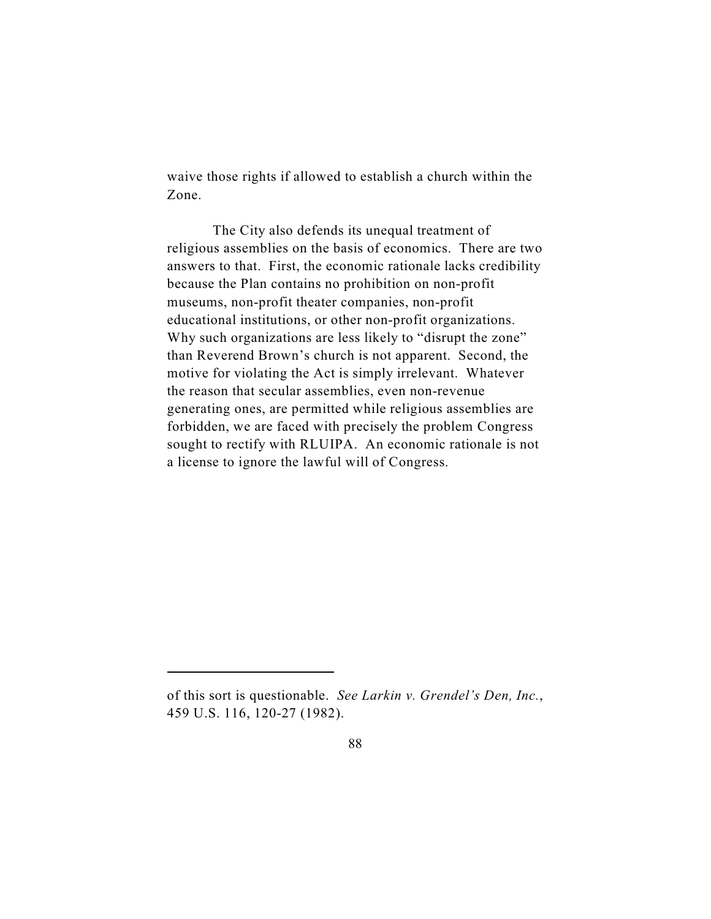waive those rights if allowed to establish a church within the Zone.

 The City also defends its unequal treatment of religious assemblies on the basis of economics. There are two answers to that. First, the economic rationale lacks credibility because the Plan contains no prohibition on non-profit museums, non-profit theater companies, non-profit educational institutions, or other non-profit organizations. Why such organizations are less likely to "disrupt the zone" than Reverend Brown's church is not apparent. Second, the motive for violating the Act is simply irrelevant. Whatever the reason that secular assemblies, even non-revenue generating ones, are permitted while religious assemblies are forbidden, we are faced with precisely the problem Congress sought to rectify with RLUIPA. An economic rationale is not a license to ignore the lawful will of Congress.

of this sort is questionable. *See Larkin v. Grendel's Den, Inc.*, 459 U.S. 116, 120-27 (1982).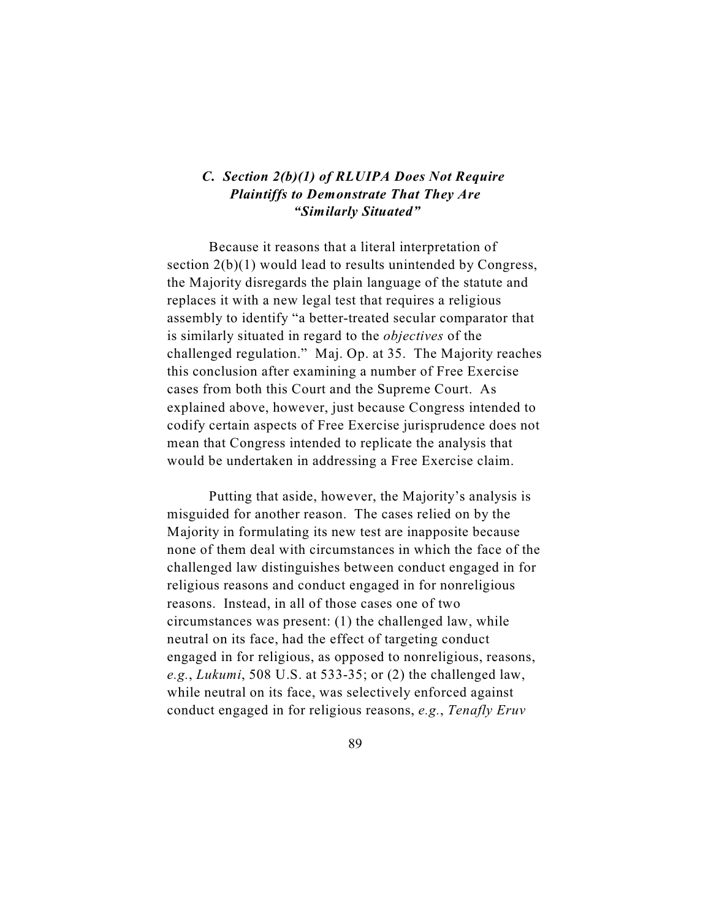## *C. Section 2(b)(1) of RLUIPA Does Not Require Plaintiffs to Demonstrate That They Are "Similarly Situated"*

Because it reasons that a literal interpretation of section  $2(b)(1)$  would lead to results unintended by Congress, the Majority disregards the plain language of the statute and replaces it with a new legal test that requires a religious assembly to identify "a better-treated secular comparator that is similarly situated in regard to the *objectives* of the challenged regulation." Maj. Op. at 35. The Majority reaches this conclusion after examining a number of Free Exercise cases from both this Court and the Supreme Court. As explained above, however, just because Congress intended to codify certain aspects of Free Exercise jurisprudence does not mean that Congress intended to replicate the analysis that would be undertaken in addressing a Free Exercise claim.

Putting that aside, however, the Majority's analysis is misguided for another reason. The cases relied on by the Majority in formulating its new test are inapposite because none of them deal with circumstances in which the face of the challenged law distinguishes between conduct engaged in for religious reasons and conduct engaged in for nonreligious reasons. Instead, in all of those cases one of two circumstances was present: (1) the challenged law, while neutral on its face, had the effect of targeting conduct engaged in for religious, as opposed to nonreligious, reasons, *e.g.*, *Lukumi*, 508 U.S. at 533-35; or (2) the challenged law, while neutral on its face, was selectively enforced against conduct engaged in for religious reasons, *e.g.*, *Tenafly Eruv*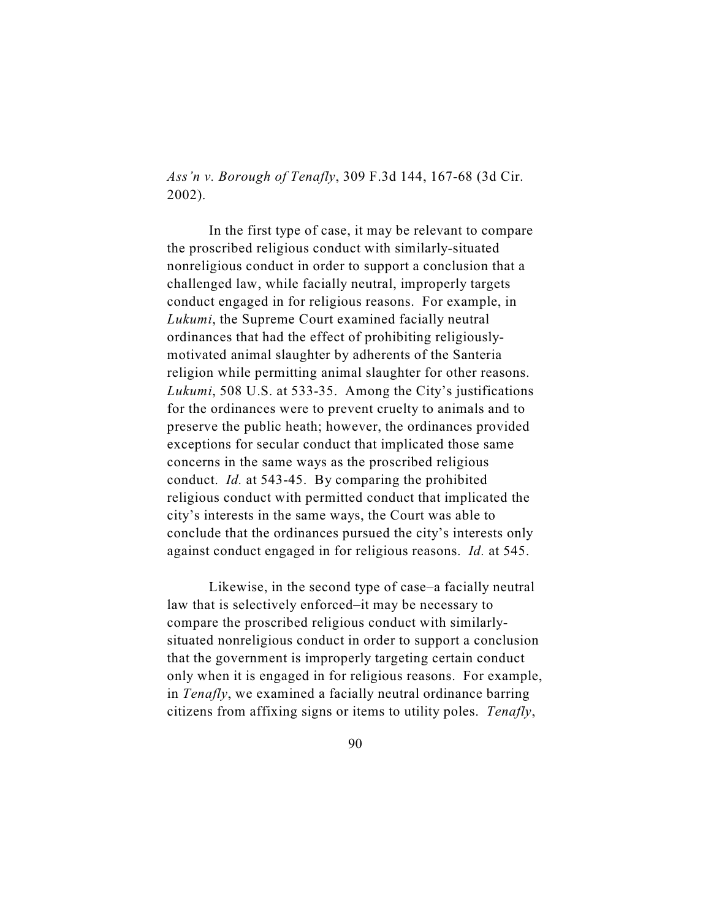*Ass'n v. Borough of Tenafly*, 309 F.3d 144, 167-68 (3d Cir. 2002).

In the first type of case, it may be relevant to compare the proscribed religious conduct with similarly-situated nonreligious conduct in order to support a conclusion that a challenged law, while facially neutral, improperly targets conduct engaged in for religious reasons. For example, in *Lukumi*, the Supreme Court examined facially neutral ordinances that had the effect of prohibiting religiouslymotivated animal slaughter by adherents of the Santeria religion while permitting animal slaughter for other reasons. *Lukumi*, 508 U.S. at 533-35. Among the City's justifications for the ordinances were to prevent cruelty to animals and to preserve the public heath; however, the ordinances provided exceptions for secular conduct that implicated those same concerns in the same ways as the proscribed religious conduct. *Id.* at 543-45. By comparing the prohibited religious conduct with permitted conduct that implicated the city's interests in the same ways, the Court was able to conclude that the ordinances pursued the city's interests only against conduct engaged in for religious reasons. *Id.* at 545.

Likewise, in the second type of case–a facially neutral law that is selectively enforced–it may be necessary to compare the proscribed religious conduct with similarlysituated nonreligious conduct in order to support a conclusion that the government is improperly targeting certain conduct only when it is engaged in for religious reasons. For example, in *Tenafly*, we examined a facially neutral ordinance barring citizens from affixing signs or items to utility poles. *Tenafly*,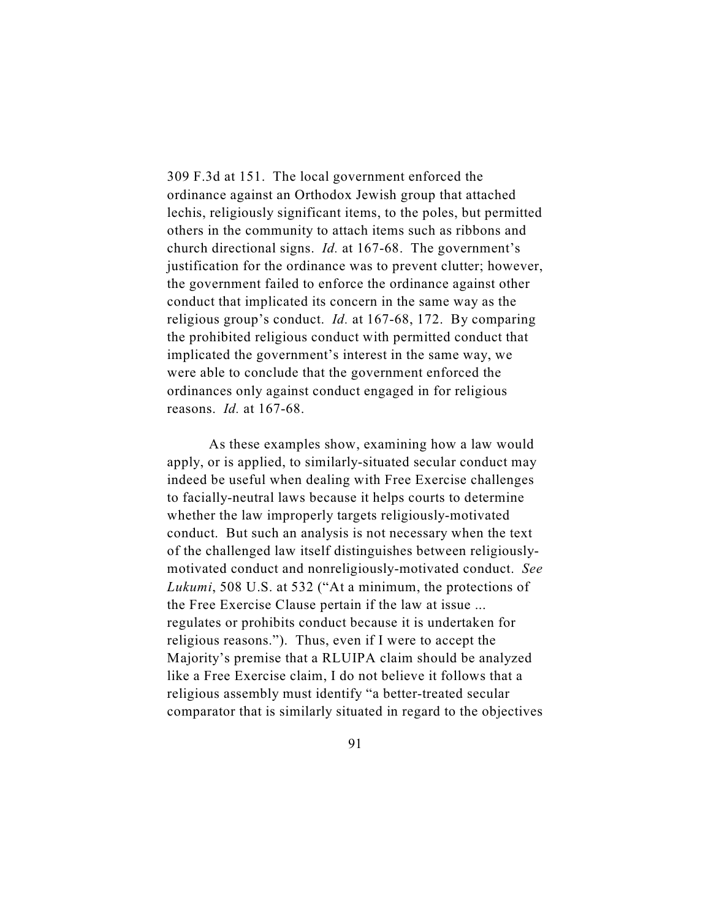309 F.3d at 151. The local government enforced the ordinance against an Orthodox Jewish group that attached lechis, religiously significant items, to the poles, but permitted others in the community to attach items such as ribbons and church directional signs. *Id.* at 167-68. The government's justification for the ordinance was to prevent clutter; however, the government failed to enforce the ordinance against other conduct that implicated its concern in the same way as the religious group's conduct. *Id.* at 167-68, 172. By comparing the prohibited religious conduct with permitted conduct that implicated the government's interest in the same way, we were able to conclude that the government enforced the ordinances only against conduct engaged in for religious reasons. *Id.* at 167-68.

As these examples show, examining how a law would apply, or is applied, to similarly-situated secular conduct may indeed be useful when dealing with Free Exercise challenges to facially-neutral laws because it helps courts to determine whether the law improperly targets religiously-motivated conduct. But such an analysis is not necessary when the text of the challenged law itself distinguishes between religiouslymotivated conduct and nonreligiously-motivated conduct. *See Lukumi*, 508 U.S. at 532 ("At a minimum, the protections of the Free Exercise Clause pertain if the law at issue ... regulates or prohibits conduct because it is undertaken for religious reasons."). Thus, even if I were to accept the Majority's premise that a RLUIPA claim should be analyzed like a Free Exercise claim, I do not believe it follows that a religious assembly must identify "a better-treated secular comparator that is similarly situated in regard to the objectives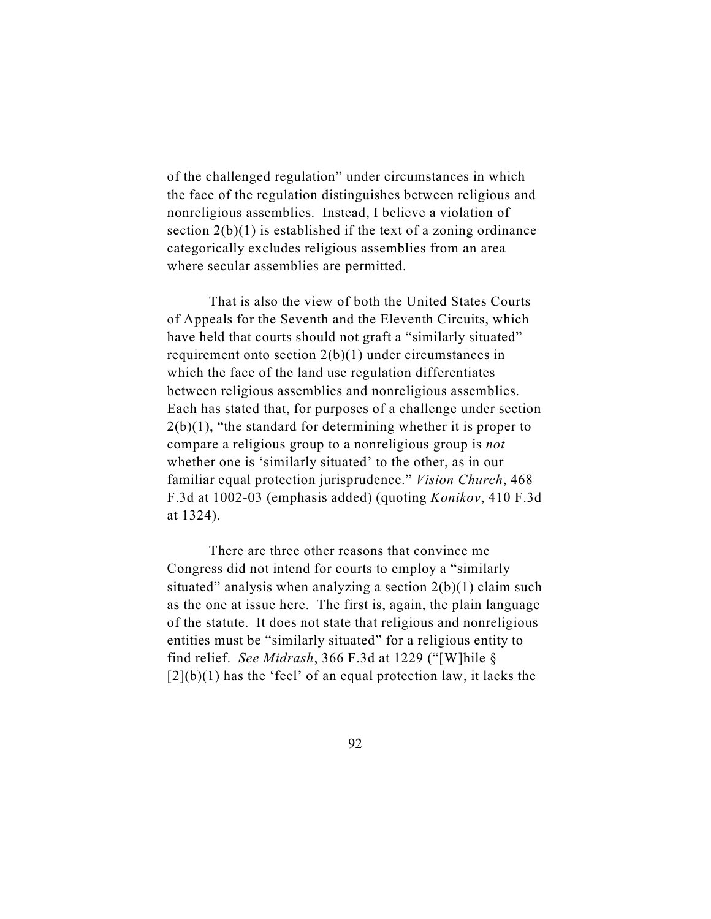of the challenged regulation" under circumstances in which the face of the regulation distinguishes between religious and nonreligious assemblies. Instead, I believe a violation of section  $2(b)(1)$  is established if the text of a zoning ordinance categorically excludes religious assemblies from an area where secular assemblies are permitted.

That is also the view of both the United States Courts of Appeals for the Seventh and the Eleventh Circuits, which have held that courts should not graft a "similarly situated" requirement onto section 2(b)(1) under circumstances in which the face of the land use regulation differentiates between religious assemblies and nonreligious assemblies. Each has stated that, for purposes of a challenge under section  $2(b)(1)$ , "the standard for determining whether it is proper to compare a religious group to a nonreligious group is *not* whether one is 'similarly situated' to the other, as in our familiar equal protection jurisprudence." *Vision Church*, 468 F.3d at 1002-03 (emphasis added) (quoting *Konikov*, 410 F.3d at 1324).

There are three other reasons that convince me Congress did not intend for courts to employ a "similarly situated" analysis when analyzing a section  $2(b)(1)$  claim such as the one at issue here. The first is, again, the plain language of the statute. It does not state that religious and nonreligious entities must be "similarly situated" for a religious entity to find relief. *See Midrash*, 366 F.3d at 1229 ("[W]hile §  $[2](b)(1)$  has the 'feel' of an equal protection law, it lacks the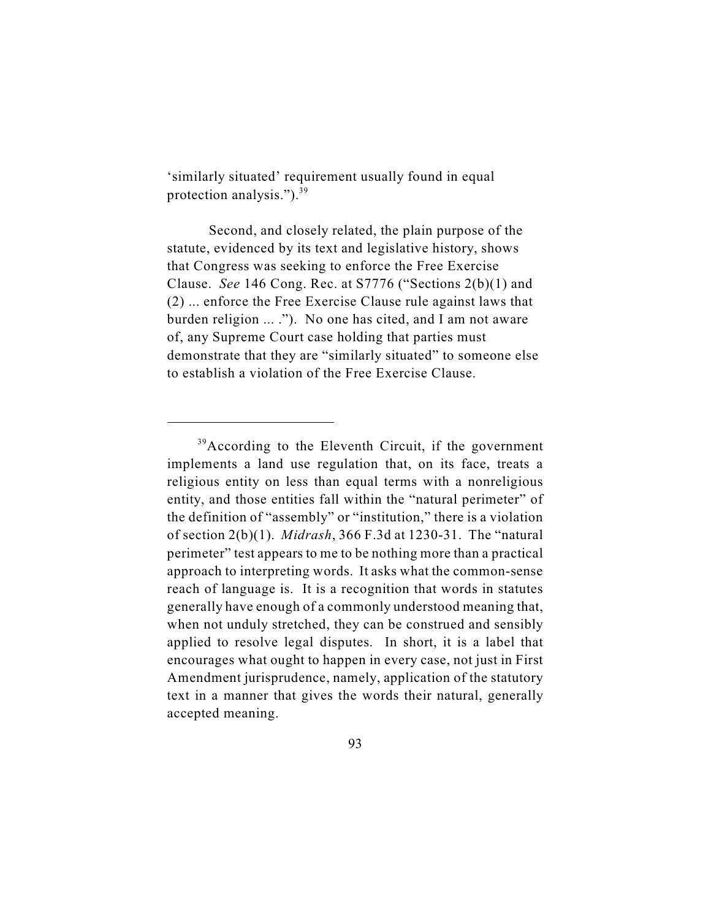'similarly situated' requirement usually found in equal protection analysis.").<sup>39</sup>

Second, and closely related, the plain purpose of the statute, evidenced by its text and legislative history, shows that Congress was seeking to enforce the Free Exercise Clause. *See* 146 Cong. Rec. at S7776 ("Sections 2(b)(1) and (2) ... enforce the Free Exercise Clause rule against laws that burden religion ... ."). No one has cited, and I am not aware of, any Supreme Court case holding that parties must demonstrate that they are "similarly situated" to someone else to establish a violation of the Free Exercise Clause.

 $39$ According to the Eleventh Circuit, if the government implements a land use regulation that, on its face, treats a religious entity on less than equal terms with a nonreligious entity, and those entities fall within the "natural perimeter" of the definition of "assembly" or "institution," there is a violation of section 2(b)(1). *Midrash*, 366 F.3d at 1230-31. The "natural perimeter" test appears to me to be nothing more than a practical approach to interpreting words. It asks what the common-sense reach of language is. It is a recognition that words in statutes generally have enough of a commonly understood meaning that, when not unduly stretched, they can be construed and sensibly applied to resolve legal disputes. In short, it is a label that encourages what ought to happen in every case, not just in First Amendment jurisprudence, namely, application of the statutory text in a manner that gives the words their natural, generally accepted meaning.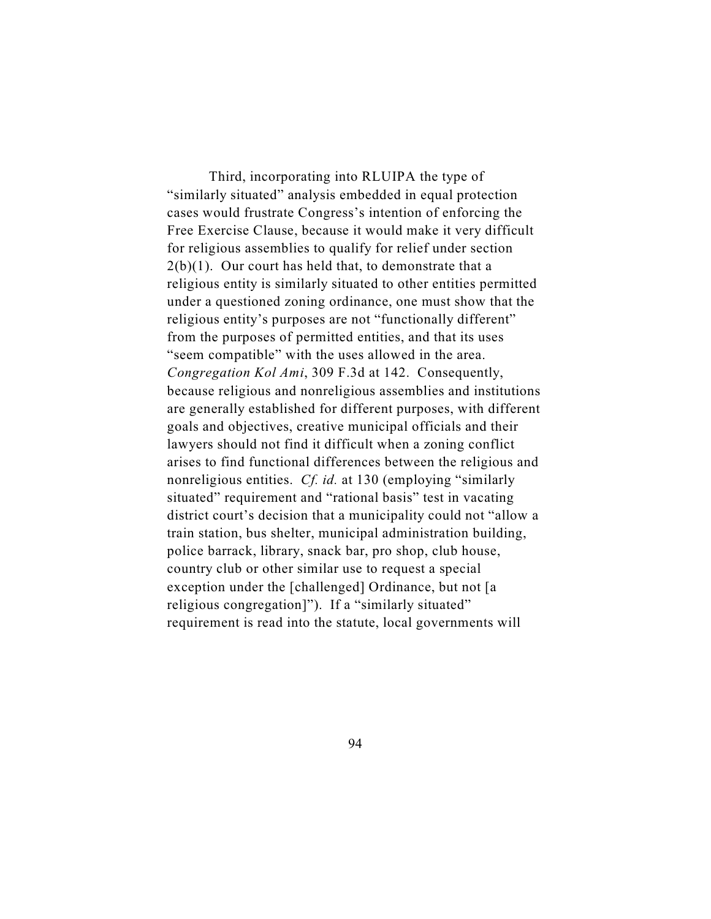Third, incorporating into RLUIPA the type of "similarly situated" analysis embedded in equal protection cases would frustrate Congress's intention of enforcing the Free Exercise Clause, because it would make it very difficult for religious assemblies to qualify for relief under section  $2(b)(1)$ . Our court has held that, to demonstrate that a religious entity is similarly situated to other entities permitted under a questioned zoning ordinance, one must show that the religious entity's purposes are not "functionally different" from the purposes of permitted entities, and that its uses "seem compatible" with the uses allowed in the area. *Congregation Kol Ami*, 309 F.3d at 142. Consequently, because religious and nonreligious assemblies and institutions are generally established for different purposes, with different goals and objectives, creative municipal officials and their lawyers should not find it difficult when a zoning conflict arises to find functional differences between the religious and nonreligious entities. *Cf. id.* at 130 (employing "similarly situated" requirement and "rational basis" test in vacating district court's decision that a municipality could not "allow a train station, bus shelter, municipal administration building, police barrack, library, snack bar, pro shop, club house, country club or other similar use to request a special exception under the [challenged] Ordinance, but not [a religious congregation]"). If a "similarly situated" requirement is read into the statute, local governments will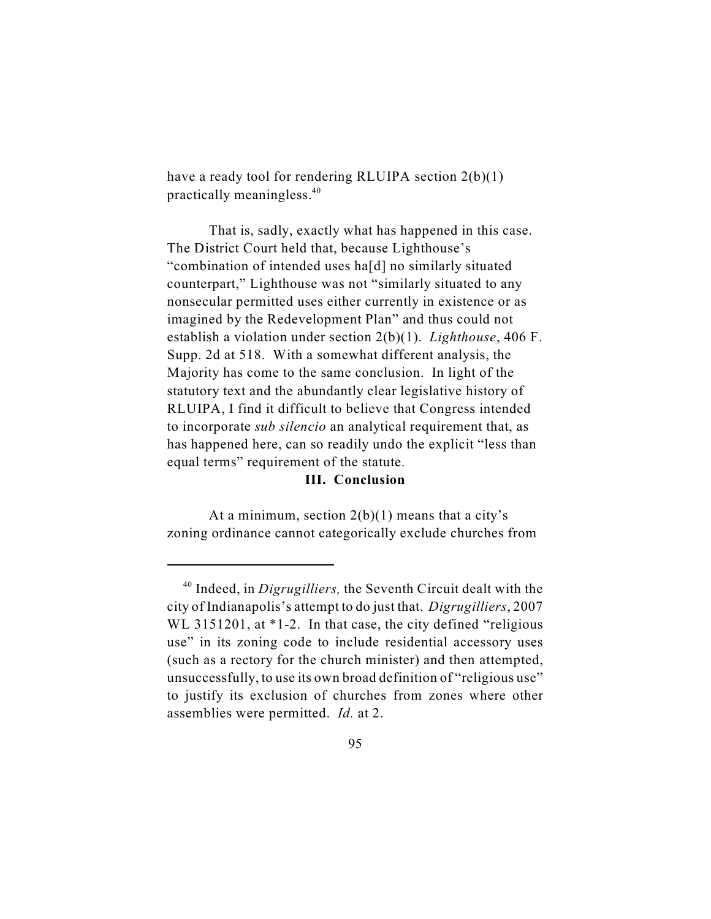have a ready tool for rendering RLUIPA section 2(b)(1) practically meaningless. 40

That is, sadly, exactly what has happened in this case. The District Court held that, because Lighthouse's "combination of intended uses ha[d] no similarly situated counterpart," Lighthouse was not "similarly situated to any nonsecular permitted uses either currently in existence or as imagined by the Redevelopment Plan" and thus could not establish a violation under section 2(b)(1). *Lighthouse*, 406 F. Supp. 2d at 518. With a somewhat different analysis, the Majority has come to the same conclusion. In light of the statutory text and the abundantly clear legislative history of RLUIPA, I find it difficult to believe that Congress intended to incorporate *sub silencio* an analytical requirement that, as has happened here, can so readily undo the explicit "less than equal terms" requirement of the statute.

## **III. Conclusion**

At a minimum, section  $2(b)(1)$  means that a city's zoning ordinance cannot categorically exclude churches from

 $10^{40}$  Indeed, in *Digrugilliers*, the Seventh Circuit dealt with the city of Indianapolis's attempt to do just that. *Digrugilliers*, 2007 WL 3151201, at \*1-2. In that case, the city defined "religious" use" in its zoning code to include residential accessory uses (such as a rectory for the church minister) and then attempted, unsuccessfully, to use its own broad definition of "religious use" to justify its exclusion of churches from zones where other assemblies were permitted. *Id.* at 2.